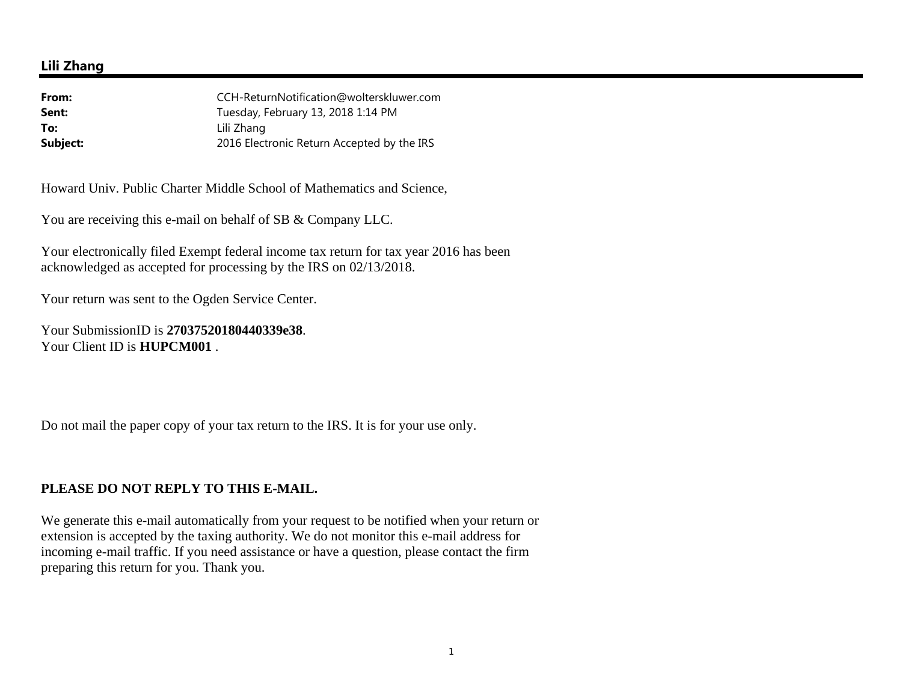## **Lili Zhang**

| From:    | CCH-ReturnNotification@wolterskluwer.com   |
|----------|--------------------------------------------|
| Sent:    | Tuesday, February 13, 2018 1:14 PM         |
| To:      | Lili Zhang                                 |
| Subject: | 2016 Electronic Return Accepted by the IRS |

Howard Univ. Public Charter Middle School of Mathematics and Science,

You are receiving this e-mail on behalf of SB & Company LLC.

Your electronically filed Exempt federal income tax return for tax year 2016 has been acknowledged as accepted for processing by the IRS on 02/13/2018.

Your return was sent to the Ogden Service Center.

Your SubmissionID is **27037520180440339e38**. Your Client ID is **HUPCM001** .

Do not mail the paper copy of your tax return to the IRS. It is for your use only.

## **PLEASE DO NOT REPLY TO THIS E-MAIL.**

We generate this e-mail automatically from your request to be notified when your return or extension is accepted by the taxing authority. We do not monitor this e-mail address for incoming e-mail traffic. If you need assistance or have a question, please contact the firm preparing this return for you. Thank you.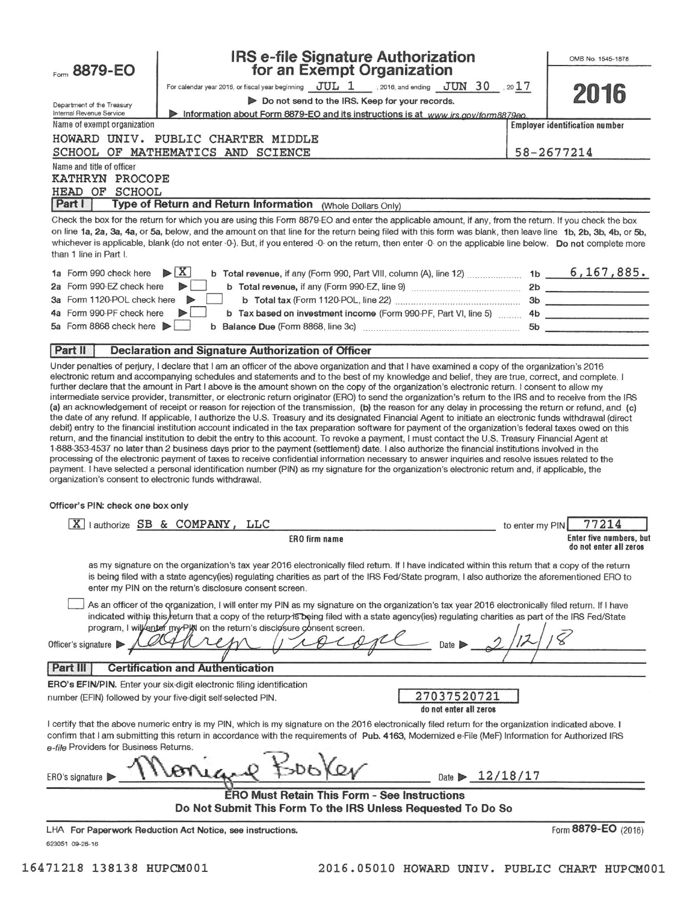| Form 8879-EO                                           | <b>IRS e-file Signature Authorization</b>                                                                                                                                                                                                                                                                                                                                                                                                                                                                                                                                                                                                                                                                                                                                                                                                                                                                                                                                                                                                                                                                                                                                                                                                                          |                 | OMB No. 1545-1878                                        |
|--------------------------------------------------------|--------------------------------------------------------------------------------------------------------------------------------------------------------------------------------------------------------------------------------------------------------------------------------------------------------------------------------------------------------------------------------------------------------------------------------------------------------------------------------------------------------------------------------------------------------------------------------------------------------------------------------------------------------------------------------------------------------------------------------------------------------------------------------------------------------------------------------------------------------------------------------------------------------------------------------------------------------------------------------------------------------------------------------------------------------------------------------------------------------------------------------------------------------------------------------------------------------------------------------------------------------------------|-----------------|----------------------------------------------------------|
|                                                        | for an Exempt Organization                                                                                                                                                                                                                                                                                                                                                                                                                                                                                                                                                                                                                                                                                                                                                                                                                                                                                                                                                                                                                                                                                                                                                                                                                                         |                 |                                                          |
|                                                        | For calendar year 2016, or fiscal year beginning $JUL$ 1 , 2016, and ending $JUN$ 30 , 2017<br>Do not send to the IRS. Keep for your records.                                                                                                                                                                                                                                                                                                                                                                                                                                                                                                                                                                                                                                                                                                                                                                                                                                                                                                                                                                                                                                                                                                                      |                 | 2016                                                     |
| Department of the Treasury<br>Internal Revenue Service | Information about Form 8879-EO and its instructions is at www.irs.gov/form8879eo.                                                                                                                                                                                                                                                                                                                                                                                                                                                                                                                                                                                                                                                                                                                                                                                                                                                                                                                                                                                                                                                                                                                                                                                  |                 |                                                          |
| Name of exempt organization                            |                                                                                                                                                                                                                                                                                                                                                                                                                                                                                                                                                                                                                                                                                                                                                                                                                                                                                                                                                                                                                                                                                                                                                                                                                                                                    |                 | <b>Employer identification number</b>                    |
|                                                        | HOWARD UNIV. PUBLIC CHARTER MIDDLE                                                                                                                                                                                                                                                                                                                                                                                                                                                                                                                                                                                                                                                                                                                                                                                                                                                                                                                                                                                                                                                                                                                                                                                                                                 |                 |                                                          |
|                                                        | SCHOOL OF MATHEMATICS AND SCIENCE                                                                                                                                                                                                                                                                                                                                                                                                                                                                                                                                                                                                                                                                                                                                                                                                                                                                                                                                                                                                                                                                                                                                                                                                                                  |                 | 58-2677214                                               |
| Name and title of officer                              |                                                                                                                                                                                                                                                                                                                                                                                                                                                                                                                                                                                                                                                                                                                                                                                                                                                                                                                                                                                                                                                                                                                                                                                                                                                                    |                 |                                                          |
| KATHRYN PROCOPE                                        |                                                                                                                                                                                                                                                                                                                                                                                                                                                                                                                                                                                                                                                                                                                                                                                                                                                                                                                                                                                                                                                                                                                                                                                                                                                                    |                 |                                                          |
| HEAD OF SCHOOL<br>Part I                               | Type of Return and Return Information (Whole Dollars Only)                                                                                                                                                                                                                                                                                                                                                                                                                                                                                                                                                                                                                                                                                                                                                                                                                                                                                                                                                                                                                                                                                                                                                                                                         |                 |                                                          |
|                                                        |                                                                                                                                                                                                                                                                                                                                                                                                                                                                                                                                                                                                                                                                                                                                                                                                                                                                                                                                                                                                                                                                                                                                                                                                                                                                    |                 |                                                          |
| than 1 line in Part I.                                 | Check the box for the return for which you are using this Form 8879-EO and enter the applicable amount, if any, from the return. If you check the box<br>on line 1a, 2a, 3a, 4a, or 5a, below, and the amount on that line for the return being filed with this form was blank, then leave line 1b, 2b, 3b, 4b, or 5b,<br>whichever is applicable, blank (do not enter -0-). But, if you entered -0- on the return, then enter -0- on the applicable line below. Do not complete more                                                                                                                                                                                                                                                                                                                                                                                                                                                                                                                                                                                                                                                                                                                                                                              |                 |                                                          |
| 1a Form 990 check here                                 | $\mathbf{X}$                                                                                                                                                                                                                                                                                                                                                                                                                                                                                                                                                                                                                                                                                                                                                                                                                                                                                                                                                                                                                                                                                                                                                                                                                                                       |                 |                                                          |
| 2a Form 990-EZ check here                              |                                                                                                                                                                                                                                                                                                                                                                                                                                                                                                                                                                                                                                                                                                                                                                                                                                                                                                                                                                                                                                                                                                                                                                                                                                                                    |                 |                                                          |
| 3a Form 1120-POL check here                            |                                                                                                                                                                                                                                                                                                                                                                                                                                                                                                                                                                                                                                                                                                                                                                                                                                                                                                                                                                                                                                                                                                                                                                                                                                                                    |                 |                                                          |
| 4a Form 990-PF check here                              | b Tax based on investment income (Form 990-PF, Part VI, line 5)  4b                                                                                                                                                                                                                                                                                                                                                                                                                                                                                                                                                                                                                                                                                                                                                                                                                                                                                                                                                                                                                                                                                                                                                                                                |                 |                                                          |
| 5a Form 8868 check here                                |                                                                                                                                                                                                                                                                                                                                                                                                                                                                                                                                                                                                                                                                                                                                                                                                                                                                                                                                                                                                                                                                                                                                                                                                                                                                    |                 |                                                          |
| Part II                                                | <b>Declaration and Signature Authorization of Officer</b>                                                                                                                                                                                                                                                                                                                                                                                                                                                                                                                                                                                                                                                                                                                                                                                                                                                                                                                                                                                                                                                                                                                                                                                                          |                 |                                                          |
| organization's consent to electronic funds withdrawal. | intermediate service provider, transmitter, or electronic return originator (ERO) to send the organization's return to the IRS and to receive from the IRS<br>(a) an acknowledgement of receipt or reason for rejection of the transmission, (b) the reason for any delay in processing the return or refund, and (c)<br>the date of any refund. If applicable, I authorize the U.S. Treasury and its designated Financial Agent to initiate an electronic funds withdrawal (direct<br>debit) entry to the financial institution account indicated in the tax preparation software for payment of the organization's federal taxes owed on this<br>return, and the financial institution to debit the entry to this account. To revoke a payment, I must contact the U.S. Treasury Financial Agent at<br>1-888-353-4537 no later than 2 business days prior to the payment (settlement) date. I also authorize the financial institutions involved in the<br>processing of the electronic payment of taxes to receive confidential information necessary to answer inquiries and resolve issues related to the<br>payment. I have selected a personal identification number (PIN) as my signature for the organization's electronic return and, if applicable, the |                 |                                                          |
| Officer's PIN: check one box only                      |                                                                                                                                                                                                                                                                                                                                                                                                                                                                                                                                                                                                                                                                                                                                                                                                                                                                                                                                                                                                                                                                                                                                                                                                                                                                    |                 |                                                          |
| $\mathbf{X}$                                           | lauthorize SB & COMPANY, LLC                                                                                                                                                                                                                                                                                                                                                                                                                                                                                                                                                                                                                                                                                                                                                                                                                                                                                                                                                                                                                                                                                                                                                                                                                                       | to enter my PIN | 77214                                                    |
|                                                        | <b>ERO firm name</b>                                                                                                                                                                                                                                                                                                                                                                                                                                                                                                                                                                                                                                                                                                                                                                                                                                                                                                                                                                                                                                                                                                                                                                                                                                               |                 | <b>Enter five numbers, but</b><br>do not enter all zeros |
|                                                        | as my signature on the organization's tax year 2016 electronically filed retum. If I have indicated within this return that a copy of the return<br>is being filed with a state agency(ies) regulating charities as part of the IRS Fed/State program, I also authorize the aforementioned ERO to<br>enter my PIN on the return's disclosure consent screen.                                                                                                                                                                                                                                                                                                                                                                                                                                                                                                                                                                                                                                                                                                                                                                                                                                                                                                       |                 |                                                          |
| Officer's signature                                    | As an officer of the organization, I will enter my PIN as my signature on the organization's tax year 2016 electronically filed return. If I have<br>indicated within this return that a copy of the return is being filed with a state agency(ies) regulating charities as part of the IRS Fed/State<br>program, I will enter my Plot on the return's disclosure consent screen.<br>Date                                                                                                                                                                                                                                                                                                                                                                                                                                                                                                                                                                                                                                                                                                                                                                                                                                                                          |                 |                                                          |
| Part III                                               | <b>Certification and Authentication</b>                                                                                                                                                                                                                                                                                                                                                                                                                                                                                                                                                                                                                                                                                                                                                                                                                                                                                                                                                                                                                                                                                                                                                                                                                            |                 |                                                          |
|                                                        | ERO's EFIN/PIN. Enter your six-digit electronic filing identification                                                                                                                                                                                                                                                                                                                                                                                                                                                                                                                                                                                                                                                                                                                                                                                                                                                                                                                                                                                                                                                                                                                                                                                              |                 |                                                          |
|                                                        | 27037520721<br>number (EFIN) followed by your five-digit self-selected PIN.<br>do not enter all zeros                                                                                                                                                                                                                                                                                                                                                                                                                                                                                                                                                                                                                                                                                                                                                                                                                                                                                                                                                                                                                                                                                                                                                              |                 |                                                          |
| e-file Providers for Business Returns.                 | I certify that the above numeric entry is my PIN, which is my signature on the 2016 electronically filed return for the organization indicated above. I<br>confirm that I am submitting this return in accordance with the requirements of Pub. 4163, Modernized e-File (MeF) Information for Authorized IRS                                                                                                                                                                                                                                                                                                                                                                                                                                                                                                                                                                                                                                                                                                                                                                                                                                                                                                                                                       |                 |                                                          |
| ERO's signature                                        | Date $\geq 12/18/17$                                                                                                                                                                                                                                                                                                                                                                                                                                                                                                                                                                                                                                                                                                                                                                                                                                                                                                                                                                                                                                                                                                                                                                                                                                               |                 |                                                          |
|                                                        | <b>ERO Must Retain This Form - See Instructions</b><br>Do Not Submit This Form To the IRS Unless Requested To Do So                                                                                                                                                                                                                                                                                                                                                                                                                                                                                                                                                                                                                                                                                                                                                                                                                                                                                                                                                                                                                                                                                                                                                |                 |                                                          |
| 623051 09-26-16                                        | LHA For Paperwork Reduction Act Notice, see instructions.                                                                                                                                                                                                                                                                                                                                                                                                                                                                                                                                                                                                                                                                                                                                                                                                                                                                                                                                                                                                                                                                                                                                                                                                          |                 | Form 8879-EO (2016)                                      |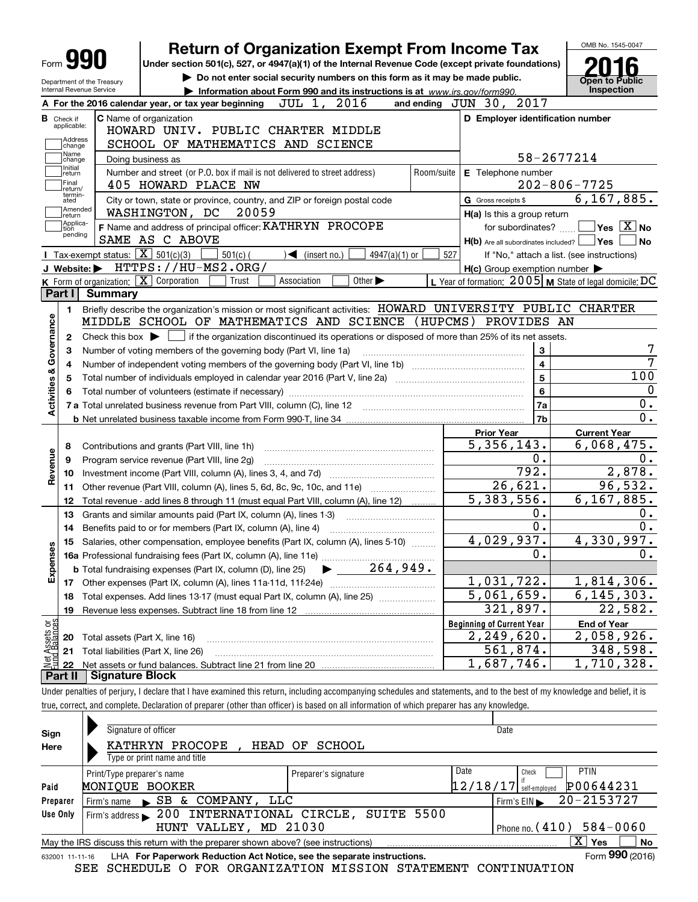| Form <b>YYU</b>                                        |                                                   |                                       | <b>Return of Organization Exempt From Income Tax</b>                                                                                                                              |                               |                                                                                                                                             |               |            |                                  |                                                     |                                                                                                              |
|--------------------------------------------------------|---------------------------------------------------|---------------------------------------|-----------------------------------------------------------------------------------------------------------------------------------------------------------------------------------|-------------------------------|---------------------------------------------------------------------------------------------------------------------------------------------|---------------|------------|----------------------------------|-----------------------------------------------------|--------------------------------------------------------------------------------------------------------------|
|                                                        |                                                   |                                       | Under section 501(c), 527, or 4947(a)(1) of the Internal Revenue Code (except private foundations)<br>Do not enter social security numbers on this form as it may be made public. |                               |                                                                                                                                             |               |            |                                  |                                                     |                                                                                                              |
| Department of the Treasury<br>Internal Revenue Service |                                                   |                                       | Information about Form 990 and its instructions is at www.irs.gov/form990.                                                                                                        |                               |                                                                                                                                             |               |            |                                  |                                                     | Open to Public<br>Inspection                                                                                 |
|                                                        |                                                   |                                       | A For the 2016 calendar year, or tax year beginning                                                                                                                               | JUL 1,                        | 2016                                                                                                                                        |               |            | and ending $JUN$ 30,             | 2017                                                |                                                                                                              |
| <b>B</b> Check if                                      |                                                   | <b>C</b> Name of organization         |                                                                                                                                                                                   |                               |                                                                                                                                             |               |            |                                  |                                                     | D Employer identification number                                                                             |
| applicable:                                            |                                                   |                                       | HOWARD UNIV. PUBLIC CHARTER MIDDLE                                                                                                                                                |                               |                                                                                                                                             |               |            |                                  |                                                     |                                                                                                              |
| Address<br>change                                      |                                                   |                                       | SCHOOL OF MATHEMATICS AND SCIENCE                                                                                                                                                 |                               |                                                                                                                                             |               |            |                                  |                                                     |                                                                                                              |
| Name<br>change                                         |                                                   | Doing business as                     |                                                                                                                                                                                   |                               |                                                                                                                                             |               |            |                                  |                                                     | 58-2677214                                                                                                   |
| Initial<br> return                                     |                                                   |                                       | Number and street (or P.O. box if mail is not delivered to street address)                                                                                                        |                               |                                                                                                                                             |               | Room/suite |                                  | E Telephone number                                  |                                                                                                              |
| Final<br>return/                                       |                                                   |                                       | 405 HOWARD PLACE NW                                                                                                                                                               |                               |                                                                                                                                             |               |            |                                  |                                                     | $202 - 806 - 7725$                                                                                           |
| termin-<br>ated                                        |                                                   |                                       | City or town, state or province, country, and ZIP or foreign postal code                                                                                                          |                               |                                                                                                                                             |               |            | G Gross receipts \$              |                                                     | 6, 167, 885.                                                                                                 |
| Amended<br>∣return                                     |                                                   | WASHINGTON, DC                        | 20059                                                                                                                                                                             |                               |                                                                                                                                             |               |            |                                  | H(a) Is this a group return                         |                                                                                                              |
| Applica-<br>tion                                       |                                                   |                                       | F Name and address of principal officer: KATHRYN PROCOPE                                                                                                                          |                               |                                                                                                                                             |               |            |                                  | for subordinates?                                   | $\sqrt{}$ Yes $\sqrt{}$ No                                                                                   |
| pending                                                |                                                   | SAME AS C ABOVE                       |                                                                                                                                                                                   |                               |                                                                                                                                             |               |            |                                  |                                                     | $H(b)$ Are all subordinates included? $\Box$ Yes                                                             |
|                                                        | Tax-exempt status: $\boxed{\mathbf{X}}$ 501(c)(3) |                                       | $501(c)$ (                                                                                                                                                                        | $\sqrt{\bullet}$ (insert no.) |                                                                                                                                             | 4947(a)(1) or | 527        |                                  |                                                     | If "No," attach a list. (see instructions)                                                                   |
|                                                        |                                                   |                                       | J Website: FITTPS://HU-MS2.ORG/                                                                                                                                                   |                               |                                                                                                                                             |               |            |                                  | $H(c)$ Group exemption number $\blacktriangleright$ |                                                                                                              |
|                                                        |                                                   | K Form of organization: X Corporation | Trust                                                                                                                                                                             | Association                   | Other $\blacktriangleright$                                                                                                                 |               |            |                                  |                                                     | L Year of formation: $2005$ M State of legal domicile: DC                                                    |
| Part I                                                 | <b>Summary</b>                                    |                                       |                                                                                                                                                                                   |                               |                                                                                                                                             |               |            |                                  |                                                     |                                                                                                              |
| 1.                                                     |                                                   |                                       |                                                                                                                                                                                   |                               |                                                                                                                                             |               |            |                                  |                                                     | Briefly describe the organization's mission or most significant activities: HOWARD UNIVERSITY PUBLIC CHARTER |
|                                                        |                                                   |                                       | MIDDLE SCHOOL OF MATHEMATICS AND SCIENCE (HUPCMS) PROVIDES AN                                                                                                                     |                               |                                                                                                                                             |               |            |                                  |                                                     |                                                                                                              |
| З<br>4                                                 |                                                   |                                       | Number of voting members of the governing body (Part VI, line 1a)                                                                                                                 |                               | Check this box $\blacktriangleright$ $\Box$ if the organization discontinued its operations or disposed of more than 25% of its net assets. |               |            |                                  | 3<br>4                                              |                                                                                                              |
| 5<br>6                                                 |                                                   |                                       | Total number of volunteers (estimate if necessary)                                                                                                                                |                               |                                                                                                                                             |               |            |                                  | 5<br>6                                              |                                                                                                              |
|                                                        |                                                   |                                       |                                                                                                                                                                                   |                               |                                                                                                                                             |               |            |                                  | 7a                                                  |                                                                                                              |
| Activities & Governance                                |                                                   |                                       |                                                                                                                                                                                   |                               |                                                                                                                                             |               |            |                                  | 7b                                                  |                                                                                                              |
|                                                        |                                                   |                                       |                                                                                                                                                                                   |                               |                                                                                                                                             |               |            | <b>Prior Year</b>                |                                                     | <b>Current Year</b>                                                                                          |
| 8                                                      |                                                   |                                       | Contributions and grants (Part VIII, line 1h)                                                                                                                                     |                               |                                                                                                                                             |               |            | 5,356,143.                       |                                                     | 6,068,475.                                                                                                   |
| 9                                                      |                                                   |                                       | Program service revenue (Part VIII, line 2g)                                                                                                                                      |                               |                                                                                                                                             |               |            |                                  | О.                                                  |                                                                                                              |
| 10                                                     |                                                   |                                       |                                                                                                                                                                                   |                               |                                                                                                                                             |               |            |                                  | $\overline{792}$ .                                  | 2,878.                                                                                                       |
| Revenue<br>11                                          |                                                   |                                       | Other revenue (Part VIII, column (A), lines 5, 6d, 8c, 9c, 10c, and 11e)                                                                                                          |                               |                                                                                                                                             |               |            |                                  | $\overline{26,621}$ .                               | 96,532.                                                                                                      |
| 12                                                     |                                                   |                                       | Total revenue - add lines 8 through 11 (must equal Part VIII, column (A), line 12)                                                                                                |                               |                                                                                                                                             |               |            |                                  | 5,383,556.                                          | 6, 167, 885.                                                                                                 |
| 13                                                     |                                                   |                                       | Grants and similar amounts paid (Part IX, column (A), lines 1-3)                                                                                                                  |                               |                                                                                                                                             |               |            |                                  | Ο.                                                  |                                                                                                              |
| 14                                                     |                                                   |                                       | Benefits paid to or for members (Part IX, column (A), line 4)                                                                                                                     |                               |                                                                                                                                             |               |            |                                  | $\overline{\mathbf{0}}$ .                           |                                                                                                              |
| w                                                      |                                                   |                                       | 15 Salaries, other compensation, employee benefits (Part IX, column (A), lines 5-10)                                                                                              |                               |                                                                                                                                             |               |            |                                  | 4,029,937.                                          | 4,330,997.                                                                                                   |
|                                                        |                                                   |                                       | 16a Professional fundraising fees (Part IX, column (A), line 11e)                                                                                                                 |                               |                                                                                                                                             |               |            |                                  | 0.                                                  |                                                                                                              |
|                                                        |                                                   |                                       | <b>b</b> Total fundraising expenses (Part IX, column (D), line 25)                                                                                                                |                               | $\blacktriangleright$ 264,949.                                                                                                              |               |            |                                  |                                                     |                                                                                                              |
| Expense<br>17                                          |                                                   |                                       |                                                                                                                                                                                   |                               |                                                                                                                                             |               |            |                                  | 1,031,722.                                          | 1,814,306.                                                                                                   |
| 18                                                     |                                                   |                                       | Total expenses. Add lines 13-17 (must equal Part IX, column (A), line 25)                                                                                                         |                               |                                                                                                                                             |               |            |                                  | 5,061,659.                                          | 6, 145, 303.                                                                                                 |
| 19                                                     |                                                   |                                       |                                                                                                                                                                                   |                               |                                                                                                                                             |               |            |                                  | 321,897.                                            | 22,582.                                                                                                      |
|                                                        |                                                   |                                       |                                                                                                                                                                                   |                               |                                                                                                                                             |               |            | <b>Beginning of Current Year</b> |                                                     | <b>End of Year</b>                                                                                           |
| 20                                                     |                                                   | Total assets (Part X, line 16)        |                                                                                                                                                                                   |                               |                                                                                                                                             |               |            |                                  | 2,249,620.                                          | 2,058,926.                                                                                                   |
| 21                                                     |                                                   | Total liabilities (Part X, line 26)   |                                                                                                                                                                                   |                               |                                                                                                                                             |               |            |                                  | 561,874.                                            | 348,598.                                                                                                     |
| t Assets or<br>d Balances<br>22                        | <b>Signature Block</b>                            |                                       |                                                                                                                                                                                   |                               |                                                                                                                                             |               |            |                                  | 1,687,746.                                          | 1,710,328.                                                                                                   |

| Declaration of preparer (other than officer)<br>) is based on all information of which preparer !<br>. and complete.<br>true, correct.<br>r has any knowledge. |  |                                                            |      |  |  |  |  |  |
|----------------------------------------------------------------------------------------------------------------------------------------------------------------|--|------------------------------------------------------------|------|--|--|--|--|--|
|                                                                                                                                                                |  |                                                            |      |  |  |  |  |  |
| Sign                                                                                                                                                           |  | Signature of officer                                       | Date |  |  |  |  |  |
|                                                                                                                                                                |  | $--- - - - - - - - - - - -$<br>$- - - - - - - - - - - - -$ |      |  |  |  |  |  |

| Here                                                                                                          | KATHRYN PROCOPE                                     | HEAD OF SCHOOL       |                          |              |             |  |  |  |  |  |
|---------------------------------------------------------------------------------------------------------------|-----------------------------------------------------|----------------------|--------------------------|--------------|-------------|--|--|--|--|--|
|                                                                                                               | Type or print name and title                        |                      |                          |              |             |  |  |  |  |  |
|                                                                                                               | Print/Type preparer's name                          | Preparer's signature | Date                     | Check        | <b>PTIN</b> |  |  |  |  |  |
| Paid                                                                                                          | MONIOUE BOOKER                                      |                      | $12/18/17$ self-employed |              | P00644231   |  |  |  |  |  |
| Preparer                                                                                                      | Firm's name SB & COMPANY, LLC                       |                      |                          | Firm's $EIN$ | 20-2153727  |  |  |  |  |  |
| Use Only                                                                                                      | Firm's address 200 INTERNATIONAL CIRCLE, SUITE 5500 |                      |                          |              |             |  |  |  |  |  |
|                                                                                                               | Phone no. $(410)$ 584-0060<br>HUNT VALLEY, MD 21030 |                      |                          |              |             |  |  |  |  |  |
| ΧI<br><b>No</b><br>∣ Yes<br>May the IRS discuss this return with the preparer shown above? (see instructions) |                                                     |                      |                          |              |             |  |  |  |  |  |
| Form 990 (2016)<br>LHA For Paperwork Reduction Act Notice, see the separate instructions.<br>632001 11-11-16  |                                                     |                      |                          |              |             |  |  |  |  |  |

SEE SCHEDULE O FOR ORGANIZATION MISSION STATEMENT CONTINUATION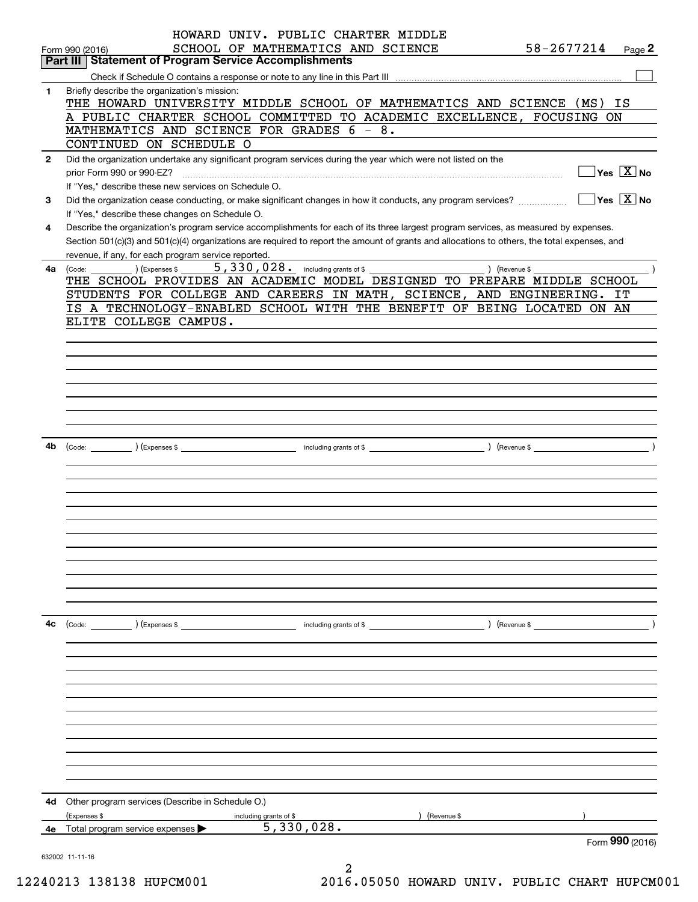|              | HOWARD UNIV. PUBLIC CHARTER MIDDLE                                                                                                           |
|--------------|----------------------------------------------------------------------------------------------------------------------------------------------|
|              | 58-2677214<br>SCHOOL OF MATHEMATICS AND SCIENCE<br>Page 2<br>Form 990 (2016)                                                                 |
|              | <b>Part III   Statement of Program Service Accomplishments</b>                                                                               |
|              |                                                                                                                                              |
| 1            | Briefly describe the organization's mission:                                                                                                 |
|              | THE HOWARD UNIVERSITY MIDDLE SCHOOL OF MATHEMATICS AND SCIENCE (MS)<br>ΙS                                                                    |
|              | A PUBLIC CHARTER SCHOOL COMMITTED TO ACADEMIC EXCELLENCE, FOCUSING ON                                                                        |
|              | MATHEMATICS AND SCIENCE FOR GRADES 6 - 8.                                                                                                    |
|              | CONTINUED ON SCHEDULE O                                                                                                                      |
| $\mathbf{2}$ | Did the organization undertake any significant program services during the year which were not listed on the                                 |
|              | $\sqrt{}$ Yes $\sqrt{}$ X $\sqrt{}$ No                                                                                                       |
|              | If "Yes," describe these new services on Schedule O.                                                                                         |
| 3            | $\sqrt{}$ Yes $\sqrt{X}$ No<br>Did the organization cease conducting, or make significant changes in how it conducts, any program services?  |
|              | If "Yes," describe these changes on Schedule O.                                                                                              |
| 4            | Describe the organization's program service accomplishments for each of its three largest program services, as measured by expenses.         |
|              | Section 501(c)(3) and 501(c)(4) organizations are required to report the amount of grants and allocations to others, the total expenses, and |
|              | revenue, if any, for each program service reported.<br>5,330,028. including grants of \$                                                     |
| 4a           | (Expenses \$<br>) (Revenue \$<br>(Code:<br>THE SCHOOL PROVIDES AN ACADEMIC MODEL DESIGNED TO PREPARE MIDDLE SCHOOL                           |
|              | STUDENTS FOR COLLEGE AND CAREERS IN MATH, SCIENCE, AND ENGINEERING.<br>IT                                                                    |
|              | IS A TECHNOLOGY-ENABLED SCHOOL WITH THE BENEFIT OF BEING LOCATED ON AN                                                                       |
|              | ELITE COLLEGE CAMPUS.                                                                                                                        |
|              |                                                                                                                                              |
|              |                                                                                                                                              |
|              |                                                                                                                                              |
|              |                                                                                                                                              |
|              |                                                                                                                                              |
|              |                                                                                                                                              |
|              |                                                                                                                                              |
|              |                                                                                                                                              |
| 4b           |                                                                                                                                              |
|              |                                                                                                                                              |
|              |                                                                                                                                              |
|              |                                                                                                                                              |
|              |                                                                                                                                              |
|              |                                                                                                                                              |
|              |                                                                                                                                              |
|              |                                                                                                                                              |
|              |                                                                                                                                              |
|              |                                                                                                                                              |
|              |                                                                                                                                              |
|              |                                                                                                                                              |
|              |                                                                                                                                              |
| 4с           |                                                                                                                                              |
|              |                                                                                                                                              |
|              |                                                                                                                                              |
|              |                                                                                                                                              |
|              |                                                                                                                                              |
|              |                                                                                                                                              |
|              |                                                                                                                                              |
|              |                                                                                                                                              |
|              |                                                                                                                                              |
|              |                                                                                                                                              |
|              |                                                                                                                                              |
|              |                                                                                                                                              |
|              |                                                                                                                                              |
|              | 4d Other program services (Describe in Schedule O.)                                                                                          |
|              | ) (Revenue \$<br>(Expenses \$<br>including grants of \$<br>5,330,028.                                                                        |
| 4е           | Total program service expenses $\blacktriangleright$<br>Form 990 (2016)                                                                      |
|              | 632002 11-11-16                                                                                                                              |
|              |                                                                                                                                              |

2 12240213 138138 HUPCM001 2016.05050 HOWARD UNIV. PUBLIC CHART HUPCM001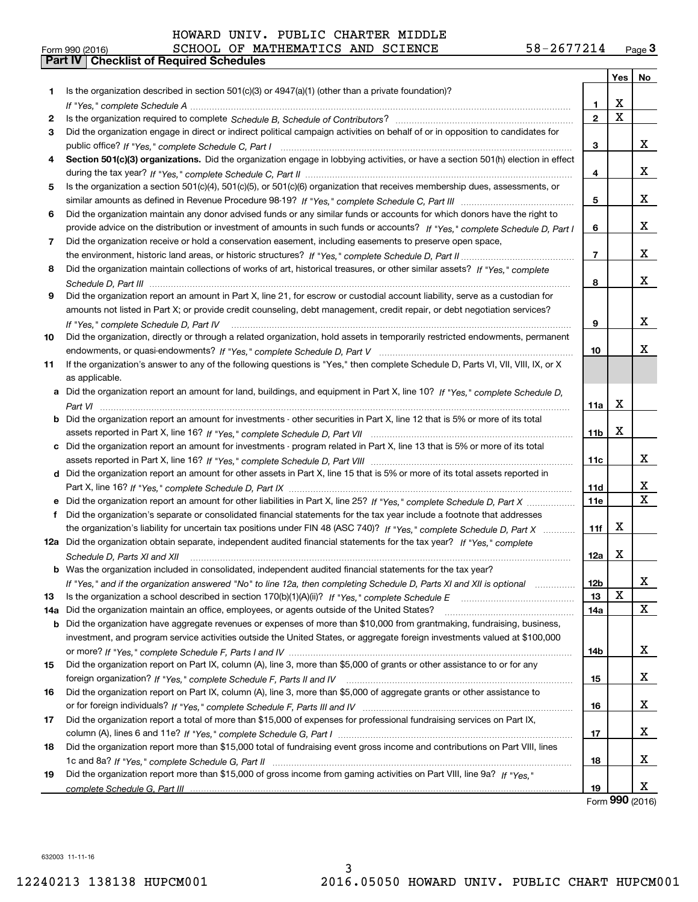|     |                                                                                                                                      |                 | Yes | No                      |
|-----|--------------------------------------------------------------------------------------------------------------------------------------|-----------------|-----|-------------------------|
| 1.  | Is the organization described in section $501(c)(3)$ or $4947(a)(1)$ (other than a private foundation)?                              |                 |     |                         |
|     |                                                                                                                                      | 1               | x   |                         |
| 2   |                                                                                                                                      | $\overline{2}$  | X   |                         |
| 3   | Did the organization engage in direct or indirect political campaign activities on behalf of or in opposition to candidates for      |                 |     |                         |
|     |                                                                                                                                      | 3               |     | X                       |
|     | Section 501(c)(3) organizations. Did the organization engage in lobbying activities, or have a section 501(h) election in effect     |                 |     |                         |
|     |                                                                                                                                      | 4               |     | x                       |
| 5   | Is the organization a section 501(c)(4), 501(c)(5), or 501(c)(6) organization that receives membership dues, assessments, or         |                 |     |                         |
|     |                                                                                                                                      | 5               |     | x                       |
| 6   | Did the organization maintain any donor advised funds or any similar funds or accounts for which donors have the right to            |                 |     |                         |
|     | provide advice on the distribution or investment of amounts in such funds or accounts? If "Yes," complete Schedule D, Part I         | 6               |     | x                       |
| 7   | Did the organization receive or hold a conservation easement, including easements to preserve open space,                            |                 |     |                         |
|     |                                                                                                                                      | 7               |     | x                       |
| 8   | Did the organization maintain collections of works of art, historical treasures, or other similar assets? If "Yes," complete         |                 |     |                         |
|     |                                                                                                                                      | 8               |     | x                       |
| 9   | Did the organization report an amount in Part X, line 21, for escrow or custodial account liability, serve as a custodian for        |                 |     |                         |
|     | amounts not listed in Part X; or provide credit counseling, debt management, credit repair, or debt negotiation services?            |                 |     |                         |
|     | If "Yes," complete Schedule D, Part IV                                                                                               | 9               |     | x                       |
| 10  | Did the organization, directly or through a related organization, hold assets in temporarily restricted endowments, permanent        |                 |     |                         |
|     |                                                                                                                                      | 10              |     | х                       |
| 11  | If the organization's answer to any of the following questions is "Yes," then complete Schedule D, Parts VI, VIII, VIII, IX, or X    |                 |     |                         |
|     | as applicable.                                                                                                                       |                 |     |                         |
|     | a Did the organization report an amount for land, buildings, and equipment in Part X, line 10? If "Yes," complete Schedule D,        |                 |     |                         |
|     |                                                                                                                                      | 11a             | х   |                         |
|     | <b>b</b> Did the organization report an amount for investments - other securities in Part X, line 12 that is 5% or more of its total |                 |     |                         |
|     |                                                                                                                                      | 11 <sub>b</sub> | x   |                         |
|     | c Did the organization report an amount for investments - program related in Part X, line 13 that is 5% or more of its total         |                 |     |                         |
|     |                                                                                                                                      | 11c             |     | X                       |
|     | d Did the organization report an amount for other assets in Part X, line 15 that is 5% or more of its total assets reported in       |                 |     |                         |
|     |                                                                                                                                      | <b>11d</b>      |     | X                       |
|     |                                                                                                                                      | <b>11e</b>      |     | $\overline{\mathbf{x}}$ |
| f   | Did the organization's separate or consolidated financial statements for the tax year include a footnote that addresses              |                 |     |                         |
|     | the organization's liability for uncertain tax positions under FIN 48 (ASC 740)? If "Yes," complete Schedule D, Part X               | 11f             | x   |                         |
|     | 12a Did the organization obtain separate, independent audited financial statements for the tax year? If "Yes." complete              |                 |     |                         |
|     | Schedule D, Parts XI and XII                                                                                                         | 12a             | x   |                         |
|     | <b>b</b> Was the organization included in consolidated, independent audited financial statements for the tax year?                   |                 |     |                         |
|     | If "Yes," and if the organization answered "No" to line 12a, then completing Schedule D, Parts XI and XII is optional manum          | 12 <sub>b</sub> |     | х                       |
| 13  |                                                                                                                                      | 13              | x   |                         |
| 14a | Did the organization maintain an office, employees, or agents outside of the United States?                                          | 14a             |     | X                       |
|     | b Did the organization have aggregate revenues or expenses of more than \$10,000 from grantmaking, fundraising, business,            |                 |     |                         |
|     | investment, and program service activities outside the United States, or aggregate foreign investments valued at \$100,000           |                 |     |                         |
|     |                                                                                                                                      | 14b             |     | x                       |
| 15  | Did the organization report on Part IX, column (A), line 3, more than \$5,000 of grants or other assistance to or for any            |                 |     |                         |
|     |                                                                                                                                      | 15              |     | X                       |
| 16  | Did the organization report on Part IX, column (A), line 3, more than \$5,000 of aggregate grants or other assistance to             |                 |     |                         |
|     |                                                                                                                                      | 16              |     | x                       |
| 17  | Did the organization report a total of more than \$15,000 of expenses for professional fundraising services on Part IX,              |                 |     |                         |
|     |                                                                                                                                      | 17              |     | x                       |
| 18  | Did the organization report more than \$15,000 total of fundraising event gross income and contributions on Part VIII, lines         |                 |     |                         |
|     |                                                                                                                                      | 18              |     | x                       |
| 19  | Did the organization report more than \$15,000 of gross income from gaming activities on Part VIII, line 9a? If "Yes."               |                 |     |                         |
|     |                                                                                                                                      | 19              | ההה | x                       |

Form (2016) **990**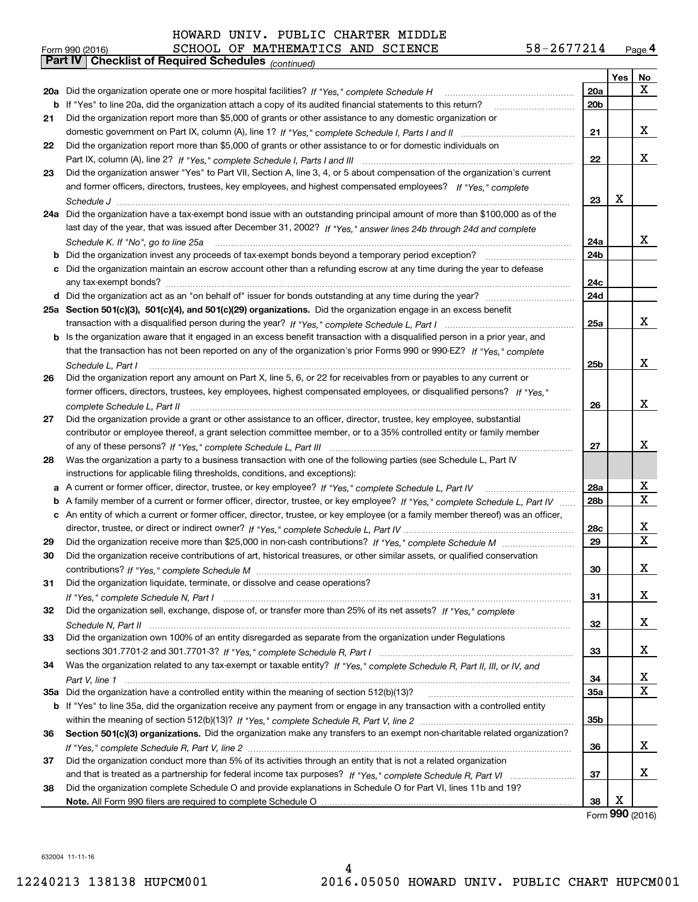| Form 990 (2016) |                                                       |  | SCHOOL OF MATHEMATICS AND SCIENCE |  | 58-2677214 | Page $4$ |
|-----------------|-------------------------------------------------------|--|-----------------------------------|--|------------|----------|
|                 | Part IV   Checklist of Required Schedules (continued) |  |                                   |  |            |          |

|    | Pall IV  <br>Crieckist of Required Scriedules (continued)                                                                         |                 |            |                   |
|----|-----------------------------------------------------------------------------------------------------------------------------------|-----------------|------------|-------------------|
|    |                                                                                                                                   |                 | <b>Yes</b> | No                |
|    | 20a Did the organization operate one or more hospital facilities? If "Yes," complete Schedule H                                   | 20a             |            | X.                |
| b  | If "Yes" to line 20a, did the organization attach a copy of its audited financial statements to this return?                      | 20 <sub>b</sub> |            |                   |
| 21 | Did the organization report more than \$5,000 of grants or other assistance to any domestic organization or                       |                 |            |                   |
|    |                                                                                                                                   | 21              |            | x                 |
| 22 | Did the organization report more than \$5,000 of grants or other assistance to or for domestic individuals on                     |                 |            |                   |
|    |                                                                                                                                   | 22              |            | x                 |
| 23 | Did the organization answer "Yes" to Part VII, Section A, line 3, 4, or 5 about compensation of the organization's current        |                 |            |                   |
|    | and former officers, directors, trustees, key employees, and highest compensated employees? If "Yes," complete                    |                 |            |                   |
|    |                                                                                                                                   | 23              | X          |                   |
|    | 24a Did the organization have a tax-exempt bond issue with an outstanding principal amount of more than \$100,000 as of the       |                 |            |                   |
|    | last day of the year, that was issued after December 31, 2002? If "Yes," answer lines 24b through 24d and complete                |                 |            |                   |
|    | Schedule K. If "No", go to line 25a                                                                                               | 24a             |            | x                 |
|    | <b>b</b> Did the organization invest any proceeds of tax-exempt bonds beyond a temporary period exception?                        | 24b             |            |                   |
|    | c Did the organization maintain an escrow account other than a refunding escrow at any time during the year to defease            |                 |            |                   |
|    |                                                                                                                                   | 24c             |            |                   |
|    |                                                                                                                                   | 24d             |            |                   |
|    | 25a Section 501(c)(3), 501(c)(4), and 501(c)(29) organizations. Did the organization engage in an excess benefit                  |                 |            |                   |
|    |                                                                                                                                   | 25a             |            | x                 |
|    | b Is the organization aware that it engaged in an excess benefit transaction with a disqualified person in a prior year, and      |                 |            |                   |
|    | that the transaction has not been reported on any of the organization's prior Forms 990 or 990-EZ? If "Yes," complete             |                 |            |                   |
|    | Schedule L. Part I                                                                                                                | 25b             |            | x                 |
| 26 | Did the organization report any amount on Part X, line 5, 6, or 22 for receivables from or payables to any current or             |                 |            |                   |
|    | former officers, directors, trustees, key employees, highest compensated employees, or disqualified persons? If "Yes."            |                 |            |                   |
|    |                                                                                                                                   | 26              |            | x                 |
| 27 | Did the organization provide a grant or other assistance to an officer, director, trustee, key employee, substantial              |                 |            |                   |
|    | contributor or employee thereof, a grant selection committee member, or to a 35% controlled entity or family member               |                 |            |                   |
|    |                                                                                                                                   | 27              |            | x                 |
| 28 | Was the organization a party to a business transaction with one of the following parties (see Schedule L, Part IV                 |                 |            |                   |
|    | instructions for applicable filing thresholds, conditions, and exceptions):                                                       |                 |            |                   |
|    | a A current or former officer, director, trustee, or key employee? If "Yes," complete Schedule L, Part IV                         | 28a             |            | х                 |
|    | b A family member of a current or former officer, director, trustee, or key employee? If "Yes," complete Schedule L, Part IV      | 28 <sub>b</sub> |            | X                 |
|    | c An entity of which a current or former officer, director, trustee, or key employee (or a family member thereof) was an officer, |                 |            |                   |
|    |                                                                                                                                   | 28c             |            | х                 |
| 29 |                                                                                                                                   | 29              |            | X                 |
| 30 | Did the organization receive contributions of art, historical treasures, or other similar assets, or qualified conservation       |                 |            |                   |
|    |                                                                                                                                   | 30              |            | Χ                 |
| 31 | Did the organization liquidate, terminate, or dissolve and cease operations?                                                      |                 |            |                   |
|    |                                                                                                                                   | 31              |            | x                 |
| 32 | Did the organization sell, exchange, dispose of, or transfer more than 25% of its net assets? If "Yes," complete                  |                 |            |                   |
|    |                                                                                                                                   | 32              |            | X                 |
| 33 | Did the organization own 100% of an entity disregarded as separate from the organization under Regulations                        |                 |            |                   |
|    |                                                                                                                                   | 33              |            | x                 |
| 34 | Was the organization related to any tax-exempt or taxable entity? If "Yes," complete Schedule R, Part II, III, or IV, and         |                 |            |                   |
|    |                                                                                                                                   | 34              |            | x                 |
|    | 35a Did the organization have a controlled entity within the meaning of section 512(b)(13)?                                       | <b>35a</b>      |            | X                 |
|    | b If "Yes" to line 35a, did the organization receive any payment from or engage in any transaction with a controlled entity       |                 |            |                   |
|    |                                                                                                                                   | 35b             |            |                   |
| 36 | Section 501(c)(3) organizations. Did the organization make any transfers to an exempt non-charitable related organization?        |                 |            |                   |
|    |                                                                                                                                   | 36              |            | x                 |
| 37 | Did the organization conduct more than 5% of its activities through an entity that is not a related organization                  |                 |            |                   |
|    |                                                                                                                                   | 37              |            | x                 |
| 38 | Did the organization complete Schedule O and provide explanations in Schedule O for Part VI, lines 11b and 19?                    |                 | X          |                   |
|    |                                                                                                                                   | 38              |            | Form $990$ (2016) |
|    |                                                                                                                                   |                 |            |                   |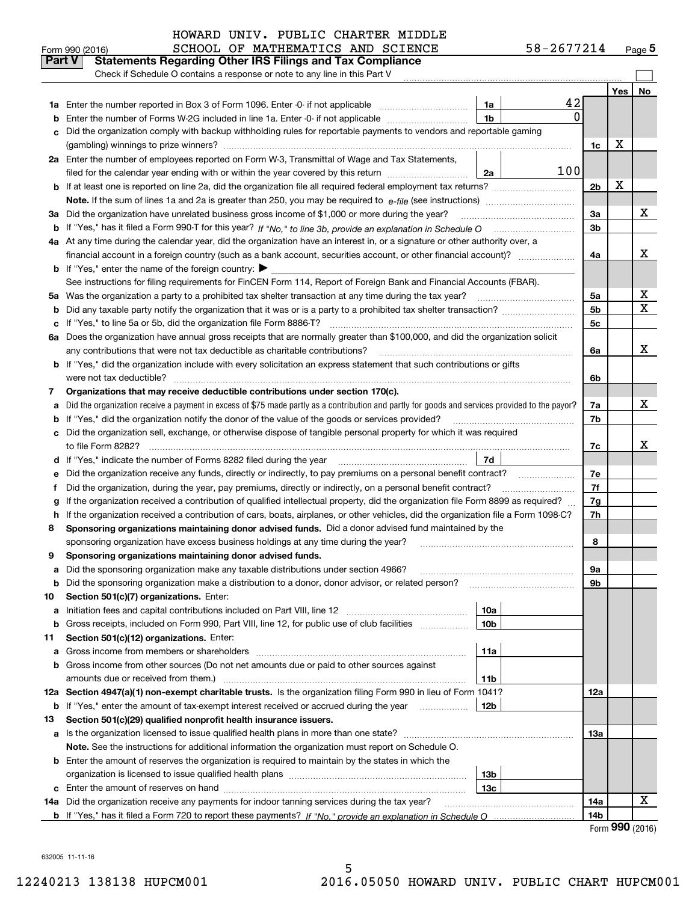|         | Check if Schedule O contains a response or note to any line in this Part V                                                                                                                                   |                 |                            |    |
|---------|--------------------------------------------------------------------------------------------------------------------------------------------------------------------------------------------------------------|-----------------|----------------------------|----|
|         |                                                                                                                                                                                                              |                 | Yes                        | No |
|         | 42<br><b>1a</b> Enter the number reported in Box 3 of Form 1096. Enter -0- if not applicable<br>1a                                                                                                           |                 |                            |    |
| b       | 0<br>Enter the number of Forms W-2G included in line 1a. Enter -0- if not applicable<br>1b                                                                                                                   |                 |                            |    |
| c       | Did the organization comply with backup withholding rules for reportable payments to vendors and reportable gaming                                                                                           |                 |                            |    |
|         |                                                                                                                                                                                                              | 1c              | х                          |    |
|         | 2a Enter the number of employees reported on Form W-3, Transmittal of Wage and Tax Statements,                                                                                                               |                 |                            |    |
|         | 100<br>filed for the calendar year ending with or within the year covered by this return<br>2a                                                                                                               |                 |                            |    |
|         |                                                                                                                                                                                                              | 2 <sub>b</sub>  | x                          |    |
|         | <b>Note.</b> If the sum of lines 1a and 2a is greater than 250, you may be required to $e$ - <i>file</i> (see instructions)                                                                                  |                 |                            |    |
|         | 3a Did the organization have unrelated business gross income of \$1,000 or more during the year?                                                                                                             | 3a              |                            | x  |
|         | b If "Yes," has it filed a Form 990-T for this year? If "No," to line 3b, provide an explanation in Schedule O                                                                                               | 3 <sub>b</sub>  |                            |    |
|         | 4a At any time during the calendar year, did the organization have an interest in, or a signature or other authority over, a                                                                                 |                 |                            |    |
|         | financial account in a foreign country (such as a bank account, securities account, or other financial account)?                                                                                             | 4a              |                            | x  |
|         | <b>b</b> If "Yes," enter the name of the foreign country: $\blacktriangleright$                                                                                                                              |                 |                            |    |
|         | See instructions for filing requirements for FinCEN Form 114, Report of Foreign Bank and Financial Accounts (FBAR).                                                                                          |                 |                            |    |
|         | 5a Was the organization a party to a prohibited tax shelter transaction at any time during the tax year?                                                                                                     | 5a              |                            | X  |
| b       |                                                                                                                                                                                                              | 5 <sub>b</sub>  |                            | X  |
|         | c If "Yes," to line 5a or 5b, did the organization file Form 8886-T?                                                                                                                                         | 5c              |                            |    |
|         | 6a Does the organization have annual gross receipts that are normally greater than \$100,000, and did the organization solicit                                                                               |                 |                            | x  |
|         | any contributions that were not tax deductible as charitable contributions?<br><b>b</b> If "Yes," did the organization include with every solicitation an express statement that such contributions or gifts | 6a              |                            |    |
|         | were not tax deductible?                                                                                                                                                                                     | 6b              |                            |    |
| 7.      | Organizations that may receive deductible contributions under section 170(c).                                                                                                                                |                 |                            |    |
| а       | Did the organization receive a payment in excess of \$75 made partly as a contribution and partly for goods and services provided to the payor?                                                              | 7a              |                            | x  |
| b       | If "Yes," did the organization notify the donor of the value of the goods or services provided?                                                                                                              | 7b              |                            |    |
|         | c Did the organization sell, exchange, or otherwise dispose of tangible personal property for which it was required                                                                                          |                 |                            |    |
|         | to file Form 8282?                                                                                                                                                                                           | 7с              |                            | x  |
|         | 7d<br>d If "Yes," indicate the number of Forms 8282 filed during the year                                                                                                                                    |                 |                            |    |
| е       | Did the organization receive any funds, directly or indirectly, to pay premiums on a personal benefit contract?                                                                                              | 7e              |                            |    |
| f       | Did the organization, during the year, pay premiums, directly or indirectly, on a personal benefit contract?                                                                                                 | 7f              |                            |    |
| g       | If the organization received a contribution of qualified intellectual property, did the organization file Form 8899 as required?                                                                             | 7g              |                            |    |
| h.      | If the organization received a contribution of cars, boats, airplanes, or other vehicles, did the organization file a Form 1098-C?                                                                           | 7h              |                            |    |
| 8       | Sponsoring organizations maintaining donor advised funds. Did a donor advised fund maintained by the                                                                                                         |                 |                            |    |
|         | sponsoring organization have excess business holdings at any time during the year?                                                                                                                           | 8               |                            |    |
| 9       | Sponsoring organizations maintaining donor advised funds.                                                                                                                                                    |                 |                            |    |
| а       | Did the sponsoring organization make any taxable distributions under section 4966?                                                                                                                           | 9a              |                            |    |
|         | <b>b</b> Did the sponsoring organization make a distribution to a donor, donor advisor, or related person?                                                                                                   | 9b              |                            |    |
| 10<br>а | Section 501(c)(7) organizations. Enter:<br>10a                                                                                                                                                               |                 |                            |    |
| b       | Gross receipts, included on Form 990, Part VIII, line 12, for public use of club facilities<br>10 <sub>b</sub>                                                                                               |                 |                            |    |
| 11      | Section 501(c)(12) organizations. Enter:                                                                                                                                                                     |                 |                            |    |
| а       | Gross income from members or shareholders<br>11a                                                                                                                                                             |                 |                            |    |
| b       | Gross income from other sources (Do not net amounts due or paid to other sources against                                                                                                                     |                 |                            |    |
|         | 11b                                                                                                                                                                                                          |                 |                            |    |
|         | 12a Section 4947(a)(1) non-exempt charitable trusts. Is the organization filing Form 990 in lieu of Form 1041?                                                                                               | 12a             |                            |    |
|         | <b>b</b> If "Yes," enter the amount of tax-exempt interest received or accrued during the year<br>12b                                                                                                        |                 |                            |    |
| 13      | Section 501(c)(29) qualified nonprofit health insurance issuers.                                                                                                                                             |                 |                            |    |
|         | a Is the organization licensed to issue qualified health plans in more than one state?                                                                                                                       | 13а             |                            |    |
|         | Note. See the instructions for additional information the organization must report on Schedule O.                                                                                                            |                 |                            |    |
|         | <b>b</b> Enter the amount of reserves the organization is required to maintain by the states in which the                                                                                                    |                 |                            |    |
|         | 13 <sub>b</sub>                                                                                                                                                                                              |                 |                            |    |
|         | 13с                                                                                                                                                                                                          |                 |                            |    |
|         | 14a Did the organization receive any payments for indoor tanning services during the tax year?                                                                                                               | 14a             |                            | х  |
|         |                                                                                                                                                                                                              | 14 <sub>b</sub> | $F_{\text{arm}}$ 990 (2016 |    |

Form (2016) **990**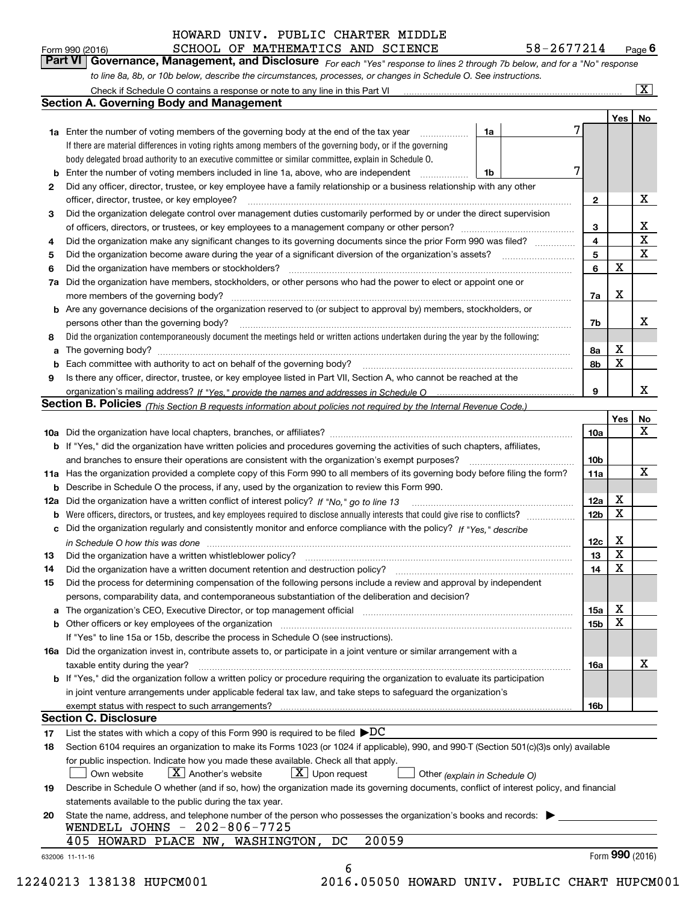SCHOOL OF MATHEMATICS AND SCIENCE 58-2677214

*For each "Yes" response to lines 2 through 7b below, and for a "No" response to line 8a, 8b, or 10b below, describe the circumstances, processes, or changes in Schedule O. See instructions.* Form 990 (2016) **CHOOL OF MATHEMATICS AND SCIENCE** 58-2677214 Page 6<br>**Part VI Governance, Management, and Disclosure** For each "Yes" response to lines 2 through 7b below, and for a "No" response

|    | Section A. Governing Body and Management                                                                                                                                                                                       |                 | Yes   No                   |                         |  |  |  |  |  |
|----|--------------------------------------------------------------------------------------------------------------------------------------------------------------------------------------------------------------------------------|-----------------|----------------------------|-------------------------|--|--|--|--|--|
|    | 1a<br><b>1a</b> Enter the number of voting members of the governing body at the end of the tax year <i>manumum</i>                                                                                                             |                 |                            |                         |  |  |  |  |  |
|    | If there are material differences in voting rights among members of the governing body, or if the governing                                                                                                                    |                 |                            |                         |  |  |  |  |  |
|    | body delegated broad authority to an executive committee or similar committee, explain in Schedule O.                                                                                                                          |                 |                            |                         |  |  |  |  |  |
|    | <b>b</b> Enter the number of voting members included in line 1a, above, who are independent <i>manument</i> in<br>1b                                                                                                           | 7               |                            |                         |  |  |  |  |  |
| 2  | Did any officer, director, trustee, or key employee have a family relationship or a business relationship with any other                                                                                                       |                 |                            |                         |  |  |  |  |  |
|    | officer, director, trustee, or key employee?                                                                                                                                                                                   | $\mathbf{2}$    |                            | Х                       |  |  |  |  |  |
| З  | Did the organization delegate control over management duties customarily performed by or under the direct supervision                                                                                                          |                 |                            |                         |  |  |  |  |  |
|    |                                                                                                                                                                                                                                | 3               |                            | $\mathbf{X}$            |  |  |  |  |  |
| 4  | Did the organization make any significant changes to its governing documents since the prior Form 990 was filed?                                                                                                               | $\overline{4}$  |                            | $\overline{\textbf{x}}$ |  |  |  |  |  |
| 5  |                                                                                                                                                                                                                                | $5\phantom{a}$  |                            | $\overline{\mathbf{x}}$ |  |  |  |  |  |
| 6  |                                                                                                                                                                                                                                | 6               | X                          |                         |  |  |  |  |  |
|    | 7a Did the organization have members, stockholders, or other persons who had the power to elect or appoint one or                                                                                                              |                 |                            |                         |  |  |  |  |  |
|    |                                                                                                                                                                                                                                |                 | X                          |                         |  |  |  |  |  |
|    | <b>b</b> Are any governance decisions of the organization reserved to (or subject to approval by) members, stockholders, or                                                                                                    | 7a              |                            |                         |  |  |  |  |  |
|    |                                                                                                                                                                                                                                |                 |                            | х                       |  |  |  |  |  |
|    | persons other than the governing body?                                                                                                                                                                                         | 7b              |                            |                         |  |  |  |  |  |
| 8  | Did the organization contemporaneously document the meetings held or written actions undertaken during the year by the following:                                                                                              |                 |                            |                         |  |  |  |  |  |
|    |                                                                                                                                                                                                                                | 8а              | $\mathbf X$<br>$\mathbf X$ |                         |  |  |  |  |  |
|    |                                                                                                                                                                                                                                | 8b              |                            |                         |  |  |  |  |  |
| 9  | Is there any officer, director, trustee, or key employee listed in Part VII, Section A, who cannot be reached at the                                                                                                           |                 |                            | X                       |  |  |  |  |  |
|    |                                                                                                                                                                                                                                | 9               |                            |                         |  |  |  |  |  |
|    | Section B. Policies (This Section B requests information about policies not required by the Internal Revenue Code.)                                                                                                            |                 |                            |                         |  |  |  |  |  |
|    |                                                                                                                                                                                                                                |                 | Yes                        | No<br>X                 |  |  |  |  |  |
|    |                                                                                                                                                                                                                                | 10a             |                            |                         |  |  |  |  |  |
|    | b If "Yes," did the organization have written policies and procedures governing the activities of such chapters, affiliates,                                                                                                   |                 |                            |                         |  |  |  |  |  |
|    |                                                                                                                                                                                                                                | 10 <sub>b</sub> |                            |                         |  |  |  |  |  |
|    | 11a Has the organization provided a complete copy of this Form 990 to all members of its governing body before filing the form?                                                                                                | 11a             |                            | $\mathbf X$             |  |  |  |  |  |
|    | <b>b</b> Describe in Schedule O the process, if any, used by the organization to review this Form 990.                                                                                                                         |                 |                            |                         |  |  |  |  |  |
|    |                                                                                                                                                                                                                                | 12a             | х                          |                         |  |  |  |  |  |
|    |                                                                                                                                                                                                                                | 12 <sub>b</sub> | $\mathbf X$                |                         |  |  |  |  |  |
|    | c Did the organization regularly and consistently monitor and enforce compliance with the policy? If "Yes." describe                                                                                                           |                 |                            |                         |  |  |  |  |  |
|    | in Schedule O how this was done with the control of the control of the control of the control of the control o                                                                                                                 | 12c             | х                          |                         |  |  |  |  |  |
| 13 |                                                                                                                                                                                                                                | 13              | X                          |                         |  |  |  |  |  |
| 14 | Did the organization have a written document retention and destruction policy?<br>The organization have a written document retention and destruction policy?                                                                   | 14              | $\mathbf X$                |                         |  |  |  |  |  |
| 15 | Did the process for determining compensation of the following persons include a review and approval by independent                                                                                                             |                 |                            |                         |  |  |  |  |  |
|    | persons, comparability data, and contemporaneous substantiation of the deliberation and decision?                                                                                                                              |                 |                            |                         |  |  |  |  |  |
|    | a The organization's CEO, Executive Director, or top management official [11] [12] The organization's CEO, Executive Director, or top management official [12] [12] [12] [12] The organization's CEO, Executive Director, or t | 15a             | х                          |                         |  |  |  |  |  |
|    | b Other officers or key employees of the organization manufactured content to the organization manufactured by Other officers or key employees of the organization manufactured content of the organization manufactured by Ot | 15b             | X                          |                         |  |  |  |  |  |
|    | If "Yes" to line 15a or 15b, describe the process in Schedule O (see instructions).                                                                                                                                            |                 |                            |                         |  |  |  |  |  |
|    | 16a Did the organization invest in, contribute assets to, or participate in a joint venture or similar arrangement with a                                                                                                      |                 |                            |                         |  |  |  |  |  |
|    | taxable entity during the year?                                                                                                                                                                                                | 16a             |                            | X                       |  |  |  |  |  |
|    | b If "Yes," did the organization follow a written policy or procedure requiring the organization to evaluate its participation                                                                                                 |                 |                            |                         |  |  |  |  |  |
|    | in joint venture arrangements under applicable federal tax law, and take steps to safeguard the organization's                                                                                                                 |                 |                            |                         |  |  |  |  |  |
|    |                                                                                                                                                                                                                                | 16b             |                            |                         |  |  |  |  |  |
|    | <b>Section C. Disclosure</b>                                                                                                                                                                                                   |                 |                            |                         |  |  |  |  |  |
| 17 | List the states with which a copy of this Form 990 is required to be filed $\blacktriangleright DC$                                                                                                                            |                 |                            |                         |  |  |  |  |  |
| 18 | Section 6104 requires an organization to make its Forms 1023 (or 1024 if applicable), 990, and 990-T (Section 501(c)(3)s only) available                                                                                       |                 |                            |                         |  |  |  |  |  |
|    | for public inspection. Indicate how you made these available. Check all that apply.                                                                                                                                            |                 |                            |                         |  |  |  |  |  |
|    | $\lfloor x \rfloor$ Another's website<br>$X$ Upon request<br>Own website<br>Other (explain in Schedule O)                                                                                                                      |                 |                            |                         |  |  |  |  |  |
| 19 | Describe in Schedule O whether (and if so, how) the organization made its governing documents, conflict of interest policy, and financial                                                                                      |                 |                            |                         |  |  |  |  |  |
|    | statements available to the public during the tax year.                                                                                                                                                                        |                 |                            |                         |  |  |  |  |  |
| 20 | State the name, address, and telephone number of the person who possesses the organization's books and records:                                                                                                                |                 |                            |                         |  |  |  |  |  |
|    | WENDELL JOHNS - 202-806-7725                                                                                                                                                                                                   |                 |                            |                         |  |  |  |  |  |
|    |                                                                                                                                                                                                                                |                 |                            |                         |  |  |  |  |  |
|    | 20059<br>405 HOWARD PLACE NW, WASHINGTON, DC                                                                                                                                                                                   |                 | Form $990$ (2016)          |                         |  |  |  |  |  |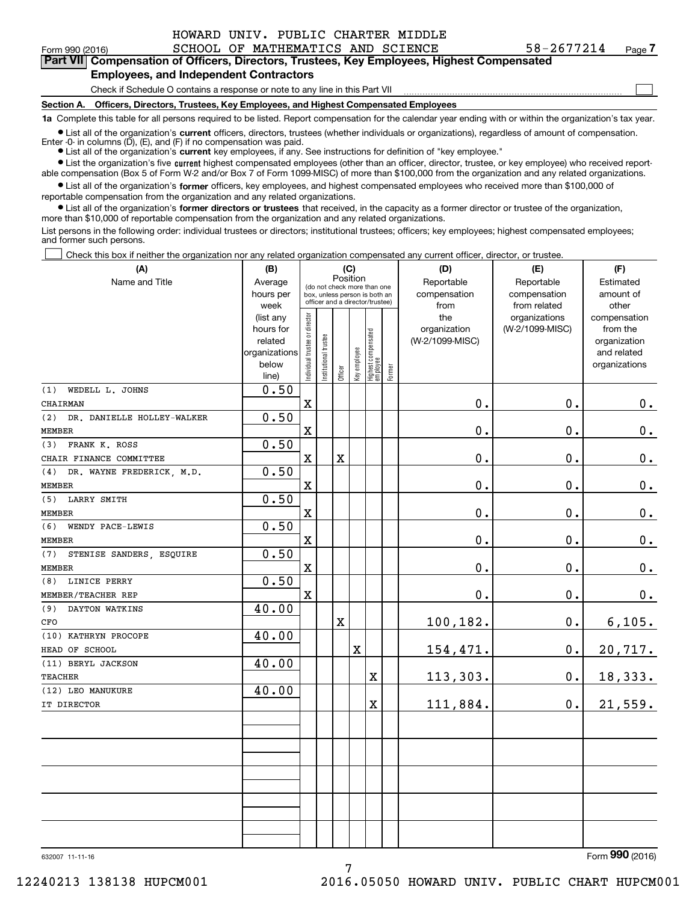$\mathcal{L}^{\text{max}}$ 

**7Part VII Compensation of Officers, Directors, Trustees, Key Employees, Highest Compensated**

#### **Employees, and Independent Contractors**

Check if Schedule O contains a response or note to any line in this Part VII

**Section A. Officers, Directors, Trustees, Key Employees, and Highest Compensated Employees**

**1a**  Complete this table for all persons required to be listed. Report compensation for the calendar year ending with or within the organization's tax year.

**•** List all of the organization's current officers, directors, trustees (whether individuals or organizations), regardless of amount of compensation. Enter -0- in columns  $(D)$ ,  $(E)$ , and  $(F)$  if no compensation was paid.

**(A)**

● List all of the organization's **current** key employees, if any. See instructions for definition of "key employee."

**•** List the organization's five current highest compensated employees (other than an officer, director, trustee, or key employee) who received reportable compensation (Box 5 of Form W-2 and/or Box 7 of Form 1099-MISC) of more than \$100,000 from the organization and any related organizations.

 $\bullet$  List all of the organization's **former** officers, key employees, and highest compensated employees who received more than \$100,000 of reportable compensation from the organization and any related organizations.

**•** List all of the organization's former directors or trustees that received, in the capacity as a former director or trustee of the organization, more than \$10,000 of reportable compensation from the organization and any related organizations.

List persons in the following order: individual trustees or directors; institutional trustees; officers; key employees; highest compensated employees; and former such persons.

Check this box if neither the organization nor any related organization compensated any current officer, director, or trustee.  $\mathcal{L}^{\text{max}}$ 

| (A)                               | (B)           |                                |                                 | (C)                     |              |                                   |        | (D)             | (E)             | (F)              |  |  |  |
|-----------------------------------|---------------|--------------------------------|---------------------------------|-------------------------|--------------|-----------------------------------|--------|-----------------|-----------------|------------------|--|--|--|
| Name and Title                    | Average       |                                | (do not check more than one     | Position                |              |                                   |        | Reportable      | Reportable      | Estimated        |  |  |  |
|                                   | hours per     |                                | box, unless person is both an   |                         |              |                                   |        | compensation    | compensation    | amount of        |  |  |  |
|                                   | week          |                                | officer and a director/trustee) |                         |              |                                   |        | from            | from related    | other            |  |  |  |
|                                   | (list any     |                                |                                 |                         |              |                                   |        | the             | organizations   | compensation     |  |  |  |
|                                   | hours for     |                                |                                 |                         |              |                                   |        | organization    | (W-2/1099-MISC) | from the         |  |  |  |
|                                   | related       |                                |                                 |                         |              |                                   |        | (W-2/1099-MISC) |                 | organization     |  |  |  |
|                                   | organizations |                                |                                 |                         |              |                                   |        |                 |                 | and related      |  |  |  |
|                                   | below         | Individual trustee or director | Institutional trustee           | Officer                 | Key employee | Highest compensated<br>  employee | Former |                 |                 | organizations    |  |  |  |
|                                   | line)         |                                |                                 |                         |              |                                   |        |                 |                 |                  |  |  |  |
| WEDELL L. JOHNS<br>(1)            | 0.50          |                                |                                 |                         |              |                                   |        |                 |                 |                  |  |  |  |
| CHAIRMAN                          |               | $\mathbf X$                    |                                 |                         |              |                                   |        | 0.              | 0.              | 0.               |  |  |  |
| DR. DANIELLE HOLLEY-WALKER<br>(2) | 0.50          |                                |                                 |                         |              |                                   |        |                 |                 |                  |  |  |  |
| <b>MEMBER</b>                     |               | $\mathbf X$                    |                                 |                         |              |                                   |        | 0.              | 0.              | 0.               |  |  |  |
| FRANK K. ROSS<br>(3)              | 0.50          |                                |                                 |                         |              |                                   |        |                 |                 |                  |  |  |  |
| CHAIR FINANCE COMMITTEE           |               | $\mathbf X$                    |                                 | $\overline{\textbf{X}}$ |              |                                   |        | 0.              | 0.              | $\mathbf 0$ .    |  |  |  |
| DR. WAYNE FREDERICK, M.D.<br>(4)  | 0.50          |                                |                                 |                         |              |                                   |        |                 |                 |                  |  |  |  |
| <b>MEMBER</b>                     |               | $\mathbf X$                    |                                 |                         |              |                                   |        | 0.              | 0.              | $\mathbf 0$ .    |  |  |  |
| (5) LARRY SMITH                   | 0.50          |                                |                                 |                         |              |                                   |        |                 |                 |                  |  |  |  |
| <b>MEMBER</b>                     |               | $\mathbf X$                    |                                 |                         |              |                                   |        | 0.              | 0.              | $\mathbf 0$ .    |  |  |  |
| (6)<br>WENDY PACE-LEWIS           | 0.50          |                                |                                 |                         |              |                                   |        |                 |                 |                  |  |  |  |
| <b>MEMBER</b>                     |               | $\mathbf x$                    |                                 |                         |              |                                   |        | $\mathbf 0$ .   | 0.              | $0_{.}$          |  |  |  |
| STENISE SANDERS, ESQUIRE<br>(7)   | 0.50          |                                |                                 |                         |              |                                   |        |                 |                 |                  |  |  |  |
| <b>MEMBER</b>                     |               | $\mathbf X$                    |                                 |                         |              |                                   |        | 0.              | 0.              | $0_{.}$          |  |  |  |
| LINICE PERRY<br>(8)               | 0.50          |                                |                                 |                         |              |                                   |        |                 |                 |                  |  |  |  |
| MEMBER/TEACHER REP                |               | $\mathbf x$                    |                                 |                         |              |                                   |        | 0.              | 0.              | $\mathbf 0$ .    |  |  |  |
| DAYTON WATKINS<br>(9)             | 40.00         |                                |                                 |                         |              |                                   |        |                 |                 |                  |  |  |  |
| CFO                               |               |                                |                                 | X                       |              |                                   |        | 100,182.        | $0$ .           | 6,105.           |  |  |  |
| (10) KATHRYN PROCOPE              | 40.00         |                                |                                 |                         |              |                                   |        |                 |                 |                  |  |  |  |
| HEAD OF SCHOOL                    |               |                                |                                 |                         | $\mathbf X$  |                                   |        | 154,471.        | 0.              | 20, 717.         |  |  |  |
| (11) BERYL JACKSON                | 40.00         |                                |                                 |                         |              |                                   |        |                 |                 |                  |  |  |  |
| <b>TEACHER</b>                    |               |                                |                                 |                         |              | $\overline{\textbf{X}}$           |        | 113,303.        | 0.              | 18,333.          |  |  |  |
| (12) LEO MANUKURE                 | 40.00         |                                |                                 |                         |              |                                   |        |                 |                 |                  |  |  |  |
| IT DIRECTOR                       |               |                                |                                 |                         |              | $\overline{\textbf{X}}$           |        | 111,884.        | $\mathbf 0$ .   | 21,559.          |  |  |  |
|                                   |               |                                |                                 |                         |              |                                   |        |                 |                 |                  |  |  |  |
|                                   |               |                                |                                 |                         |              |                                   |        |                 |                 |                  |  |  |  |
|                                   |               |                                |                                 |                         |              |                                   |        |                 |                 |                  |  |  |  |
|                                   |               |                                |                                 |                         |              |                                   |        |                 |                 |                  |  |  |  |
|                                   |               |                                |                                 |                         |              |                                   |        |                 |                 |                  |  |  |  |
|                                   |               |                                |                                 |                         |              |                                   |        |                 |                 |                  |  |  |  |
|                                   |               |                                |                                 |                         |              |                                   |        |                 |                 |                  |  |  |  |
|                                   |               |                                |                                 |                         |              |                                   |        |                 |                 |                  |  |  |  |
|                                   |               |                                |                                 |                         |              |                                   |        |                 |                 |                  |  |  |  |
|                                   |               |                                |                                 |                         |              |                                   |        |                 |                 |                  |  |  |  |
|                                   |               |                                |                                 |                         |              |                                   |        |                 |                 | $\overline{000}$ |  |  |  |

7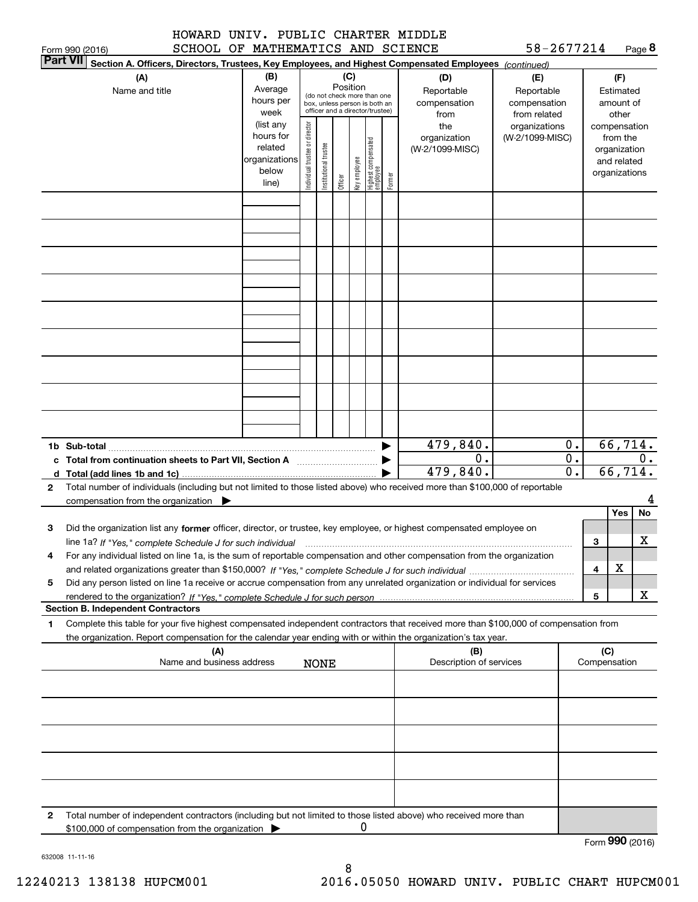|                 | HOWARD | UNIV. |                                   | PUBLIC CHARTER MIDDLE |            |        |
|-----------------|--------|-------|-----------------------------------|-----------------------|------------|--------|
| Form 990 (2016) |        |       | SCHOOL OF MATHEMATICS AND SCIENCE |                       | 58-2677214 | Page 8 |

|   | וטווט∠ן טפטוווטו<br><b>Part VII</b><br>Section A. Officers, Directors, Trustees, Key Employees, and Highest Compensated Employees (continued) |                          |                               |                        |          |              |                                                              |        |                         |                 |               |     |               |       |
|---|-----------------------------------------------------------------------------------------------------------------------------------------------|--------------------------|-------------------------------|------------------------|----------|--------------|--------------------------------------------------------------|--------|-------------------------|-----------------|---------------|-----|---------------|-------|
|   | (A)                                                                                                                                           | (B)                      |                               |                        |          | (C)          |                                                              |        | (D)                     | (E)             |               |     | (F)           |       |
|   | Name and title                                                                                                                                | Average                  |                               |                        | Position |              |                                                              |        | Reportable              | Reportable      |               |     | Estimated     |       |
|   |                                                                                                                                               | hours per                |                               |                        |          |              | (do not check more than one<br>box, unless person is both an |        | compensation            | compensation    |               |     | amount of     |       |
|   |                                                                                                                                               | week                     |                               |                        |          |              | officer and a director/trustee)                              |        | from                    | from related    |               |     | other         |       |
|   |                                                                                                                                               | (list any                |                               |                        |          |              |                                                              |        | the                     | organizations   |               |     | compensation  |       |
|   |                                                                                                                                               | hours for                | ndividual trustee or director |                        |          |              |                                                              |        | organization            | (W-2/1099-MISC) |               |     | from the      |       |
|   |                                                                                                                                               | related<br>organizations |                               | In stitutional trustee |          |              | Highest compensated<br> employee                             |        | (W-2/1099-MISC)         |                 |               |     | organization  |       |
|   |                                                                                                                                               | below                    |                               |                        |          | Key employee |                                                              |        |                         |                 |               |     | and related   |       |
|   |                                                                                                                                               | line)                    |                               |                        | Officer  |              |                                                              | Former |                         |                 |               |     | organizations |       |
|   |                                                                                                                                               |                          |                               |                        |          |              |                                                              |        |                         |                 |               |     |               |       |
|   |                                                                                                                                               |                          |                               |                        |          |              |                                                              |        |                         |                 |               |     |               |       |
|   |                                                                                                                                               |                          |                               |                        |          |              |                                                              |        |                         |                 |               |     |               |       |
|   |                                                                                                                                               |                          |                               |                        |          |              |                                                              |        |                         |                 |               |     |               |       |
|   |                                                                                                                                               |                          |                               |                        |          |              |                                                              |        |                         |                 |               |     |               |       |
|   |                                                                                                                                               |                          |                               |                        |          |              |                                                              |        |                         |                 |               |     |               |       |
|   |                                                                                                                                               |                          |                               |                        |          |              |                                                              |        |                         |                 |               |     |               |       |
|   |                                                                                                                                               |                          |                               |                        |          |              |                                                              |        |                         |                 |               |     |               |       |
|   |                                                                                                                                               |                          |                               |                        |          |              |                                                              |        |                         |                 |               |     |               |       |
|   |                                                                                                                                               |                          |                               |                        |          |              |                                                              |        |                         |                 |               |     |               |       |
|   |                                                                                                                                               |                          |                               |                        |          |              |                                                              |        |                         |                 |               |     |               |       |
|   |                                                                                                                                               |                          |                               |                        |          |              |                                                              |        |                         |                 |               |     |               |       |
|   |                                                                                                                                               |                          |                               |                        |          |              |                                                              |        |                         |                 |               |     |               |       |
|   |                                                                                                                                               |                          |                               |                        |          |              |                                                              |        |                         |                 |               |     |               |       |
|   |                                                                                                                                               |                          |                               |                        |          |              |                                                              |        |                         |                 |               |     |               |       |
|   |                                                                                                                                               |                          |                               |                        |          |              |                                                              |        |                         |                 |               |     |               |       |
|   |                                                                                                                                               |                          |                               |                        |          |              |                                                              |        |                         |                 |               |     |               |       |
|   |                                                                                                                                               |                          |                               |                        |          |              |                                                              |        |                         |                 |               |     |               |       |
|   |                                                                                                                                               |                          |                               |                        |          |              |                                                              |        |                         |                 |               |     |               |       |
|   |                                                                                                                                               |                          |                               |                        |          |              |                                                              |        | 479,840.                |                 | 0.            |     | 66, 714.      |       |
|   |                                                                                                                                               |                          |                               |                        |          |              |                                                              |        | 0.                      |                 | $\mathbf 0$ . |     |               | $0$ . |
|   |                                                                                                                                               |                          |                               |                        |          |              |                                                              |        | 479,840.                |                 | 0.            |     | 66, 714.      |       |
| 2 | Total number of individuals (including but not limited to those listed above) who received more than \$100,000 of reportable                  |                          |                               |                        |          |              |                                                              |        |                         |                 |               |     |               |       |
|   | compensation from the organization                                                                                                            |                          |                               |                        |          |              |                                                              |        |                         |                 |               |     |               |       |
|   |                                                                                                                                               |                          |                               |                        |          |              |                                                              |        |                         |                 |               |     | Yes           | No    |
| 3 | Did the organization list any former officer, director, or trustee, key employee, or highest compensated employee on                          |                          |                               |                        |          |              |                                                              |        |                         |                 |               |     |               |       |
|   | line 1a? If "Yes," complete Schedule J for such individual                                                                                    |                          |                               |                        |          |              |                                                              |        |                         |                 |               | 3   |               | x     |
| 4 | For any individual listed on line 1a, is the sum of reportable compensation and other compensation from the organization                      |                          |                               |                        |          |              |                                                              |        |                         |                 |               |     |               |       |
|   |                                                                                                                                               |                          |                               |                        |          |              |                                                              |        |                         |                 |               | 4   | x             |       |
| 5 | Did any person listed on line 1a receive or accrue compensation from any unrelated organization or individual for services                    |                          |                               |                        |          |              |                                                              |        |                         |                 |               |     |               |       |
|   |                                                                                                                                               |                          |                               |                        |          |              |                                                              |        |                         |                 |               | 5   |               | х     |
|   | <b>Section B. Independent Contractors</b>                                                                                                     |                          |                               |                        |          |              |                                                              |        |                         |                 |               |     |               |       |
| 1 | Complete this table for your five highest compensated independent contractors that received more than \$100,000 of compensation from          |                          |                               |                        |          |              |                                                              |        |                         |                 |               |     |               |       |
|   | the organization. Report compensation for the calendar year ending with or within the organization's tax year.                                |                          |                               |                        |          |              |                                                              |        |                         |                 |               |     |               |       |
|   | (A)                                                                                                                                           |                          |                               |                        |          |              |                                                              |        | (B)                     |                 |               | (C) |               |       |
|   | Name and business address                                                                                                                     |                          |                               | <b>NONE</b>            |          |              |                                                              |        | Description of services |                 |               |     | Compensation  |       |
|   |                                                                                                                                               |                          |                               |                        |          |              |                                                              |        |                         |                 |               |     |               |       |
|   |                                                                                                                                               |                          |                               |                        |          |              |                                                              |        |                         |                 |               |     |               |       |
|   |                                                                                                                                               |                          |                               |                        |          |              |                                                              |        |                         |                 |               |     |               |       |
|   |                                                                                                                                               |                          |                               |                        |          |              |                                                              |        |                         |                 |               |     |               |       |
|   |                                                                                                                                               |                          |                               |                        |          |              |                                                              |        |                         |                 |               |     |               |       |
|   |                                                                                                                                               |                          |                               |                        |          |              |                                                              |        |                         |                 |               |     |               |       |
|   |                                                                                                                                               |                          |                               |                        |          |              |                                                              |        |                         |                 |               |     |               |       |
|   |                                                                                                                                               |                          |                               |                        |          |              |                                                              |        |                         |                 |               |     |               |       |
|   |                                                                                                                                               |                          |                               |                        |          |              |                                                              |        |                         |                 |               |     |               |       |
|   |                                                                                                                                               |                          |                               |                        |          |              |                                                              |        |                         |                 |               |     |               |       |
| 2 | Total number of independent contractors (including but not limited to those listed above) who received more than                              |                          |                               |                        |          |              |                                                              |        |                         |                 |               |     |               |       |
|   | \$100,000 of compensation from the organization                                                                                               |                          |                               |                        |          |              | 0                                                            |        |                         |                 |               |     |               |       |

Form (2016) **990**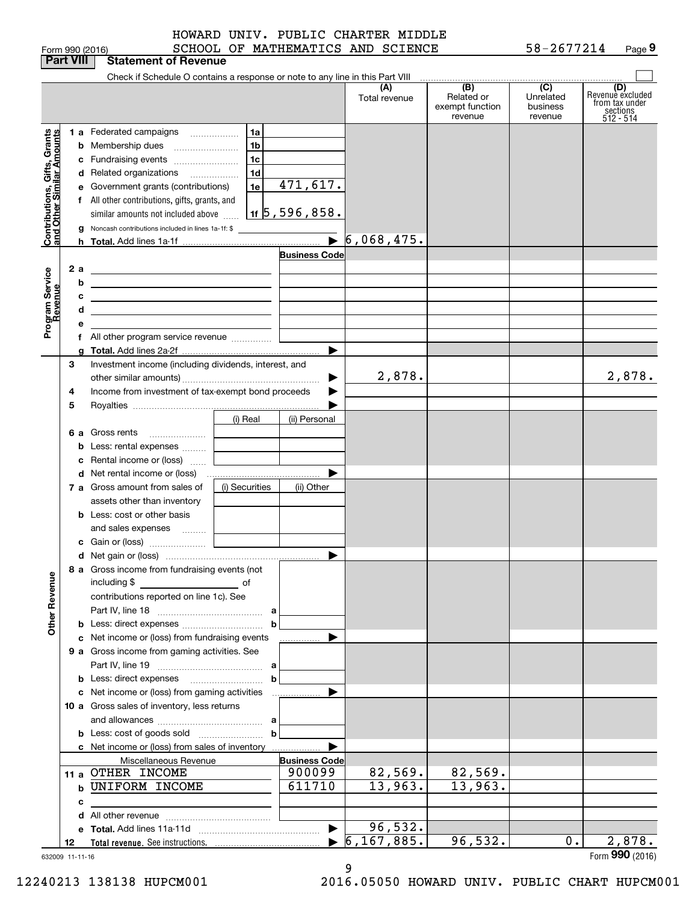|                                                                                         | <b>Part VIII</b>                 | <b>Statement of Revenue</b>                                                                                                                                                                                                                                                                                                                                                                                                                                                                                                                                                                                          |                                                                          |                                                              |                         |                                                 |                                         |                                                                      |
|-----------------------------------------------------------------------------------------|----------------------------------|----------------------------------------------------------------------------------------------------------------------------------------------------------------------------------------------------------------------------------------------------------------------------------------------------------------------------------------------------------------------------------------------------------------------------------------------------------------------------------------------------------------------------------------------------------------------------------------------------------------------|--------------------------------------------------------------------------|--------------------------------------------------------------|-------------------------|-------------------------------------------------|-----------------------------------------|----------------------------------------------------------------------|
|                                                                                         |                                  | Check if Schedule O contains a response or note to any line in this Part VIII                                                                                                                                                                                                                                                                                                                                                                                                                                                                                                                                        |                                                                          |                                                              |                         |                                                 |                                         |                                                                      |
|                                                                                         |                                  |                                                                                                                                                                                                                                                                                                                                                                                                                                                                                                                                                                                                                      |                                                                          |                                                              | (A)<br>Total revenue    | (B)<br>Related or<br>exempt function<br>revenue | (C)<br>Unrelated<br>business<br>revenue | (D)<br>Revenuè excluded<br>from tax under<br>sections<br>$512 - 514$ |
| Contributions, Gifts, Grants<br>and Other Similar Amounts<br>Program Service<br>Revenue | b<br>2а<br>b<br>с<br>d<br>е<br>a | 1 a Federated campaigns<br>Membership dues<br>c Fundraising events<br>d Related organizations<br>e Government grants (contributions)<br>f All other contributions, gifts, grants, and<br>similar amounts not included above<br><b>g</b> Noncash contributions included in lines 1a-1f: \$<br>the contract of the contract of the contract of the contract of the<br><u> 1989 - Johann Barn, amerikansk politiker (d. 1989)</u><br><u> 1989 - Johann Barn, mars ann an t-Amhain ann an t-Amhain an t-Amhain an t-Amhain an t-Amhain an t-Amhain an t-</u><br><u> 1989 - Andrea State Barbara, amerikan personal (</u> | 1a<br>1b<br>1 <sub>c</sub><br>1 <sub>d</sub><br>1e<br>1f $5, 596, 858$ . | 471,617.<br>$\overline{\phantom{a}}$<br><b>Business Code</b> | 6,068,475.              |                                                 |                                         |                                                                      |
|                                                                                         | 3<br>4<br>5                      | Investment income (including dividends, interest, and<br>Income from investment of tax-exempt bond proceeds                                                                                                                                                                                                                                                                                                                                                                                                                                                                                                          |                                                                          | ▶                                                            | 2,878.                  |                                                 |                                         | 2,878.                                                               |
| <b>Other Revenue</b>                                                                    | 6а                               | Gross rents<br>Rental income or (loss)                                                                                                                                                                                                                                                                                                                                                                                                                                                                                                                                                                               | (i) Real                                                                 | (ii) Personal                                                |                         |                                                 |                                         |                                                                      |
|                                                                                         |                                  | 7 a Gross amount from sales of<br>assets other than inventory<br><b>b</b> Less: cost or other basis<br>and sales expenses                                                                                                                                                                                                                                                                                                                                                                                                                                                                                            | (i) Securities                                                           | (ii) Other                                                   |                         |                                                 |                                         |                                                                      |
|                                                                                         |                                  | 8 a Gross income from fundraising events (not<br>including \$<br>and the control of the control of<br>contributions reported on line 1c). See                                                                                                                                                                                                                                                                                                                                                                                                                                                                        |                                                                          | $\blacktriangleright$                                        |                         |                                                 |                                         |                                                                      |
|                                                                                         |                                  | c Net income or (loss) from fundraising events<br>9 a Gross income from gaming activities. See                                                                                                                                                                                                                                                                                                                                                                                                                                                                                                                       |                                                                          |                                                              |                         |                                                 |                                         |                                                                      |
|                                                                                         |                                  | c Net income or (loss) from gaming activities<br>10 a Gross sales of inventory, less returns                                                                                                                                                                                                                                                                                                                                                                                                                                                                                                                         | b                                                                        |                                                              |                         |                                                 |                                         |                                                                      |
|                                                                                         |                                  | c Net income or (loss) from sales of inventory<br>Miscellaneous Revenue<br>11 a OTHER INCOME                                                                                                                                                                                                                                                                                                                                                                                                                                                                                                                         | b                                                                        | <b>Business Code</b><br>900099                               | 82,569.                 | 82,569.                                         |                                         |                                                                      |
|                                                                                         | c                                | <b>b UNIFORM INCOME</b>                                                                                                                                                                                                                                                                                                                                                                                                                                                                                                                                                                                              |                                                                          | 611710                                                       | 13,963.                 | 13,963.                                         |                                         |                                                                      |
|                                                                                         | 12<br>632009 11-11-16            |                                                                                                                                                                                                                                                                                                                                                                                                                                                                                                                                                                                                                      |                                                                          | $\blacktriangleright$                                        | 96,532.<br>6, 167, 885. | 96,532.                                         | $0$ .                                   | 2,878.<br>Form 990 (2016)                                            |

9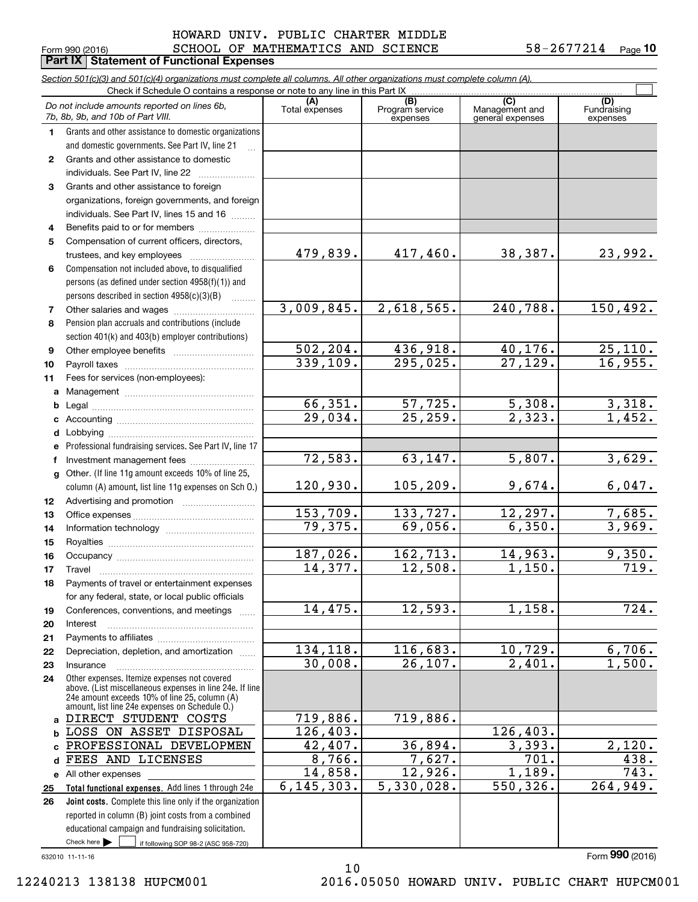### $_{\rm Form}$   $_{990}$  (2016) SCHOOL OF MATHEMATICS AND SCIENCE 58-2677214  $_{\rm Page}$ HOWARD UNIV. PUBLIC CHARTER MIDDLE

**Part IX | Statement of Functional Expenses** 

|                 | Section 501(c)(3) and 501(c)(4) organizations must complete all columns. All other organizations must complete column (A).<br>Check if Schedule O contains a response or note to any line in this Part IX |                       |                                    |                                           |                                |
|-----------------|-----------------------------------------------------------------------------------------------------------------------------------------------------------------------------------------------------------|-----------------------|------------------------------------|-------------------------------------------|--------------------------------|
|                 | Do not include amounts reported on lines 6b,<br>7b, 8b, 9b, and 10b of Part VIII.                                                                                                                         | (A)<br>Total expenses | (B)<br>Program service<br>expenses | (C)<br>Management and<br>general expenses | (D)<br>Fundraising<br>expenses |
| 1.              | Grants and other assistance to domestic organizations                                                                                                                                                     |                       |                                    |                                           |                                |
|                 | and domestic governments. See Part IV, line 21                                                                                                                                                            |                       |                                    |                                           |                                |
| $\mathbf{2}$    | Grants and other assistance to domestic                                                                                                                                                                   |                       |                                    |                                           |                                |
|                 | individuals. See Part IV, line 22                                                                                                                                                                         |                       |                                    |                                           |                                |
| 3               | Grants and other assistance to foreign                                                                                                                                                                    |                       |                                    |                                           |                                |
|                 | organizations, foreign governments, and foreign                                                                                                                                                           |                       |                                    |                                           |                                |
|                 | individuals. See Part IV, lines 15 and 16                                                                                                                                                                 |                       |                                    |                                           |                                |
| 4               | Benefits paid to or for members                                                                                                                                                                           |                       |                                    |                                           |                                |
| 5               | Compensation of current officers, directors,                                                                                                                                                              |                       |                                    |                                           |                                |
|                 | trustees, and key employees                                                                                                                                                                               | 479,839.              | 417,460.                           | 38,387.                                   | 23,992.                        |
| 6               | Compensation not included above, to disqualified                                                                                                                                                          |                       |                                    |                                           |                                |
|                 | persons (as defined under section 4958(f)(1)) and                                                                                                                                                         |                       |                                    |                                           |                                |
|                 | persons described in section 4958(c)(3)(B)                                                                                                                                                                | 3,009,845.            |                                    | 240,788.                                  |                                |
| 7               |                                                                                                                                                                                                           |                       | 2,618,565.                         |                                           | 150, 492.                      |
| 8               | Pension plan accruals and contributions (include                                                                                                                                                          |                       |                                    |                                           |                                |
|                 | section 401(k) and 403(b) employer contributions)                                                                                                                                                         | 502, 204.             | 436,918.                           | 40,176.                                   | 25,110.                        |
| 9               |                                                                                                                                                                                                           | 339,109.              | 295,025.                           | 27,129.                                   | 16,955.                        |
| 10<br>11        | Fees for services (non-employees):                                                                                                                                                                        |                       |                                    |                                           |                                |
| a               |                                                                                                                                                                                                           |                       |                                    |                                           |                                |
| b               |                                                                                                                                                                                                           | 66, 351.              | 57,725.                            | 5,308.                                    |                                |
| с               |                                                                                                                                                                                                           | 29,034.               | 25, 259.                           | $\overline{2.323.}$                       | $\frac{3,318}{1,452}$          |
| d               |                                                                                                                                                                                                           |                       |                                    |                                           |                                |
| е               | Professional fundraising services. See Part IV, line 17                                                                                                                                                   |                       |                                    |                                           |                                |
| f               | Investment management fees                                                                                                                                                                                | 72,583.               | 63,147.                            | 5,807.                                    | 3,629.                         |
| g               | Other. (If line 11g amount exceeds 10% of line 25,                                                                                                                                                        |                       |                                    |                                           |                                |
|                 | column (A) amount, list line 11g expenses on Sch 0.)                                                                                                                                                      | 120,930.              | 105, 209.                          | 9,674.                                    | 6,047.                         |
| 12 <sub>2</sub> |                                                                                                                                                                                                           |                       |                                    |                                           |                                |
| 13              |                                                                                                                                                                                                           | 153,709.              | 133,727.                           | 12,297.                                   | 7,685.                         |
| 14              |                                                                                                                                                                                                           | 79,375.               | 69,056.                            | 6,350.                                    | 3,969.                         |
| 15              |                                                                                                                                                                                                           |                       |                                    |                                           |                                |
| 16              |                                                                                                                                                                                                           | 187,026.              | 162, 713.                          | 14,963.                                   | 9,350.                         |
| 17              |                                                                                                                                                                                                           | 14,377.               | 12,508.                            | 1,150.                                    | 719.                           |
| 18              | Payments of travel or entertainment expenses                                                                                                                                                              |                       |                                    |                                           |                                |
|                 | for any federal, state, or local public officials                                                                                                                                                         |                       |                                    |                                           |                                |
| 19              | Conferences, conventions, and meetings                                                                                                                                                                    | 14,475.               | 12,593.                            | 1,158.                                    | 724.                           |
| 20              | Interest                                                                                                                                                                                                  |                       |                                    |                                           |                                |
| 21              |                                                                                                                                                                                                           |                       |                                    |                                           |                                |
| 22              | Depreciation, depletion, and amortization                                                                                                                                                                 | 134,118.<br>30,008.   | 116,683.<br>26, 107.               | 10,729.<br>2,401.                         | 6,706.<br>1,500.               |
| 23              | Insurance<br>Other expenses. Itemize expenses not covered                                                                                                                                                 |                       |                                    |                                           |                                |
| 24              | above. (List miscellaneous expenses in line 24e. If line<br>24e amount exceeds 10% of line 25, column (A)<br>amount, list line 24e expenses on Schedule O.)                                               |                       |                                    |                                           |                                |
| a               | DIRECT STUDENT COSTS                                                                                                                                                                                      | 719,886.              | 719,886.                           |                                           |                                |
| b               | LOSS ON ASSET DISPOSAL                                                                                                                                                                                    | 126, 403.             |                                    | 126,403.                                  |                                |
| C               | PROFESSIONAL DEVELOPMEN                                                                                                                                                                                   | 42,407.               | 36,894.                            | 3,393.                                    | 2,120.                         |
| d               | FEES AND LICENSES                                                                                                                                                                                         | 8,766.                | 7,627.                             | 701.                                      | 438.                           |
|                 | e All other expenses                                                                                                                                                                                      | 14,858.               | 12,926.                            | 1,189.                                    | $\overline{743}$ .             |
| 25              | Total functional expenses. Add lines 1 through 24e                                                                                                                                                        | 6, 145, 303.          | 5,330,028.                         | 550, 326.                                 | 264,949.                       |
| 26              | Joint costs. Complete this line only if the organization                                                                                                                                                  |                       |                                    |                                           |                                |
|                 | reported in column (B) joint costs from a combined                                                                                                                                                        |                       |                                    |                                           |                                |
|                 | educational campaign and fundraising solicitation.                                                                                                                                                        |                       |                                    |                                           |                                |
|                 | Check here $\blacktriangleright$<br>if following SOP 98-2 (ASC 958-720)                                                                                                                                   |                       |                                    |                                           |                                |

632010 11-11-16

Form (2016) **990**

12240213 138138 HUPCM001 2016.05050 HOWARD UNIV. PUBLIC CHART HUPCM001

10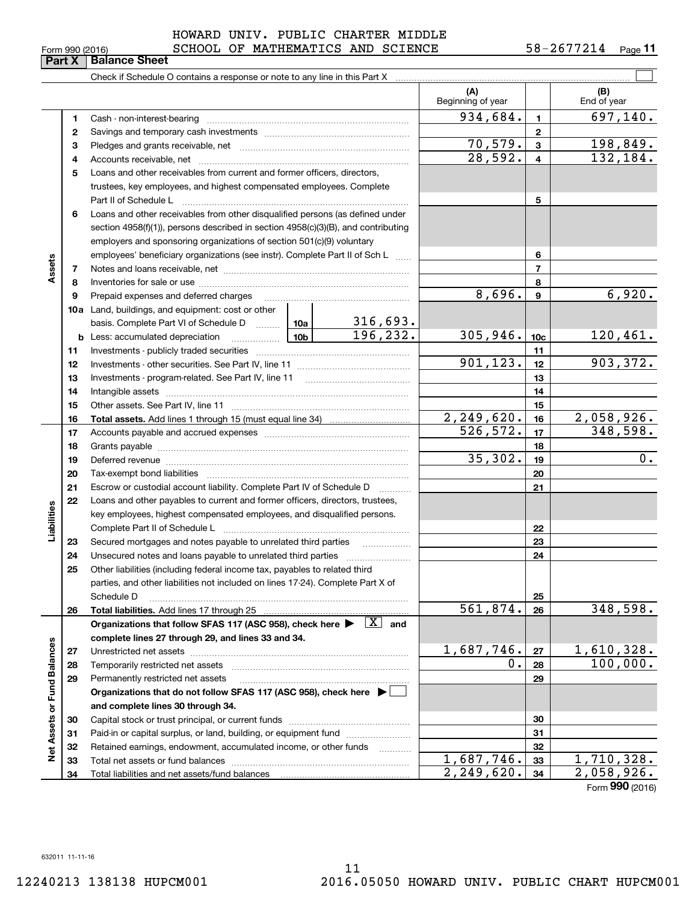### $_{\rm Form}$   $_{990}$  (2016) SCHOOL OF MATHEMATICS AND SCIENCE 58-2677214  $_{\rm Page}$ HOWARD UNIV. PUBLIC CHARTER MIDDLE

| (A)<br>(B)<br>Beginning of year<br>End of year<br>934,684.<br>$\overline{697,140}$ .<br>$\mathbf{1}$<br>1<br>$\mathbf{2}$<br>2<br>70, 579.<br>198,849.<br>$\mathbf{3}$<br>з<br>28,592.<br>132,184.<br>$\overline{\mathbf{4}}$<br>4<br>5<br>Loans and other receivables from current and former officers, directors,<br>trustees, key employees, and highest compensated employees. Complete<br>5<br>Loans and other receivables from other disqualified persons (as defined under<br>6<br>section 4958(f)(1)), persons described in section 4958(c)(3)(B), and contributing<br>employers and sponsoring organizations of section 501(c)(9) voluntary<br>6<br>employees' beneficiary organizations (see instr). Complete Part II of Sch L<br>Assets<br>$\overline{\phantom{a}}$<br>7<br>8<br>8<br>6,920.<br>8,696.<br>9<br>9<br><b>10a</b> Land, buildings, and equipment: cost or other<br>basis. Complete Part VI of Schedule D  10a  <br>316,693.<br>196, 232.<br>305,946.<br>120,461.<br>10 <sub>b</sub><br>10 <sub>c</sub><br><b>b</b> Less: accumulated depreciation<br>. 1<br>11<br>11<br>901, 123.<br>903, 372.<br>12<br>12<br>13<br>13<br>14<br>14<br>15<br>15<br>2, 249, 620.<br>2,058,926.<br>16<br>16<br>526, 572.<br>348,598.<br>17<br>17<br>18<br>18<br>35,302.<br>0.<br>19<br>19<br>Deferred revenue manual contracts and contracts are all the manual contracts and contracts are contracted and contract are contracted and contract are contracted and contract are contracted and contract are contracted and<br>20<br>20<br>21<br>21<br>Escrow or custodial account liability. Complete Part IV of Schedule D<br>Loans and other payables to current and former officers, directors, trustees,<br>22<br>Liabilities<br>key employees, highest compensated employees, and disqualified persons.<br>22<br>23<br>Secured mortgages and notes payable to unrelated third parties<br>23<br>24<br>24<br>25<br>Other liabilities (including federal income tax, payables to related third<br>parties, and other liabilities not included on lines 17-24). Complete Part X of<br>25<br>Schedule D<br>561,874.<br>348,598.<br>26<br>26<br>Organizations that follow SFAS 117 (ASC 958), check here $\blacktriangleright \begin{array}{ c } \hline X & \text{and} \end{array}$<br>complete lines 27 through 29, and lines 33 and 34.<br>Net Assets or Fund Balances<br>1,687,746.<br>1,610,328.<br>27<br>27<br>100,000.<br>0.<br>28<br>28<br>29<br>29<br>Permanently restricted net assets<br>Organizations that do not follow SFAS 117 (ASC 958), check here ▶ □<br>and complete lines 30 through 34.<br>30<br>30<br>Paid-in or capital surplus, or land, building, or equipment fund<br>31<br>31<br>Retained earnings, endowment, accumulated income, or other funds<br>32<br>32 |  |  |  |  |            |    |            |
|---------------------------------------------------------------------------------------------------------------------------------------------------------------------------------------------------------------------------------------------------------------------------------------------------------------------------------------------------------------------------------------------------------------------------------------------------------------------------------------------------------------------------------------------------------------------------------------------------------------------------------------------------------------------------------------------------------------------------------------------------------------------------------------------------------------------------------------------------------------------------------------------------------------------------------------------------------------------------------------------------------------------------------------------------------------------------------------------------------------------------------------------------------------------------------------------------------------------------------------------------------------------------------------------------------------------------------------------------------------------------------------------------------------------------------------------------------------------------------------------------------------------------------------------------------------------------------------------------------------------------------------------------------------------------------------------------------------------------------------------------------------------------------------------------------------------------------------------------------------------------------------------------------------------------------------------------------------------------------------------------------------------------------------------------------------------------------------------------------------------------------------------------------------------------------------------------------------------------------------------------------------------------------------------------------------------------------------------------------------------------------------------------------------------------------------------------------------------------------------------------------------------------------------------------------------------------------------------------------------------------------------------------------------------------------------------------------------------------------------------------------------------------------------------|--|--|--|--|------------|----|------------|
|                                                                                                                                                                                                                                                                                                                                                                                                                                                                                                                                                                                                                                                                                                                                                                                                                                                                                                                                                                                                                                                                                                                                                                                                                                                                                                                                                                                                                                                                                                                                                                                                                                                                                                                                                                                                                                                                                                                                                                                                                                                                                                                                                                                                                                                                                                                                                                                                                                                                                                                                                                                                                                                                                                                                                                                             |  |  |  |  |            |    |            |
|                                                                                                                                                                                                                                                                                                                                                                                                                                                                                                                                                                                                                                                                                                                                                                                                                                                                                                                                                                                                                                                                                                                                                                                                                                                                                                                                                                                                                                                                                                                                                                                                                                                                                                                                                                                                                                                                                                                                                                                                                                                                                                                                                                                                                                                                                                                                                                                                                                                                                                                                                                                                                                                                                                                                                                                             |  |  |  |  |            |    |            |
|                                                                                                                                                                                                                                                                                                                                                                                                                                                                                                                                                                                                                                                                                                                                                                                                                                                                                                                                                                                                                                                                                                                                                                                                                                                                                                                                                                                                                                                                                                                                                                                                                                                                                                                                                                                                                                                                                                                                                                                                                                                                                                                                                                                                                                                                                                                                                                                                                                                                                                                                                                                                                                                                                                                                                                                             |  |  |  |  |            |    |            |
|                                                                                                                                                                                                                                                                                                                                                                                                                                                                                                                                                                                                                                                                                                                                                                                                                                                                                                                                                                                                                                                                                                                                                                                                                                                                                                                                                                                                                                                                                                                                                                                                                                                                                                                                                                                                                                                                                                                                                                                                                                                                                                                                                                                                                                                                                                                                                                                                                                                                                                                                                                                                                                                                                                                                                                                             |  |  |  |  |            |    |            |
|                                                                                                                                                                                                                                                                                                                                                                                                                                                                                                                                                                                                                                                                                                                                                                                                                                                                                                                                                                                                                                                                                                                                                                                                                                                                                                                                                                                                                                                                                                                                                                                                                                                                                                                                                                                                                                                                                                                                                                                                                                                                                                                                                                                                                                                                                                                                                                                                                                                                                                                                                                                                                                                                                                                                                                                             |  |  |  |  |            |    |            |
|                                                                                                                                                                                                                                                                                                                                                                                                                                                                                                                                                                                                                                                                                                                                                                                                                                                                                                                                                                                                                                                                                                                                                                                                                                                                                                                                                                                                                                                                                                                                                                                                                                                                                                                                                                                                                                                                                                                                                                                                                                                                                                                                                                                                                                                                                                                                                                                                                                                                                                                                                                                                                                                                                                                                                                                             |  |  |  |  |            |    |            |
|                                                                                                                                                                                                                                                                                                                                                                                                                                                                                                                                                                                                                                                                                                                                                                                                                                                                                                                                                                                                                                                                                                                                                                                                                                                                                                                                                                                                                                                                                                                                                                                                                                                                                                                                                                                                                                                                                                                                                                                                                                                                                                                                                                                                                                                                                                                                                                                                                                                                                                                                                                                                                                                                                                                                                                                             |  |  |  |  |            |    |            |
|                                                                                                                                                                                                                                                                                                                                                                                                                                                                                                                                                                                                                                                                                                                                                                                                                                                                                                                                                                                                                                                                                                                                                                                                                                                                                                                                                                                                                                                                                                                                                                                                                                                                                                                                                                                                                                                                                                                                                                                                                                                                                                                                                                                                                                                                                                                                                                                                                                                                                                                                                                                                                                                                                                                                                                                             |  |  |  |  |            |    |            |
|                                                                                                                                                                                                                                                                                                                                                                                                                                                                                                                                                                                                                                                                                                                                                                                                                                                                                                                                                                                                                                                                                                                                                                                                                                                                                                                                                                                                                                                                                                                                                                                                                                                                                                                                                                                                                                                                                                                                                                                                                                                                                                                                                                                                                                                                                                                                                                                                                                                                                                                                                                                                                                                                                                                                                                                             |  |  |  |  |            |    |            |
|                                                                                                                                                                                                                                                                                                                                                                                                                                                                                                                                                                                                                                                                                                                                                                                                                                                                                                                                                                                                                                                                                                                                                                                                                                                                                                                                                                                                                                                                                                                                                                                                                                                                                                                                                                                                                                                                                                                                                                                                                                                                                                                                                                                                                                                                                                                                                                                                                                                                                                                                                                                                                                                                                                                                                                                             |  |  |  |  |            |    |            |
|                                                                                                                                                                                                                                                                                                                                                                                                                                                                                                                                                                                                                                                                                                                                                                                                                                                                                                                                                                                                                                                                                                                                                                                                                                                                                                                                                                                                                                                                                                                                                                                                                                                                                                                                                                                                                                                                                                                                                                                                                                                                                                                                                                                                                                                                                                                                                                                                                                                                                                                                                                                                                                                                                                                                                                                             |  |  |  |  |            |    |            |
|                                                                                                                                                                                                                                                                                                                                                                                                                                                                                                                                                                                                                                                                                                                                                                                                                                                                                                                                                                                                                                                                                                                                                                                                                                                                                                                                                                                                                                                                                                                                                                                                                                                                                                                                                                                                                                                                                                                                                                                                                                                                                                                                                                                                                                                                                                                                                                                                                                                                                                                                                                                                                                                                                                                                                                                             |  |  |  |  |            |    |            |
|                                                                                                                                                                                                                                                                                                                                                                                                                                                                                                                                                                                                                                                                                                                                                                                                                                                                                                                                                                                                                                                                                                                                                                                                                                                                                                                                                                                                                                                                                                                                                                                                                                                                                                                                                                                                                                                                                                                                                                                                                                                                                                                                                                                                                                                                                                                                                                                                                                                                                                                                                                                                                                                                                                                                                                                             |  |  |  |  |            |    |            |
|                                                                                                                                                                                                                                                                                                                                                                                                                                                                                                                                                                                                                                                                                                                                                                                                                                                                                                                                                                                                                                                                                                                                                                                                                                                                                                                                                                                                                                                                                                                                                                                                                                                                                                                                                                                                                                                                                                                                                                                                                                                                                                                                                                                                                                                                                                                                                                                                                                                                                                                                                                                                                                                                                                                                                                                             |  |  |  |  |            |    |            |
|                                                                                                                                                                                                                                                                                                                                                                                                                                                                                                                                                                                                                                                                                                                                                                                                                                                                                                                                                                                                                                                                                                                                                                                                                                                                                                                                                                                                                                                                                                                                                                                                                                                                                                                                                                                                                                                                                                                                                                                                                                                                                                                                                                                                                                                                                                                                                                                                                                                                                                                                                                                                                                                                                                                                                                                             |  |  |  |  |            |    |            |
|                                                                                                                                                                                                                                                                                                                                                                                                                                                                                                                                                                                                                                                                                                                                                                                                                                                                                                                                                                                                                                                                                                                                                                                                                                                                                                                                                                                                                                                                                                                                                                                                                                                                                                                                                                                                                                                                                                                                                                                                                                                                                                                                                                                                                                                                                                                                                                                                                                                                                                                                                                                                                                                                                                                                                                                             |  |  |  |  |            |    |            |
|                                                                                                                                                                                                                                                                                                                                                                                                                                                                                                                                                                                                                                                                                                                                                                                                                                                                                                                                                                                                                                                                                                                                                                                                                                                                                                                                                                                                                                                                                                                                                                                                                                                                                                                                                                                                                                                                                                                                                                                                                                                                                                                                                                                                                                                                                                                                                                                                                                                                                                                                                                                                                                                                                                                                                                                             |  |  |  |  |            |    |            |
|                                                                                                                                                                                                                                                                                                                                                                                                                                                                                                                                                                                                                                                                                                                                                                                                                                                                                                                                                                                                                                                                                                                                                                                                                                                                                                                                                                                                                                                                                                                                                                                                                                                                                                                                                                                                                                                                                                                                                                                                                                                                                                                                                                                                                                                                                                                                                                                                                                                                                                                                                                                                                                                                                                                                                                                             |  |  |  |  |            |    |            |
|                                                                                                                                                                                                                                                                                                                                                                                                                                                                                                                                                                                                                                                                                                                                                                                                                                                                                                                                                                                                                                                                                                                                                                                                                                                                                                                                                                                                                                                                                                                                                                                                                                                                                                                                                                                                                                                                                                                                                                                                                                                                                                                                                                                                                                                                                                                                                                                                                                                                                                                                                                                                                                                                                                                                                                                             |  |  |  |  |            |    |            |
|                                                                                                                                                                                                                                                                                                                                                                                                                                                                                                                                                                                                                                                                                                                                                                                                                                                                                                                                                                                                                                                                                                                                                                                                                                                                                                                                                                                                                                                                                                                                                                                                                                                                                                                                                                                                                                                                                                                                                                                                                                                                                                                                                                                                                                                                                                                                                                                                                                                                                                                                                                                                                                                                                                                                                                                             |  |  |  |  |            |    |            |
|                                                                                                                                                                                                                                                                                                                                                                                                                                                                                                                                                                                                                                                                                                                                                                                                                                                                                                                                                                                                                                                                                                                                                                                                                                                                                                                                                                                                                                                                                                                                                                                                                                                                                                                                                                                                                                                                                                                                                                                                                                                                                                                                                                                                                                                                                                                                                                                                                                                                                                                                                                                                                                                                                                                                                                                             |  |  |  |  |            |    |            |
|                                                                                                                                                                                                                                                                                                                                                                                                                                                                                                                                                                                                                                                                                                                                                                                                                                                                                                                                                                                                                                                                                                                                                                                                                                                                                                                                                                                                                                                                                                                                                                                                                                                                                                                                                                                                                                                                                                                                                                                                                                                                                                                                                                                                                                                                                                                                                                                                                                                                                                                                                                                                                                                                                                                                                                                             |  |  |  |  |            |    |            |
|                                                                                                                                                                                                                                                                                                                                                                                                                                                                                                                                                                                                                                                                                                                                                                                                                                                                                                                                                                                                                                                                                                                                                                                                                                                                                                                                                                                                                                                                                                                                                                                                                                                                                                                                                                                                                                                                                                                                                                                                                                                                                                                                                                                                                                                                                                                                                                                                                                                                                                                                                                                                                                                                                                                                                                                             |  |  |  |  |            |    |            |
|                                                                                                                                                                                                                                                                                                                                                                                                                                                                                                                                                                                                                                                                                                                                                                                                                                                                                                                                                                                                                                                                                                                                                                                                                                                                                                                                                                                                                                                                                                                                                                                                                                                                                                                                                                                                                                                                                                                                                                                                                                                                                                                                                                                                                                                                                                                                                                                                                                                                                                                                                                                                                                                                                                                                                                                             |  |  |  |  |            |    |            |
|                                                                                                                                                                                                                                                                                                                                                                                                                                                                                                                                                                                                                                                                                                                                                                                                                                                                                                                                                                                                                                                                                                                                                                                                                                                                                                                                                                                                                                                                                                                                                                                                                                                                                                                                                                                                                                                                                                                                                                                                                                                                                                                                                                                                                                                                                                                                                                                                                                                                                                                                                                                                                                                                                                                                                                                             |  |  |  |  |            |    |            |
|                                                                                                                                                                                                                                                                                                                                                                                                                                                                                                                                                                                                                                                                                                                                                                                                                                                                                                                                                                                                                                                                                                                                                                                                                                                                                                                                                                                                                                                                                                                                                                                                                                                                                                                                                                                                                                                                                                                                                                                                                                                                                                                                                                                                                                                                                                                                                                                                                                                                                                                                                                                                                                                                                                                                                                                             |  |  |  |  |            |    |            |
|                                                                                                                                                                                                                                                                                                                                                                                                                                                                                                                                                                                                                                                                                                                                                                                                                                                                                                                                                                                                                                                                                                                                                                                                                                                                                                                                                                                                                                                                                                                                                                                                                                                                                                                                                                                                                                                                                                                                                                                                                                                                                                                                                                                                                                                                                                                                                                                                                                                                                                                                                                                                                                                                                                                                                                                             |  |  |  |  |            |    |            |
|                                                                                                                                                                                                                                                                                                                                                                                                                                                                                                                                                                                                                                                                                                                                                                                                                                                                                                                                                                                                                                                                                                                                                                                                                                                                                                                                                                                                                                                                                                                                                                                                                                                                                                                                                                                                                                                                                                                                                                                                                                                                                                                                                                                                                                                                                                                                                                                                                                                                                                                                                                                                                                                                                                                                                                                             |  |  |  |  |            |    |            |
|                                                                                                                                                                                                                                                                                                                                                                                                                                                                                                                                                                                                                                                                                                                                                                                                                                                                                                                                                                                                                                                                                                                                                                                                                                                                                                                                                                                                                                                                                                                                                                                                                                                                                                                                                                                                                                                                                                                                                                                                                                                                                                                                                                                                                                                                                                                                                                                                                                                                                                                                                                                                                                                                                                                                                                                             |  |  |  |  |            |    |            |
|                                                                                                                                                                                                                                                                                                                                                                                                                                                                                                                                                                                                                                                                                                                                                                                                                                                                                                                                                                                                                                                                                                                                                                                                                                                                                                                                                                                                                                                                                                                                                                                                                                                                                                                                                                                                                                                                                                                                                                                                                                                                                                                                                                                                                                                                                                                                                                                                                                                                                                                                                                                                                                                                                                                                                                                             |  |  |  |  |            |    |            |
|                                                                                                                                                                                                                                                                                                                                                                                                                                                                                                                                                                                                                                                                                                                                                                                                                                                                                                                                                                                                                                                                                                                                                                                                                                                                                                                                                                                                                                                                                                                                                                                                                                                                                                                                                                                                                                                                                                                                                                                                                                                                                                                                                                                                                                                                                                                                                                                                                                                                                                                                                                                                                                                                                                                                                                                             |  |  |  |  |            |    |            |
|                                                                                                                                                                                                                                                                                                                                                                                                                                                                                                                                                                                                                                                                                                                                                                                                                                                                                                                                                                                                                                                                                                                                                                                                                                                                                                                                                                                                                                                                                                                                                                                                                                                                                                                                                                                                                                                                                                                                                                                                                                                                                                                                                                                                                                                                                                                                                                                                                                                                                                                                                                                                                                                                                                                                                                                             |  |  |  |  |            |    |            |
|                                                                                                                                                                                                                                                                                                                                                                                                                                                                                                                                                                                                                                                                                                                                                                                                                                                                                                                                                                                                                                                                                                                                                                                                                                                                                                                                                                                                                                                                                                                                                                                                                                                                                                                                                                                                                                                                                                                                                                                                                                                                                                                                                                                                                                                                                                                                                                                                                                                                                                                                                                                                                                                                                                                                                                                             |  |  |  |  |            |    |            |
|                                                                                                                                                                                                                                                                                                                                                                                                                                                                                                                                                                                                                                                                                                                                                                                                                                                                                                                                                                                                                                                                                                                                                                                                                                                                                                                                                                                                                                                                                                                                                                                                                                                                                                                                                                                                                                                                                                                                                                                                                                                                                                                                                                                                                                                                                                                                                                                                                                                                                                                                                                                                                                                                                                                                                                                             |  |  |  |  |            |    |            |
|                                                                                                                                                                                                                                                                                                                                                                                                                                                                                                                                                                                                                                                                                                                                                                                                                                                                                                                                                                                                                                                                                                                                                                                                                                                                                                                                                                                                                                                                                                                                                                                                                                                                                                                                                                                                                                                                                                                                                                                                                                                                                                                                                                                                                                                                                                                                                                                                                                                                                                                                                                                                                                                                                                                                                                                             |  |  |  |  |            |    |            |
|                                                                                                                                                                                                                                                                                                                                                                                                                                                                                                                                                                                                                                                                                                                                                                                                                                                                                                                                                                                                                                                                                                                                                                                                                                                                                                                                                                                                                                                                                                                                                                                                                                                                                                                                                                                                                                                                                                                                                                                                                                                                                                                                                                                                                                                                                                                                                                                                                                                                                                                                                                                                                                                                                                                                                                                             |  |  |  |  |            |    |            |
|                                                                                                                                                                                                                                                                                                                                                                                                                                                                                                                                                                                                                                                                                                                                                                                                                                                                                                                                                                                                                                                                                                                                                                                                                                                                                                                                                                                                                                                                                                                                                                                                                                                                                                                                                                                                                                                                                                                                                                                                                                                                                                                                                                                                                                                                                                                                                                                                                                                                                                                                                                                                                                                                                                                                                                                             |  |  |  |  |            |    |            |
|                                                                                                                                                                                                                                                                                                                                                                                                                                                                                                                                                                                                                                                                                                                                                                                                                                                                                                                                                                                                                                                                                                                                                                                                                                                                                                                                                                                                                                                                                                                                                                                                                                                                                                                                                                                                                                                                                                                                                                                                                                                                                                                                                                                                                                                                                                                                                                                                                                                                                                                                                                                                                                                                                                                                                                                             |  |  |  |  |            |    |            |
|                                                                                                                                                                                                                                                                                                                                                                                                                                                                                                                                                                                                                                                                                                                                                                                                                                                                                                                                                                                                                                                                                                                                                                                                                                                                                                                                                                                                                                                                                                                                                                                                                                                                                                                                                                                                                                                                                                                                                                                                                                                                                                                                                                                                                                                                                                                                                                                                                                                                                                                                                                                                                                                                                                                                                                                             |  |  |  |  |            |    |            |
|                                                                                                                                                                                                                                                                                                                                                                                                                                                                                                                                                                                                                                                                                                                                                                                                                                                                                                                                                                                                                                                                                                                                                                                                                                                                                                                                                                                                                                                                                                                                                                                                                                                                                                                                                                                                                                                                                                                                                                                                                                                                                                                                                                                                                                                                                                                                                                                                                                                                                                                                                                                                                                                                                                                                                                                             |  |  |  |  |            |    |            |
|                                                                                                                                                                                                                                                                                                                                                                                                                                                                                                                                                                                                                                                                                                                                                                                                                                                                                                                                                                                                                                                                                                                                                                                                                                                                                                                                                                                                                                                                                                                                                                                                                                                                                                                                                                                                                                                                                                                                                                                                                                                                                                                                                                                                                                                                                                                                                                                                                                                                                                                                                                                                                                                                                                                                                                                             |  |  |  |  |            |    |            |
|                                                                                                                                                                                                                                                                                                                                                                                                                                                                                                                                                                                                                                                                                                                                                                                                                                                                                                                                                                                                                                                                                                                                                                                                                                                                                                                                                                                                                                                                                                                                                                                                                                                                                                                                                                                                                                                                                                                                                                                                                                                                                                                                                                                                                                                                                                                                                                                                                                                                                                                                                                                                                                                                                                                                                                                             |  |  |  |  |            |    |            |
|                                                                                                                                                                                                                                                                                                                                                                                                                                                                                                                                                                                                                                                                                                                                                                                                                                                                                                                                                                                                                                                                                                                                                                                                                                                                                                                                                                                                                                                                                                                                                                                                                                                                                                                                                                                                                                                                                                                                                                                                                                                                                                                                                                                                                                                                                                                                                                                                                                                                                                                                                                                                                                                                                                                                                                                             |  |  |  |  |            |    |            |
|                                                                                                                                                                                                                                                                                                                                                                                                                                                                                                                                                                                                                                                                                                                                                                                                                                                                                                                                                                                                                                                                                                                                                                                                                                                                                                                                                                                                                                                                                                                                                                                                                                                                                                                                                                                                                                                                                                                                                                                                                                                                                                                                                                                                                                                                                                                                                                                                                                                                                                                                                                                                                                                                                                                                                                                             |  |  |  |  |            |    |            |
|                                                                                                                                                                                                                                                                                                                                                                                                                                                                                                                                                                                                                                                                                                                                                                                                                                                                                                                                                                                                                                                                                                                                                                                                                                                                                                                                                                                                                                                                                                                                                                                                                                                                                                                                                                                                                                                                                                                                                                                                                                                                                                                                                                                                                                                                                                                                                                                                                                                                                                                                                                                                                                                                                                                                                                                             |  |  |  |  |            |    |            |
|                                                                                                                                                                                                                                                                                                                                                                                                                                                                                                                                                                                                                                                                                                                                                                                                                                                                                                                                                                                                                                                                                                                                                                                                                                                                                                                                                                                                                                                                                                                                                                                                                                                                                                                                                                                                                                                                                                                                                                                                                                                                                                                                                                                                                                                                                                                                                                                                                                                                                                                                                                                                                                                                                                                                                                                             |  |  |  |  |            |    |            |
|                                                                                                                                                                                                                                                                                                                                                                                                                                                                                                                                                                                                                                                                                                                                                                                                                                                                                                                                                                                                                                                                                                                                                                                                                                                                                                                                                                                                                                                                                                                                                                                                                                                                                                                                                                                                                                                                                                                                                                                                                                                                                                                                                                                                                                                                                                                                                                                                                                                                                                                                                                                                                                                                                                                                                                                             |  |  |  |  |            |    |            |
| 33                                                                                                                                                                                                                                                                                                                                                                                                                                                                                                                                                                                                                                                                                                                                                                                                                                                                                                                                                                                                                                                                                                                                                                                                                                                                                                                                                                                                                                                                                                                                                                                                                                                                                                                                                                                                                                                                                                                                                                                                                                                                                                                                                                                                                                                                                                                                                                                                                                                                                                                                                                                                                                                                                                                                                                                          |  |  |  |  | 1,687,746. | 33 | 1,710,328. |
| 2, 249, 620.<br>2,058,926.<br>34<br>34<br>$000$ ( $0.12$                                                                                                                                                                                                                                                                                                                                                                                                                                                                                                                                                                                                                                                                                                                                                                                                                                                                                                                                                                                                                                                                                                                                                                                                                                                                                                                                                                                                                                                                                                                                                                                                                                                                                                                                                                                                                                                                                                                                                                                                                                                                                                                                                                                                                                                                                                                                                                                                                                                                                                                                                                                                                                                                                                                                    |  |  |  |  |            |    |            |

Form (2016) **990**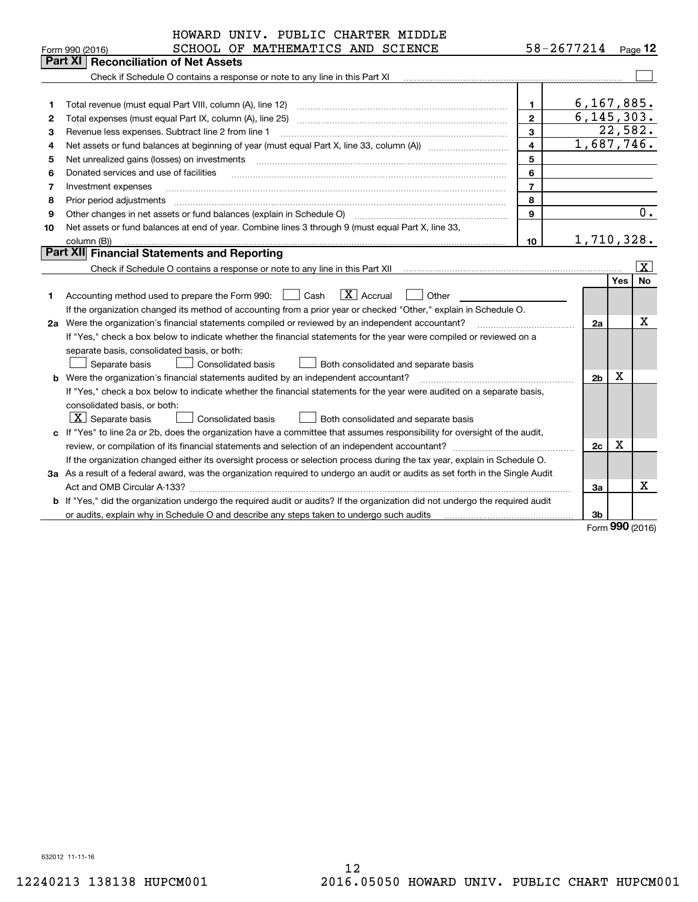|                                                        | HOWARD UNIV. PUBLIC CHARTER MIDDLE                                                                                              |                |                    |     |                   |  |  |
|--------------------------------------------------------|---------------------------------------------------------------------------------------------------------------------------------|----------------|--------------------|-----|-------------------|--|--|
|                                                        | SCHOOL OF MATHEMATICS AND SCIENCE<br>Form 990 (2016)                                                                            |                | 58-2677214 Page 12 |     |                   |  |  |
|                                                        | Part XI<br><b>Reconciliation of Net Assets</b>                                                                                  |                |                    |     |                   |  |  |
|                                                        | Check if Schedule O contains a response or note to any line in this Part XI                                                     |                |                    |     |                   |  |  |
|                                                        |                                                                                                                                 |                |                    |     |                   |  |  |
| 1                                                      | Total revenue (must equal Part VIII, column (A), line 12)                                                                       | 1              | 6, 167, 885.       |     |                   |  |  |
| $\mathbf{2}$                                           | Total expenses (must equal Part IX, column (A), line 25)                                                                        | $\mathbf{2}$   | 6, 145, 303.       |     |                   |  |  |
| З                                                      | Revenue less expenses. Subtract line 2 from line 1                                                                              | 3              |                    |     | 22,582.           |  |  |
| 4                                                      |                                                                                                                                 | 4              | 1,687,746.         |     |                   |  |  |
| 5<br>Net unrealized gains (losses) on investments<br>5 |                                                                                                                                 |                |                    |     |                   |  |  |
| 6                                                      | Donated services and use of facilities                                                                                          | 6              |                    |     |                   |  |  |
| 7                                                      | Investment expenses                                                                                                             | $\overline{7}$ |                    |     |                   |  |  |
| 8                                                      | Prior period adjustments                                                                                                        | 8              |                    |     | 0.                |  |  |
| 9                                                      | Other changes in net assets or fund balances (explain in Schedule O)<br>9                                                       |                |                    |     |                   |  |  |
| 10                                                     | Net assets or fund balances at end of year. Combine lines 3 through 9 (must equal Part X, line 33,                              |                |                    |     |                   |  |  |
|                                                        | column (B))                                                                                                                     | 10             | 1,710,328.         |     |                   |  |  |
|                                                        | Part XII Financial Statements and Reporting                                                                                     |                |                    |     |                   |  |  |
|                                                        |                                                                                                                                 |                |                    |     | $\mathbf{X}$      |  |  |
|                                                        |                                                                                                                                 |                |                    | Yes | <b>No</b>         |  |  |
| 1                                                      | $\boxed{\mathbf{X}}$ Accrual<br>Accounting method used to prepare the Form 990: <u>I</u> Cash<br>Other                          |                |                    |     |                   |  |  |
|                                                        | If the organization changed its method of accounting from a prior year or checked "Other," explain in Schedule O.               |                |                    |     |                   |  |  |
|                                                        | 2a Were the organization's financial statements compiled or reviewed by an independent accountant?                              |                | 2a                 |     | x                 |  |  |
|                                                        | If "Yes," check a box below to indicate whether the financial statements for the year were compiled or reviewed on a            |                |                    |     |                   |  |  |
|                                                        | separate basis, consolidated basis, or both:                                                                                    |                |                    |     |                   |  |  |
|                                                        | Separate basis<br>Consolidated basis<br>Both consolidated and separate basis                                                    |                |                    |     |                   |  |  |
|                                                        | <b>b</b> Were the organization's financial statements audited by an independent accountant?                                     |                | 2 <sub>b</sub>     | х   |                   |  |  |
|                                                        | If "Yes," check a box below to indicate whether the financial statements for the year were audited on a separate basis,         |                |                    |     |                   |  |  |
|                                                        | consolidated basis, or both:                                                                                                    |                |                    |     |                   |  |  |
|                                                        | $X$ Separate basis<br>Consolidated basis<br>Both consolidated and separate basis                                                |                |                    |     |                   |  |  |
|                                                        | c If "Yes" to line 2a or 2b, does the organization have a committee that assumes responsibility for oversight of the audit,     |                |                    |     |                   |  |  |
|                                                        |                                                                                                                                 |                | 2c                 | x   |                   |  |  |
|                                                        | If the organization changed either its oversight process or selection process during the tax year, explain in Schedule O.       |                |                    |     |                   |  |  |
|                                                        | 3a As a result of a federal award, was the organization required to undergo an audit or audits as set forth in the Single Audit |                |                    |     |                   |  |  |
|                                                        |                                                                                                                                 |                | За                 |     | х                 |  |  |
|                                                        | b If "Yes," did the organization undergo the required audit or audits? If the organization did not undergo the required audit   |                |                    |     |                   |  |  |
|                                                        |                                                                                                                                 |                | 3b                 |     |                   |  |  |
|                                                        |                                                                                                                                 |                |                    |     | $000 \text{ mas}$ |  |  |

Form (2016) **990**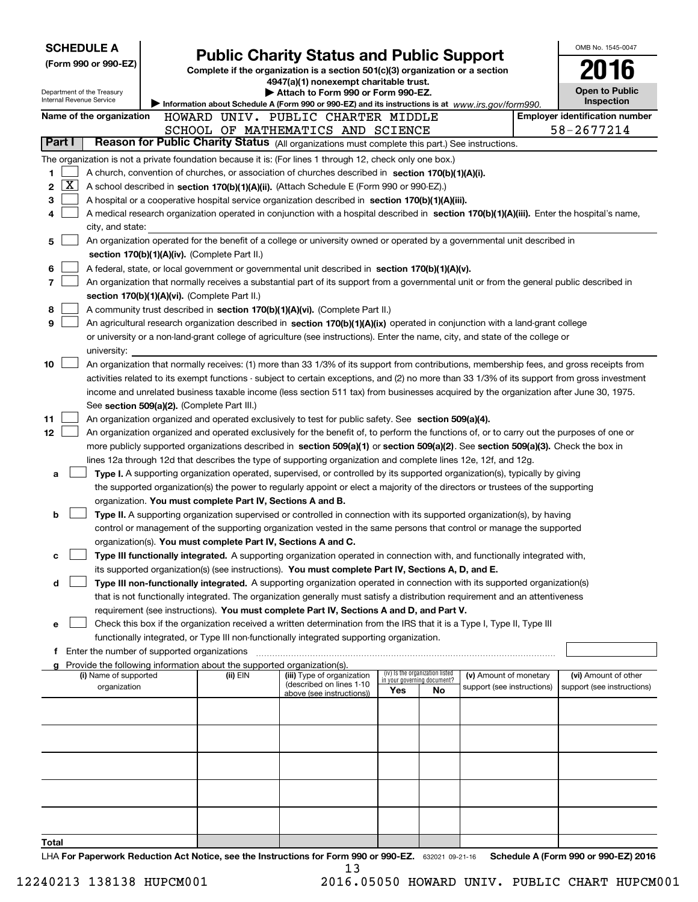| <b>SCHEDULE A</b><br>(Form 990 or 990-EZ)<br>Department of the Treasury<br>Internal Revenue Service       |                                               | <b>Public Charity Status and Public Support</b><br>Complete if the organization is a section 501(c)(3) organization or a section<br>4947(a)(1) nonexempt charitable trust.<br>Attach to Form 990 or Form 990-EZ. | OMB No. 1545-0047<br><b>Open to Public</b><br><b>Inspection</b>                                                                                                                                                                                                 |     |                                                                |                            |  |                                       |
|-----------------------------------------------------------------------------------------------------------|-----------------------------------------------|------------------------------------------------------------------------------------------------------------------------------------------------------------------------------------------------------------------|-----------------------------------------------------------------------------------------------------------------------------------------------------------------------------------------------------------------------------------------------------------------|-----|----------------------------------------------------------------|----------------------------|--|---------------------------------------|
|                                                                                                           |                                               |                                                                                                                                                                                                                  | Information about Schedule A (Form 990 or 990-EZ) and its instructions is at www.irs.gov/form990.                                                                                                                                                               |     |                                                                |                            |  | <b>Employer identification number</b> |
| Name of the organization                                                                                  |                                               |                                                                                                                                                                                                                  | HOWARD UNIV. PUBLIC CHARTER MIDDLE<br>SCHOOL OF MATHEMATICS AND SCIENCE                                                                                                                                                                                         |     |                                                                |                            |  | 58-2677214                            |
| Part I                                                                                                    |                                               |                                                                                                                                                                                                                  | Reason for Public Charity Status (All organizations must complete this part.) See instructions.                                                                                                                                                                 |     |                                                                |                            |  |                                       |
| The organization is not a private foundation because it is: (For lines 1 through 12, check only one box.) |                                               |                                                                                                                                                                                                                  |                                                                                                                                                                                                                                                                 |     |                                                                |                            |  |                                       |
| 1                                                                                                         |                                               |                                                                                                                                                                                                                  | A church, convention of churches, or association of churches described in section 170(b)(1)(A)(i).                                                                                                                                                              |     |                                                                |                            |  |                                       |
| x<br>2                                                                                                    |                                               |                                                                                                                                                                                                                  | A school described in section 170(b)(1)(A)(ii). (Attach Schedule E (Form 990 or 990-EZ).)                                                                                                                                                                       |     |                                                                |                            |  |                                       |
| 3                                                                                                         |                                               |                                                                                                                                                                                                                  | A hospital or a cooperative hospital service organization described in section 170(b)(1)(A)(iii).                                                                                                                                                               |     |                                                                |                            |  |                                       |
| 4                                                                                                         |                                               |                                                                                                                                                                                                                  | A medical research organization operated in conjunction with a hospital described in section 170(b)(1)(A)(iii). Enter the hospital's name,                                                                                                                      |     |                                                                |                            |  |                                       |
| city, and state:                                                                                          |                                               |                                                                                                                                                                                                                  |                                                                                                                                                                                                                                                                 |     |                                                                |                            |  |                                       |
| 5                                                                                                         |                                               |                                                                                                                                                                                                                  | An organization operated for the benefit of a college or university owned or operated by a governmental unit described in                                                                                                                                       |     |                                                                |                            |  |                                       |
|                                                                                                           | section 170(b)(1)(A)(iv). (Complete Part II.) |                                                                                                                                                                                                                  |                                                                                                                                                                                                                                                                 |     |                                                                |                            |  |                                       |
| 6                                                                                                         |                                               |                                                                                                                                                                                                                  | A federal, state, or local government or governmental unit described in section 170(b)(1)(A)(v).                                                                                                                                                                |     |                                                                |                            |  |                                       |
| 7                                                                                                         |                                               |                                                                                                                                                                                                                  | An organization that normally receives a substantial part of its support from a governmental unit or from the general public described in                                                                                                                       |     |                                                                |                            |  |                                       |
|                                                                                                           | section 170(b)(1)(A)(vi). (Complete Part II.) |                                                                                                                                                                                                                  |                                                                                                                                                                                                                                                                 |     |                                                                |                            |  |                                       |
| 8<br>9                                                                                                    |                                               |                                                                                                                                                                                                                  | A community trust described in section 170(b)(1)(A)(vi). (Complete Part II.)                                                                                                                                                                                    |     |                                                                |                            |  |                                       |
|                                                                                                           |                                               |                                                                                                                                                                                                                  | An agricultural research organization described in section 170(b)(1)(A)(ix) operated in conjunction with a land-grant college<br>or university or a non-land-grant college of agriculture (see instructions). Enter the name, city, and state of the college or |     |                                                                |                            |  |                                       |
| university:                                                                                               |                                               |                                                                                                                                                                                                                  |                                                                                                                                                                                                                                                                 |     |                                                                |                            |  |                                       |
| 10                                                                                                        |                                               |                                                                                                                                                                                                                  | An organization that normally receives: (1) more than 33 1/3% of its support from contributions, membership fees, and gross receipts from                                                                                                                       |     |                                                                |                            |  |                                       |
|                                                                                                           |                                               |                                                                                                                                                                                                                  | activities related to its exempt functions - subject to certain exceptions, and (2) no more than 33 1/3% of its support from gross investment                                                                                                                   |     |                                                                |                            |  |                                       |
|                                                                                                           |                                               |                                                                                                                                                                                                                  | income and unrelated business taxable income (less section 511 tax) from businesses acquired by the organization after June 30, 1975.                                                                                                                           |     |                                                                |                            |  |                                       |
|                                                                                                           | See section 509(a)(2). (Complete Part III.)   |                                                                                                                                                                                                                  |                                                                                                                                                                                                                                                                 |     |                                                                |                            |  |                                       |
| 11                                                                                                        |                                               |                                                                                                                                                                                                                  | An organization organized and operated exclusively to test for public safety. See section 509(a)(4).                                                                                                                                                            |     |                                                                |                            |  |                                       |
| 12                                                                                                        |                                               |                                                                                                                                                                                                                  | An organization organized and operated exclusively for the benefit of, to perform the functions of, or to carry out the purposes of one or                                                                                                                      |     |                                                                |                            |  |                                       |
|                                                                                                           |                                               |                                                                                                                                                                                                                  | more publicly supported organizations described in section 509(a)(1) or section 509(a)(2). See section 509(a)(3). Check the box in                                                                                                                              |     |                                                                |                            |  |                                       |
|                                                                                                           |                                               |                                                                                                                                                                                                                  | lines 12a through 12d that describes the type of supporting organization and complete lines 12e, 12f, and 12g.                                                                                                                                                  |     |                                                                |                            |  |                                       |
| а                                                                                                         |                                               |                                                                                                                                                                                                                  | Type I. A supporting organization operated, supervised, or controlled by its supported organization(s), typically by giving                                                                                                                                     |     |                                                                |                            |  |                                       |
|                                                                                                           |                                               | organization. You must complete Part IV, Sections A and B.                                                                                                                                                       | the supported organization(s) the power to regularly appoint or elect a majority of the directors or trustees of the supporting                                                                                                                                 |     |                                                                |                            |  |                                       |
| b                                                                                                         |                                               |                                                                                                                                                                                                                  | Type II. A supporting organization supervised or controlled in connection with its supported organization(s), by having                                                                                                                                         |     |                                                                |                            |  |                                       |
|                                                                                                           |                                               |                                                                                                                                                                                                                  | control or management of the supporting organization vested in the same persons that control or manage the supported                                                                                                                                            |     |                                                                |                            |  |                                       |
|                                                                                                           |                                               | organization(s). You must complete Part IV, Sections A and C.                                                                                                                                                    |                                                                                                                                                                                                                                                                 |     |                                                                |                            |  |                                       |
|                                                                                                           |                                               |                                                                                                                                                                                                                  | Type III functionally integrated. A supporting organization operated in connection with, and functionally integrated with,                                                                                                                                      |     |                                                                |                            |  |                                       |
|                                                                                                           |                                               |                                                                                                                                                                                                                  | its supported organization(s) (see instructions). You must complete Part IV, Sections A, D, and E.                                                                                                                                                              |     |                                                                |                            |  |                                       |
| d                                                                                                         |                                               |                                                                                                                                                                                                                  | Type III non-functionally integrated. A supporting organization operated in connection with its supported organization(s)                                                                                                                                       |     |                                                                |                            |  |                                       |
|                                                                                                           |                                               |                                                                                                                                                                                                                  | that is not functionally integrated. The organization generally must satisfy a distribution requirement and an attentiveness                                                                                                                                    |     |                                                                |                            |  |                                       |
|                                                                                                           |                                               |                                                                                                                                                                                                                  | requirement (see instructions). You must complete Part IV, Sections A and D, and Part V.                                                                                                                                                                        |     |                                                                |                            |  |                                       |
| е                                                                                                         |                                               |                                                                                                                                                                                                                  | Check this box if the organization received a written determination from the IRS that it is a Type I, Type II, Type III                                                                                                                                         |     |                                                                |                            |  |                                       |
| f Enter the number of supported organizations                                                             |                                               |                                                                                                                                                                                                                  | functionally integrated, or Type III non-functionally integrated supporting organization.                                                                                                                                                                       |     |                                                                |                            |  |                                       |
|                                                                                                           |                                               | Provide the following information about the supported organization(s).                                                                                                                                           |                                                                                                                                                                                                                                                                 |     |                                                                |                            |  |                                       |
| (i) Name of supported                                                                                     |                                               | (ii) EIN                                                                                                                                                                                                         | (iii) Type of organization                                                                                                                                                                                                                                      |     | (iv) Is the organization listed<br>in your governing document? | (v) Amount of monetary     |  | (vi) Amount of other                  |
| organization                                                                                              |                                               |                                                                                                                                                                                                                  | (described on lines 1-10<br>above (see instructions))                                                                                                                                                                                                           | Yes | No                                                             | support (see instructions) |  | support (see instructions)            |
|                                                                                                           |                                               |                                                                                                                                                                                                                  |                                                                                                                                                                                                                                                                 |     |                                                                |                            |  |                                       |
|                                                                                                           |                                               |                                                                                                                                                                                                                  |                                                                                                                                                                                                                                                                 |     |                                                                |                            |  |                                       |
|                                                                                                           |                                               |                                                                                                                                                                                                                  |                                                                                                                                                                                                                                                                 |     |                                                                |                            |  |                                       |
|                                                                                                           |                                               |                                                                                                                                                                                                                  |                                                                                                                                                                                                                                                                 |     |                                                                |                            |  |                                       |
|                                                                                                           |                                               |                                                                                                                                                                                                                  |                                                                                                                                                                                                                                                                 |     |                                                                |                            |  |                                       |
|                                                                                                           |                                               |                                                                                                                                                                                                                  |                                                                                                                                                                                                                                                                 |     |                                                                |                            |  |                                       |
|                                                                                                           |                                               |                                                                                                                                                                                                                  |                                                                                                                                                                                                                                                                 |     |                                                                |                            |  |                                       |
|                                                                                                           |                                               |                                                                                                                                                                                                                  |                                                                                                                                                                                                                                                                 |     |                                                                |                            |  |                                       |
|                                                                                                           |                                               |                                                                                                                                                                                                                  |                                                                                                                                                                                                                                                                 |     |                                                                |                            |  |                                       |
| Total                                                                                                     |                                               |                                                                                                                                                                                                                  |                                                                                                                                                                                                                                                                 |     |                                                                |                            |  |                                       |
|                                                                                                           |                                               |                                                                                                                                                                                                                  |                                                                                                                                                                                                                                                                 |     |                                                                |                            |  |                                       |

LHA For Paperwork Reduction Act Notice, see the Instructions for Form 990 or 990-EZ. 632021 09-21-16 Schedule A (Form 990 or 990-EZ) 2016 13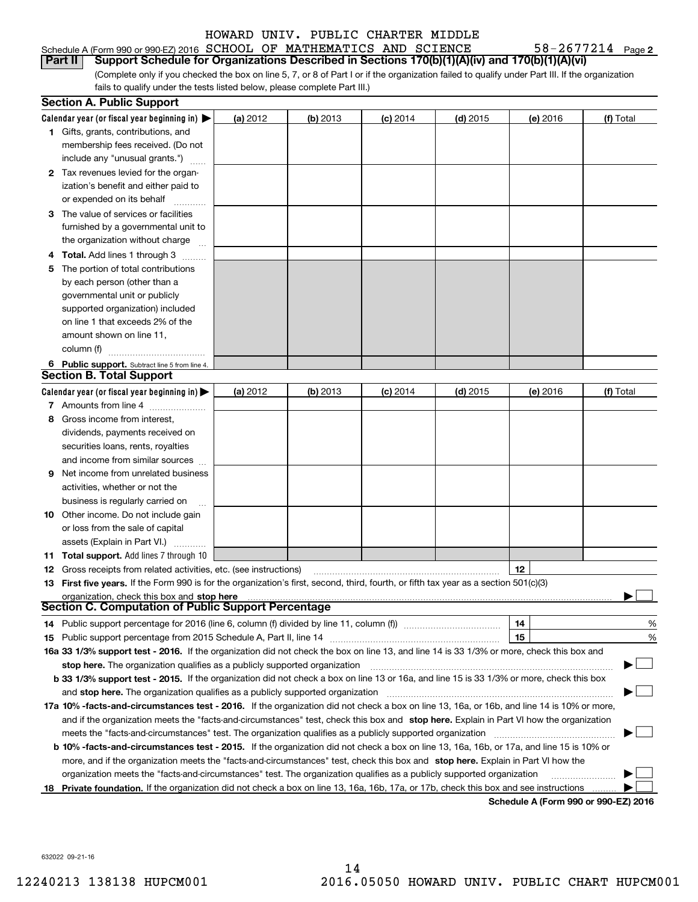#### Schedule A (Form 990 or 990-EZ) 2016 Page SCHOOL OF MATHEMATICS AND SCIENCE 58-2677214 **Part II Support Schedule for Organizations Described in Sections 170(b)(1)(A)(iv) and 170(b)(1)(A)(vi)**

(Complete only if you checked the box on line 5, 7, or 8 of Part I or if the organization failed to qualify under Part III. If the organization fails to qualify under the tests listed below, please complete Part III.)

|    | <b>Section A. Public Support</b>                                                                                                               |          |            |            |            |                                       |           |
|----|------------------------------------------------------------------------------------------------------------------------------------------------|----------|------------|------------|------------|---------------------------------------|-----------|
|    | Calendar year (or fiscal year beginning in) $\blacktriangleright$                                                                              | (a) 2012 | $(b)$ 2013 | $(c)$ 2014 | $(d)$ 2015 | (e) 2016                              | (f) Total |
|    | <b>1</b> Gifts, grants, contributions, and                                                                                                     |          |            |            |            |                                       |           |
|    | membership fees received. (Do not                                                                                                              |          |            |            |            |                                       |           |
|    | include any "unusual grants.")                                                                                                                 |          |            |            |            |                                       |           |
|    | 2 Tax revenues levied for the organ-                                                                                                           |          |            |            |            |                                       |           |
|    | ization's benefit and either paid to                                                                                                           |          |            |            |            |                                       |           |
|    | or expended on its behalf                                                                                                                      |          |            |            |            |                                       |           |
|    | 3 The value of services or facilities                                                                                                          |          |            |            |            |                                       |           |
|    | furnished by a governmental unit to                                                                                                            |          |            |            |            |                                       |           |
|    | the organization without charge                                                                                                                |          |            |            |            |                                       |           |
|    | <b>4 Total.</b> Add lines 1 through 3                                                                                                          |          |            |            |            |                                       |           |
| 5. | The portion of total contributions                                                                                                             |          |            |            |            |                                       |           |
|    | by each person (other than a                                                                                                                   |          |            |            |            |                                       |           |
|    | governmental unit or publicly                                                                                                                  |          |            |            |            |                                       |           |
|    | supported organization) included                                                                                                               |          |            |            |            |                                       |           |
|    | on line 1 that exceeds 2% of the                                                                                                               |          |            |            |            |                                       |           |
|    | amount shown on line 11,                                                                                                                       |          |            |            |            |                                       |           |
|    | column (f)                                                                                                                                     |          |            |            |            |                                       |           |
|    | 6 Public support. Subtract line 5 from line 4.                                                                                                 |          |            |            |            |                                       |           |
|    | <b>Section B. Total Support</b>                                                                                                                |          |            |            |            |                                       |           |
|    | Calendar year (or fiscal year beginning in) $\blacktriangleright$                                                                              | (a) 2012 | $(b)$ 2013 | $(c)$ 2014 | $(d)$ 2015 | (e) 2016                              | (f) Total |
|    | 7 Amounts from line 4                                                                                                                          |          |            |            |            |                                       |           |
| 8  | Gross income from interest,                                                                                                                    |          |            |            |            |                                       |           |
|    | dividends, payments received on                                                                                                                |          |            |            |            |                                       |           |
|    | securities loans, rents, royalties                                                                                                             |          |            |            |            |                                       |           |
|    | and income from similar sources                                                                                                                |          |            |            |            |                                       |           |
| 9  | Net income from unrelated business                                                                                                             |          |            |            |            |                                       |           |
|    | activities, whether or not the                                                                                                                 |          |            |            |            |                                       |           |
|    | business is regularly carried on                                                                                                               |          |            |            |            |                                       |           |
|    | <b>10</b> Other income. Do not include gain                                                                                                    |          |            |            |            |                                       |           |
|    | or loss from the sale of capital                                                                                                               |          |            |            |            |                                       |           |
|    | assets (Explain in Part VI.)                                                                                                                   |          |            |            |            |                                       |           |
|    | 11 Total support. Add lines 7 through 10                                                                                                       |          |            |            |            |                                       |           |
|    | <b>12</b> Gross receipts from related activities, etc. (see instructions)                                                                      |          |            |            |            | 12                                    |           |
|    | 13 First five years. If the Form 990 is for the organization's first, second, third, fourth, or fifth tax year as a section 501(c)(3)          |          |            |            |            |                                       |           |
|    | organization, check this box and stop here                                                                                                     |          |            |            |            |                                       |           |
|    | Section C. Computation of Public Support Percentage                                                                                            |          |            |            |            |                                       |           |
|    | 14 Public support percentage for 2016 (line 6, column (f) divided by line 11, column (f) <i>mummumumumum</i>                                   |          |            |            |            | 14                                    | %         |
|    |                                                                                                                                                |          |            |            |            | 15                                    | %         |
|    | 16a 33 1/3% support test - 2016. If the organization did not check the box on line 13, and line 14 is 33 1/3% or more, check this box and      |          |            |            |            |                                       |           |
|    | stop here. The organization qualifies as a publicly supported organization                                                                     |          |            |            |            |                                       |           |
|    | b 33 1/3% support test - 2015. If the organization did not check a box on line 13 or 16a, and line 15 is 33 1/3% or more, check this box       |          |            |            |            |                                       |           |
|    | and stop here. The organization qualifies as a publicly supported organization                                                                 |          |            |            |            |                                       |           |
|    | 17a 10% -facts-and-circumstances test - 2016. If the organization did not check a box on line 13, 16a, or 16b, and line 14 is 10% or more,     |          |            |            |            |                                       |           |
|    | and if the organization meets the "facts-and-circumstances" test, check this box and stop here. Explain in Part VI how the organization        |          |            |            |            |                                       |           |
|    | meets the "facts-and-circumstances" test. The organization qualifies as a publicly supported organization                                      |          |            |            |            |                                       |           |
|    | <b>b 10% -facts-and-circumstances test - 2015.</b> If the organization did not check a box on line 13, 16a, 16b, or 17a, and line 15 is 10% or |          |            |            |            |                                       |           |
|    | more, and if the organization meets the "facts-and-circumstances" test, check this box and stop here. Explain in Part VI how the               |          |            |            |            |                                       |           |
|    | organization meets the "facts-and-circumstances" test. The organization qualifies as a publicly supported organization                         |          |            |            |            |                                       |           |
|    | 18 Private foundation. If the organization did not check a box on line 13, 16a, 16b, 17a, or 17b, check this box and see instructions          |          |            |            |            | Cabadula A (Fauna 000 au 000 EZ) 0040 |           |

**Schedule A (Form 990 or 990-EZ) 2016**

632022 09-21-16

58-2677214 Page 2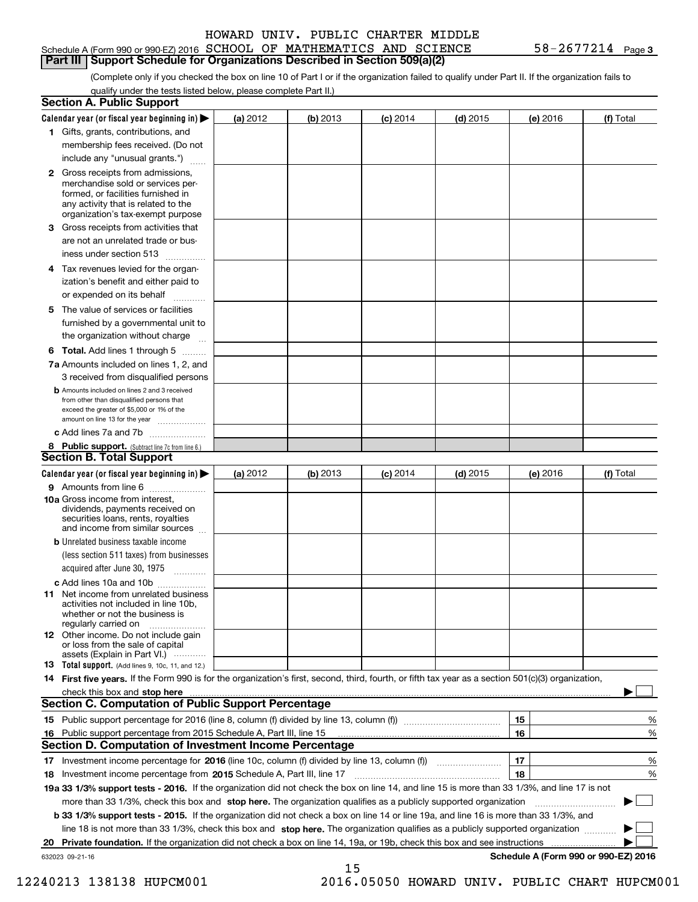#### Schedule A (Form 990 or 990-EZ) 2016 Page SCHOOL OF MATHEMATICS AND SCIENCE 58-2677214 **Part III Support Schedule for Organizations Described in Section 509(a)(2)**

**3**

(Complete only if you checked the box on line 10 of Part I or if the organization failed to qualify under Part II. If the organization fails to qualify under the tests listed below, please complete Part II.)

| <b>Section A. Public Support</b>                                                                                                                                                                                                                                                             |          |          |            |            |          |                                      |
|----------------------------------------------------------------------------------------------------------------------------------------------------------------------------------------------------------------------------------------------------------------------------------------------|----------|----------|------------|------------|----------|--------------------------------------|
| Calendar year (or fiscal year beginning in) $\blacktriangleright$                                                                                                                                                                                                                            | (a) 2012 | (b) 2013 | $(c)$ 2014 | $(d)$ 2015 | (e) 2016 | (f) Total                            |
| 1 Gifts, grants, contributions, and                                                                                                                                                                                                                                                          |          |          |            |            |          |                                      |
| membership fees received. (Do not                                                                                                                                                                                                                                                            |          |          |            |            |          |                                      |
| include any "unusual grants.")                                                                                                                                                                                                                                                               |          |          |            |            |          |                                      |
| 2 Gross receipts from admissions,<br>merchandise sold or services per-<br>formed, or facilities furnished in<br>any activity that is related to the<br>organization's tax-exempt purpose                                                                                                     |          |          |            |            |          |                                      |
| 3 Gross receipts from activities that<br>are not an unrelated trade or bus-                                                                                                                                                                                                                  |          |          |            |            |          |                                      |
| iness under section 513                                                                                                                                                                                                                                                                      |          |          |            |            |          |                                      |
| 4 Tax revenues levied for the organ-<br>ization's benefit and either paid to                                                                                                                                                                                                                 |          |          |            |            |          |                                      |
| or expended on its behalf<br>.                                                                                                                                                                                                                                                               |          |          |            |            |          |                                      |
| 5 The value of services or facilities<br>furnished by a governmental unit to<br>the organization without charge                                                                                                                                                                              |          |          |            |            |          |                                      |
| <b>6 Total.</b> Add lines 1 through 5                                                                                                                                                                                                                                                        |          |          |            |            |          |                                      |
| 7a Amounts included on lines 1, 2, and<br>3 received from disqualified persons                                                                                                                                                                                                               |          |          |            |            |          |                                      |
| <b>b</b> Amounts included on lines 2 and 3 received<br>from other than disqualified persons that<br>exceed the greater of \$5,000 or 1% of the<br>amount on line 13 for the year                                                                                                             |          |          |            |            |          |                                      |
| c Add lines 7a and 7b                                                                                                                                                                                                                                                                        |          |          |            |            |          |                                      |
| 8 Public support. (Subtract line 7c from line 6.)<br><b>Section B. Total Support</b>                                                                                                                                                                                                         |          |          |            |            |          |                                      |
| Calendar year (or fiscal year beginning in)                                                                                                                                                                                                                                                  | (a) 2012 | (b) 2013 | $(c)$ 2014 | $(d)$ 2015 | (e) 2016 | (f) Total                            |
| 9 Amounts from line 6                                                                                                                                                                                                                                                                        |          |          |            |            |          |                                      |
| <b>10a</b> Gross income from interest,<br>dividends, payments received on<br>securities loans, rents, royalties<br>and income from similar sources                                                                                                                                           |          |          |            |            |          |                                      |
| <b>b</b> Unrelated business taxable income<br>(less section 511 taxes) from businesses<br>acquired after June 30, 1975                                                                                                                                                                       |          |          |            |            |          |                                      |
| c Add lines 10a and 10b                                                                                                                                                                                                                                                                      |          |          |            |            |          |                                      |
| <b>11</b> Net income from unrelated business<br>activities not included in line 10b.<br>whether or not the business is<br>regularly carried on                                                                                                                                               |          |          |            |            |          |                                      |
| <b>12</b> Other income. Do not include gain<br>or loss from the sale of capital<br>assets (Explain in Part VI.)                                                                                                                                                                              |          |          |            |            |          |                                      |
| <b>13 Total support.</b> (Add lines 9, 10c, 11, and 12.)                                                                                                                                                                                                                                     |          |          |            |            |          |                                      |
| 14 First five years. If the Form 990 is for the organization's first, second, third, fourth, or fifth tax year as a section 501(c)(3) organization,                                                                                                                                          |          |          |            |            |          |                                      |
| check this box and stop here with the continuum control to the control of the control of the control of the control of the control of the control of the control of the control of the control of the control of the control o<br><b>Section C. Computation of Public Support Percentage</b> |          |          |            |            |          |                                      |
|                                                                                                                                                                                                                                                                                              |          |          |            |            | 15       | %                                    |
| 16 Public support percentage from 2015 Schedule A, Part III, line 15                                                                                                                                                                                                                         |          |          |            |            | 16       | %                                    |
| <b>Section D. Computation of Investment Income Percentage</b>                                                                                                                                                                                                                                |          |          |            |            |          |                                      |
| 17 Investment income percentage for 2016 (line 10c, column (f) divided by line 13, column (f))                                                                                                                                                                                               |          |          |            |            | 17       | %                                    |
| 18 Investment income percentage from 2015 Schedule A, Part III, line 17                                                                                                                                                                                                                      |          |          |            |            | 18       | %                                    |
| 19a 33 1/3% support tests - 2016. If the organization did not check the box on line 14, and line 15 is more than 33 1/3%, and line 17 is not                                                                                                                                                 |          |          |            |            |          |                                      |
| more than 33 1/3%, check this box and stop here. The organization qualifies as a publicly supported organization                                                                                                                                                                             |          |          |            |            |          | ▶                                    |
| b 33 1/3% support tests - 2015. If the organization did not check a box on line 14 or line 19a, and line 16 is more than 33 1/3%, and                                                                                                                                                        |          |          |            |            |          |                                      |
| line 18 is not more than 33 1/3%, check this box and stop here. The organization qualifies as a publicly supported organization                                                                                                                                                              |          |          |            |            |          |                                      |
| 20 Private foundation. If the organization did not check a box on line 14, 19a, or 19b, check this box and see instructions                                                                                                                                                                  |          |          |            |            |          |                                      |
| 632023 09-21-16                                                                                                                                                                                                                                                                              |          |          |            |            |          | Schedule A (Form 990 or 990-EZ) 2016 |
|                                                                                                                                                                                                                                                                                              |          | 15       |            |            |          |                                      |

12240213 138138 HUPCM001 2016.05050 HOWARD UNIV. PUBLIC CHART HUPCM001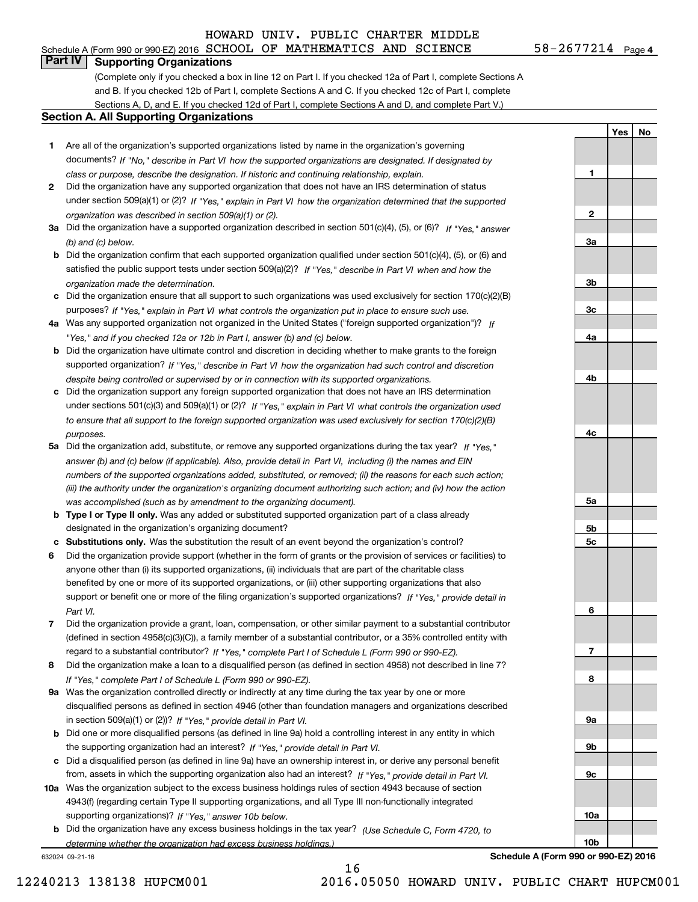# **Part IV Supporting Organizations**

(Complete only if you checked a box in line 12 on Part I. If you checked 12a of Part I, complete Sections A and B. If you checked 12b of Part I, complete Sections A and C. If you checked 12c of Part I, complete Sections A, D, and E. If you checked 12d of Part I, complete Sections A and D, and complete Part V.)

#### **Section A. All Supporting Organizations**

- **1** Are all of the organization's supported organizations listed by name in the organization's governing documents? If "No," describe in Part VI how the supported organizations are designated. If designated by *class or purpose, describe the designation. If historic and continuing relationship, explain.*
- **2** Did the organization have any supported organization that does not have an IRS determination of status under section 509(a)(1) or (2)? If "Yes," explain in Part VI how the organization determined that the supported *organization was described in section 509(a)(1) or (2).*
- **3a** Did the organization have a supported organization described in section 501(c)(4), (5), or (6)? If "Yes," answer *(b) and (c) below.*
- **b** Did the organization confirm that each supported organization qualified under section 501(c)(4), (5), or (6) and satisfied the public support tests under section 509(a)(2)? If "Yes," describe in Part VI when and how the *organization made the determination.*
- **c**Did the organization ensure that all support to such organizations was used exclusively for section 170(c)(2)(B) purposes? If "Yes," explain in Part VI what controls the organization put in place to ensure such use.
- **4a***If* Was any supported organization not organized in the United States ("foreign supported organization")? *"Yes," and if you checked 12a or 12b in Part I, answer (b) and (c) below.*
- **b** Did the organization have ultimate control and discretion in deciding whether to make grants to the foreign supported organization? If "Yes," describe in Part VI how the organization had such control and discretion *despite being controlled or supervised by or in connection with its supported organizations.*
- **c** Did the organization support any foreign supported organization that does not have an IRS determination under sections 501(c)(3) and 509(a)(1) or (2)? If "Yes," explain in Part VI what controls the organization used *to ensure that all support to the foreign supported organization was used exclusively for section 170(c)(2)(B) purposes.*
- **5a** Did the organization add, substitute, or remove any supported organizations during the tax year? If "Yes," answer (b) and (c) below (if applicable). Also, provide detail in Part VI, including (i) the names and EIN *numbers of the supported organizations added, substituted, or removed; (ii) the reasons for each such action; (iii) the authority under the organization's organizing document authorizing such action; and (iv) how the action was accomplished (such as by amendment to the organizing document).*
- **b** Type I or Type II only. Was any added or substituted supported organization part of a class already designated in the organization's organizing document?
- **cSubstitutions only.**  Was the substitution the result of an event beyond the organization's control?
- **6** Did the organization provide support (whether in the form of grants or the provision of services or facilities) to *If "Yes," provide detail in* support or benefit one or more of the filing organization's supported organizations? anyone other than (i) its supported organizations, (ii) individuals that are part of the charitable class benefited by one or more of its supported organizations, or (iii) other supporting organizations that also *Part VI.*
- **7**Did the organization provide a grant, loan, compensation, or other similar payment to a substantial contributor *If "Yes," complete Part I of Schedule L (Form 990 or 990-EZ).* regard to a substantial contributor? (defined in section 4958(c)(3)(C)), a family member of a substantial contributor, or a 35% controlled entity with
- **8** Did the organization make a loan to a disqualified person (as defined in section 4958) not described in line 7? *If "Yes," complete Part I of Schedule L (Form 990 or 990-EZ).*
- **9a** Was the organization controlled directly or indirectly at any time during the tax year by one or more in section 509(a)(1) or (2))? If "Yes," *provide detail in Part VI.* disqualified persons as defined in section 4946 (other than foundation managers and organizations described
- **b** Did one or more disqualified persons (as defined in line 9a) hold a controlling interest in any entity in which the supporting organization had an interest? If "Yes," provide detail in Part VI.
- **c**Did a disqualified person (as defined in line 9a) have an ownership interest in, or derive any personal benefit from, assets in which the supporting organization also had an interest? If "Yes," provide detail in Part VI.
- **10a** Was the organization subject to the excess business holdings rules of section 4943 because of section supporting organizations)? If "Yes," answer 10b below. 4943(f) (regarding certain Type II supporting organizations, and all Type III non-functionally integrated
- **b** Did the organization have any excess business holdings in the tax year? (Use Schedule C, Form 4720, to *determine whether the organization had excess business holdings.)*

632024 09-21-16

**5a 5b5c6789a 9b9c10a10b**

**Schedule A (Form 990 or 990-EZ) 2016**

**1**

**2**

**3a**

**3b**

**3c**

**4a**

**4b**

**4c**

**YesNo**

16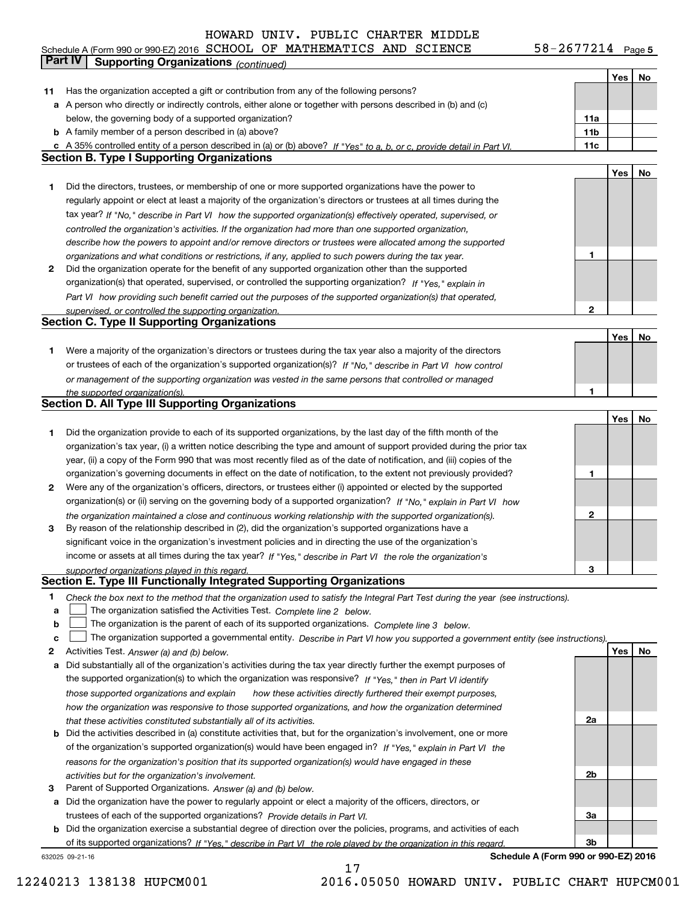**Yes No 11** Has the organization accepted a gift or contribution from any of the following persons? **a** A person who directly or indirectly controls, either alone or together with persons described in (b) and (c) **b** A family member of a person described in (a) above? **c** A 35% controlled entity of a person described in (a) or (b) above? If "Yes" to a, b, or c, provide detail in Part VI. **11a11b11cYes No 1** Did the directors, trustees, or membership of one or more supported organizations have the power to **2** Did the organization operate for the benefit of any supported organization other than the supported **12Yes No** tax year? If "No," describe in Part VI how the supported organization(s) effectively operated, supervised, or *controlled the organization's activities. If the organization had more than one supported organization, describe how the powers to appoint and/or remove directors or trustees were allocated among the supported organizations and what conditions or restrictions, if any, applied to such powers during the tax year. If "Yes," explain in* organization(s) that operated, supervised, or controlled the supporting organization?  *how providing such benefit carried out the purposes of the supported organization(s) that operated, Part VI supervised, or controlled the supporting organization.* Schedule A (Form 990 or 990-EZ) 2016 Page SCHOOL OF MATHEMATICS AND SCIENCE 58-2677214 below, the governing body of a supported organization? regularly appoint or elect at least a majority of the organization's directors or trustees at all times during the **Part IV Supporting Organizations** *(continued)* **Section B. Type I Supporting Organizations Section C. Type II Supporting Organizations**

**1** Were a majority of the organization's directors or trustees during the tax year also a majority of the directors or trustees of each of the organization's supported organization(s)? If "No," describe in Part VI how control *or management of the supporting organization was vested in the same persons that controlled or managed the supported organization(s).*

# **Section D. All Type III Supporting Organizations**

|                |                                                                                                                        |   | Yes | No |
|----------------|------------------------------------------------------------------------------------------------------------------------|---|-----|----|
|                | Did the organization provide to each of its supported organizations, by the last day of the fifth month of the         |   |     |    |
|                | organization's tax year, (i) a written notice describing the type and amount of support provided during the prior tax  |   |     |    |
|                | year, (ii) a copy of the Form 990 that was most recently filed as of the date of notification, and (iii) copies of the |   |     |    |
|                | organization's governing documents in effect on the date of notification, to the extent not previously provided?       |   |     |    |
| $\overline{2}$ | Were any of the organization's officers, directors, or trustees either (i) appointed or elected by the supported       |   |     |    |
|                | organization(s) or (ii) serving on the governing body of a supported organization? If "No," explain in Part VI how     |   |     |    |
|                | the organization maintained a close and continuous working relationship with the supported organization(s).            | 2 |     |    |
| 3              | By reason of the relationship described in (2), did the organization's supported organizations have a                  |   |     |    |
|                | significant voice in the organization's investment policies and in directing the use of the organization's             |   |     |    |
|                | income or assets at all times during the tax year? If "Yes," describe in Part VI the role the organization's           |   |     |    |
|                | supported organizations played in this regard.                                                                         | з |     |    |

## **Section E. Type III Functionally Integrated Supporting Organizations**

- **1**Check the box next to the method that the organization used to satisfy the Integral Part Test during the year (see instructions).
- **a**The organization satisfied the Activities Test. Complete line 2 below.
- **b**The organization is the parent of each of its supported organizations. Complete line 3 below.  $\mathcal{L}^{\text{max}}$

|  |  |  | The organization supported a governmental entity. Describe in Part VI how you supported a government entity (see instructions). |
|--|--|--|---------------------------------------------------------------------------------------------------------------------------------|
|--|--|--|---------------------------------------------------------------------------------------------------------------------------------|

- **2**Activities Test.  *Answer (a) and (b) below.*
- **a** Did substantially all of the organization's activities during the tax year directly further the exempt purposes of the supported organization(s) to which the organization was responsive? If "Yes," then in Part VI identify  *how these activities directly furthered their exempt purposes, how the organization was responsive to those supported organizations, and how the organization determined that these activities constituted substantially all of its activities. those supported organizations and explain*
- **b** Did the activities described in (a) constitute activities that, but for the organization's involvement, one or more of the organization's supported organization(s) would have been engaged in? If "Yes," explain in Part VI the *reasons for the organization's position that its supported organization(s) would have engaged in these activities but for the organization's involvement.*
- **3**Parent of Supported Organizations. *Answer (a) and (b) below.*

**a** Did the organization have the power to regularly appoint or elect a majority of the officers, directors, or *Provide details in* trustees of each of the supported organizations? *Part VI.*

**b** Did the organization exercise a substantial degree of direction over the policies, programs, and activities of each of its supported organizations? If "Yes," describe in Part VI the role played by the organization in this regard.

632025 09-21-16

**Schedule A (Form 990 or 990-EZ) 2016**

**2a**

**2b**

**3a**

**3b**

12240213 138138 HUPCM001 2016.05050 HOWARD UNIV. PUBLIC CHART HUPCM001

**1**

**Yes No**

17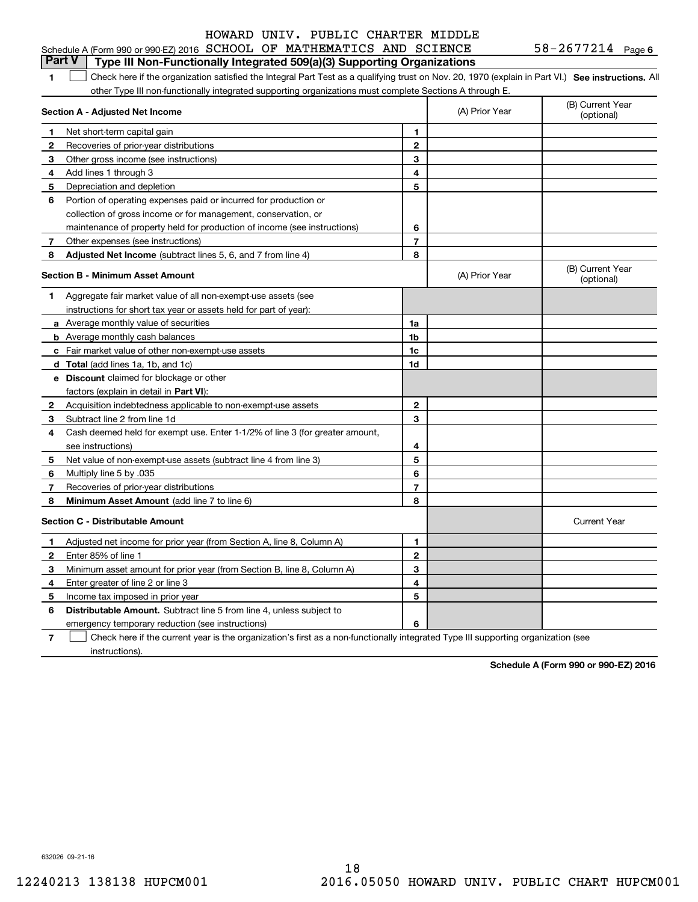| $58 - 2677214$ Page 6 |  |
|-----------------------|--|
|-----------------------|--|

| HOWARD UNIV. PUBLIC CHARTER MIDDLE                                                                                                                      |                |                |                                |
|---------------------------------------------------------------------------------------------------------------------------------------------------------|----------------|----------------|--------------------------------|
| Schedule A (Form 990 or 990-EZ) 2016 SCHOOL OF MATHEMATICS AND SCIENCE                                                                                  |                |                | $58 - 2677214$ Page 6          |
| Part V<br>Type III Non-Functionally Integrated 509(a)(3) Supporting Organizations                                                                       |                |                |                                |
| Check here if the organization satisfied the Integral Part Test as a qualifying trust on Nov. 20, 1970 (explain in Part VI.) See instructions. All<br>1 |                |                |                                |
| other Type III non-functionally integrated supporting organizations must complete Sections A through E.                                                 |                |                |                                |
| Section A - Adjusted Net Income                                                                                                                         |                | (A) Prior Year | (B) Current Year<br>(optional) |
| Net short-term capital gain                                                                                                                             | 1              |                |                                |
| Recoveries of prior-year distributions<br>2                                                                                                             | $\overline{2}$ |                |                                |
| Other gross income (see instructions)<br>3                                                                                                              | 3              |                |                                |
| Add lines 1 through 3<br>4                                                                                                                              | 4              |                |                                |
| Depreciation and depletion<br>5                                                                                                                         | 5              |                |                                |
| Portion of operating expenses paid or incurred for production or<br>6                                                                                   |                |                |                                |
| collection of gross income or for management, conservation, or                                                                                          |                |                |                                |
| maintenance of property held for production of income (see instructions)                                                                                | 6              |                |                                |
| Other expenses (see instructions)<br>7                                                                                                                  | $\overline{7}$ |                |                                |
| Adjusted Net Income (subtract lines 5, 6, and 7 from line 4)<br>8                                                                                       | 8              |                |                                |
| <b>Section B - Minimum Asset Amount</b>                                                                                                                 |                | (A) Prior Year | (B) Current Year<br>(optional) |
| Aggregate fair market value of all non-exempt-use assets (see<br>1                                                                                      |                |                |                                |
| instructions for short tax year or assets held for part of year):                                                                                       |                |                |                                |
| a Average monthly value of securities                                                                                                                   | 1a             |                |                                |
| <b>b</b> Average monthly cash balances                                                                                                                  | 1 <sub>b</sub> |                |                                |
| c Fair market value of other non-exempt-use assets                                                                                                      | 1 <sub>c</sub> |                |                                |
| d Total (add lines 1a, 1b, and 1c)                                                                                                                      | 1d             |                |                                |
| e Discount claimed for blockage or other                                                                                                                |                |                |                                |
| factors (explain in detail in Part VI):                                                                                                                 |                |                |                                |
| Acquisition indebtedness applicable to non-exempt-use assets<br>2                                                                                       | $\mathbf{2}$   |                |                                |
| Subtract line 2 from line 1d<br>3                                                                                                                       | 3              |                |                                |
| Cash deemed held for exempt use. Enter 1-1/2% of line 3 (for greater amount,<br>4                                                                       |                |                |                                |
| see instructions)                                                                                                                                       | 4              |                |                                |
| 5<br>Net value of non-exempt-use assets (subtract line 4 from line 3)                                                                                   | 5              |                |                                |
| 6<br>Multiply line 5 by .035                                                                                                                            | 6              |                |                                |
| Recoveries of prior-year distributions<br>7                                                                                                             | $\overline{7}$ |                |                                |
| 8<br>Minimum Asset Amount (add line 7 to line 6)                                                                                                        | 8              |                |                                |

|   | <b>Section C - Distributable Amount</b>                                                                                           |   | <b>Current Year</b> |  |  |  |
|---|-----------------------------------------------------------------------------------------------------------------------------------|---|---------------------|--|--|--|
|   | Adjusted net income for prior year (from Section A, line 8, Column A)                                                             |   |                     |  |  |  |
|   | Enter 85% of line 1                                                                                                               |   |                     |  |  |  |
| з | Minimum asset amount for prior year (from Section B, line 8, Column A)                                                            |   |                     |  |  |  |
| 4 | Enter greater of line 2 or line 3                                                                                                 |   |                     |  |  |  |
| 5 | Income tax imposed in prior year                                                                                                  |   |                     |  |  |  |
| 6 | <b>Distributable Amount.</b> Subtract line 5 from line 4, unless subject to                                                       |   |                     |  |  |  |
|   | emergency temporary reduction (see instructions)                                                                                  | 6 |                     |  |  |  |
|   | Check here if the current year is the organization's first as a non-functionally integrated Type III supporting organization (see |   |                     |  |  |  |

instructions).

**Schedule A (Form 990 or 990-EZ) 2016**

632026 09-21-16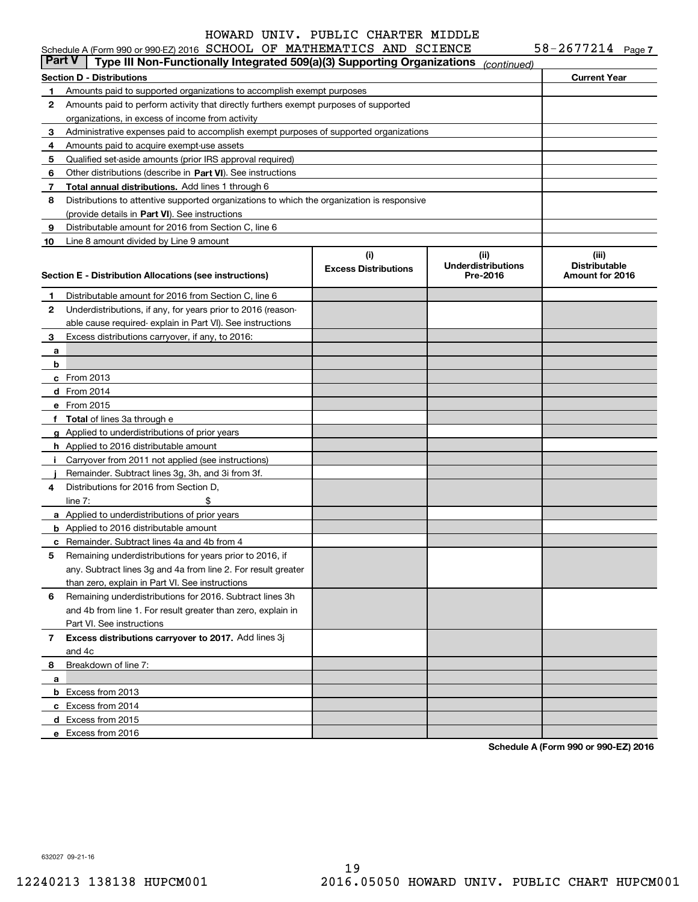| <b>Part V</b> | Schedule A (Form 990 or 990-EZ) 2016 SCHOOL OF MATHEMATICS AND SCIENCE                                                                       |                             |                           | $58 - 2677214$ Page 7 |
|---------------|----------------------------------------------------------------------------------------------------------------------------------------------|-----------------------------|---------------------------|-----------------------|
|               | Type III Non-Functionally Integrated 509(a)(3) Supporting Organizations                                                                      |                             | (continued)               |                       |
|               | <b>Section D - Distributions</b>                                                                                                             |                             |                           | <b>Current Year</b>   |
| 1             | Amounts paid to supported organizations to accomplish exempt purposes                                                                        |                             |                           |                       |
| 2             | Amounts paid to perform activity that directly furthers exempt purposes of supported                                                         |                             |                           |                       |
|               | organizations, in excess of income from activity                                                                                             |                             |                           |                       |
| 3             | Administrative expenses paid to accomplish exempt purposes of supported organizations                                                        |                             |                           |                       |
| 4             | Amounts paid to acquire exempt-use assets                                                                                                    |                             |                           |                       |
| 5             | Qualified set-aside amounts (prior IRS approval required)                                                                                    |                             |                           |                       |
| 6             | Other distributions (describe in Part VI). See instructions                                                                                  |                             |                           |                       |
| 7             | Total annual distributions. Add lines 1 through 6                                                                                            |                             |                           |                       |
| 8             | Distributions to attentive supported organizations to which the organization is responsive<br>(provide details in Part VI). See instructions |                             |                           |                       |
| 9             | Distributable amount for 2016 from Section C, line 6                                                                                         |                             |                           |                       |
| 10            | Line 8 amount divided by Line 9 amount                                                                                                       |                             |                           |                       |
|               |                                                                                                                                              | (i)                         | (ii)                      | (iii)                 |
|               |                                                                                                                                              | <b>Excess Distributions</b> | <b>Underdistributions</b> | <b>Distributable</b>  |
|               | Section E - Distribution Allocations (see instructions)                                                                                      |                             | Pre-2016                  | Amount for 2016       |
| 1             | Distributable amount for 2016 from Section C, line 6                                                                                         |                             |                           |                       |
| 2             | Underdistributions, if any, for years prior to 2016 (reason-                                                                                 |                             |                           |                       |
|               | able cause required- explain in Part VI). See instructions                                                                                   |                             |                           |                       |
| 3             | Excess distributions carryover, if any, to 2016:                                                                                             |                             |                           |                       |
| а             |                                                                                                                                              |                             |                           |                       |
| b             |                                                                                                                                              |                             |                           |                       |
|               | c From 2013                                                                                                                                  |                             |                           |                       |
|               | d From 2014                                                                                                                                  |                             |                           |                       |
|               | e From 2015                                                                                                                                  |                             |                           |                       |
|               | f Total of lines 3a through e                                                                                                                |                             |                           |                       |
|               | g Applied to underdistributions of prior years                                                                                               |                             |                           |                       |
|               | <b>h</b> Applied to 2016 distributable amount                                                                                                |                             |                           |                       |
|               | i Carryover from 2011 not applied (see instructions)                                                                                         |                             |                           |                       |
|               | Remainder. Subtract lines 3g, 3h, and 3i from 3f.                                                                                            |                             |                           |                       |
| 4             | Distributions for 2016 from Section D.                                                                                                       |                             |                           |                       |
|               | line $7:$<br>\$                                                                                                                              |                             |                           |                       |
|               | a Applied to underdistributions of prior years                                                                                               |                             |                           |                       |
|               | <b>b</b> Applied to 2016 distributable amount                                                                                                |                             |                           |                       |
|               | <b>c</b> Remainder. Subtract lines 4a and 4b from 4                                                                                          |                             |                           |                       |
|               | Remaining underdistributions for years prior to 2016, if                                                                                     |                             |                           |                       |
|               | any. Subtract lines 3g and 4a from line 2. For result greater                                                                                |                             |                           |                       |
|               | than zero, explain in Part VI. See instructions                                                                                              |                             |                           |                       |
| 6             | Remaining underdistributions for 2016. Subtract lines 3h                                                                                     |                             |                           |                       |
|               | and 4b from line 1. For result greater than zero, explain in                                                                                 |                             |                           |                       |
|               | Part VI. See instructions                                                                                                                    |                             |                           |                       |
| 7             | Excess distributions carryover to 2017. Add lines 3j                                                                                         |                             |                           |                       |
|               | and 4c                                                                                                                                       |                             |                           |                       |
| 8             | Breakdown of line 7:                                                                                                                         |                             |                           |                       |
| a             |                                                                                                                                              |                             |                           |                       |
|               | <b>b</b> Excess from 2013                                                                                                                    |                             |                           |                       |
|               | c Excess from 2014                                                                                                                           |                             |                           |                       |
|               | d Excess from 2015                                                                                                                           |                             |                           |                       |
|               | e Excess from 2016                                                                                                                           |                             |                           |                       |

**Schedule A (Form 990 or 990-EZ) 2016**

632027 09-21-16

19 12240213 138138 HUPCM001 2016.05050 HOWARD UNIV. PUBLIC CHART HUPCM001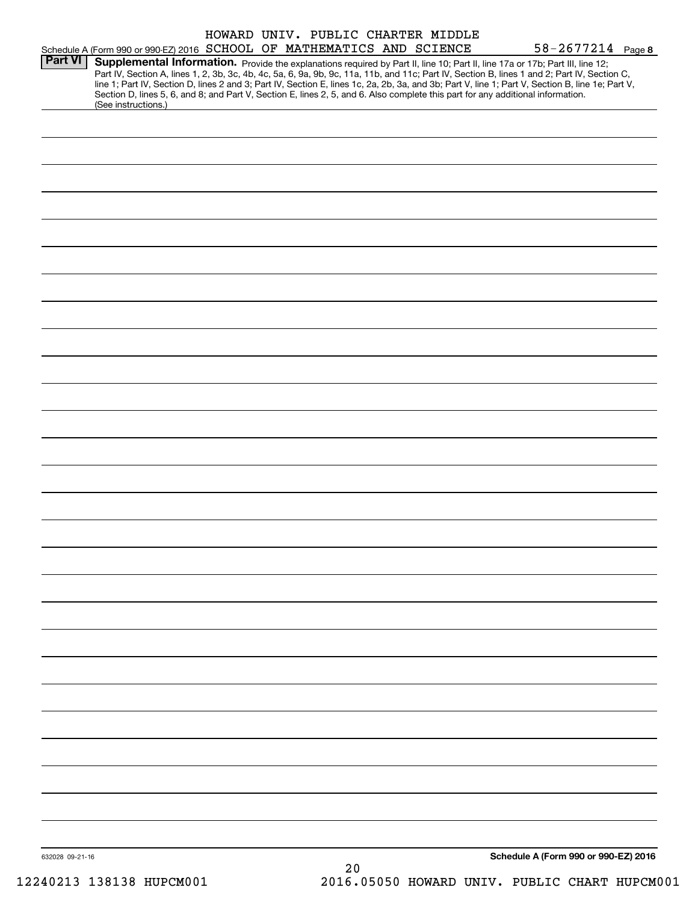|                 | HOWARD UNIV. PUBLIC CHARTER MIDDLE                                                                                                                                                                                                                                                               |                                      |
|-----------------|--------------------------------------------------------------------------------------------------------------------------------------------------------------------------------------------------------------------------------------------------------------------------------------------------|--------------------------------------|
| <b>Part VI</b>  | Schedule A (Form 990 or 990-EZ) 2016 SCHOOL OF MATHEMATICS AND SCIENCE                                                                                                                                                                                                                           | $58 - 2677214$ Page 8                |
|                 | Supplemental Information. Provide the explanations required by Part II, line 10; Part II, line 17a or 17b; Part III, line 12;                                                                                                                                                                    |                                      |
|                 | Part IV, Section A, lines 1, 2, 3b, 3c, 4b, 4c, 5a, 6, 9a, 9b, 9c, 11a, 11b, and 11c; Part IV, Section B, lines 1 and 2; Part IV, Section C,<br>line 1; Part IV, Section D, lines 2 and 3; Part IV, Section E, lines 1c, 2a, 2b, 3a, and 3b; Part V, line 1; Part V, Section B, line 1e; Part V, |                                      |
|                 | Section D, lines 5, 6, and 8; and Part V, Section E, lines 2, 5, and 6. Also complete this part for any additional information.                                                                                                                                                                  |                                      |
|                 | (See instructions.)                                                                                                                                                                                                                                                                              |                                      |
|                 |                                                                                                                                                                                                                                                                                                  |                                      |
|                 |                                                                                                                                                                                                                                                                                                  |                                      |
|                 |                                                                                                                                                                                                                                                                                                  |                                      |
|                 |                                                                                                                                                                                                                                                                                                  |                                      |
|                 |                                                                                                                                                                                                                                                                                                  |                                      |
|                 |                                                                                                                                                                                                                                                                                                  |                                      |
|                 |                                                                                                                                                                                                                                                                                                  |                                      |
|                 |                                                                                                                                                                                                                                                                                                  |                                      |
|                 |                                                                                                                                                                                                                                                                                                  |                                      |
|                 |                                                                                                                                                                                                                                                                                                  |                                      |
|                 |                                                                                                                                                                                                                                                                                                  |                                      |
|                 |                                                                                                                                                                                                                                                                                                  |                                      |
|                 |                                                                                                                                                                                                                                                                                                  |                                      |
|                 |                                                                                                                                                                                                                                                                                                  |                                      |
|                 |                                                                                                                                                                                                                                                                                                  |                                      |
|                 |                                                                                                                                                                                                                                                                                                  |                                      |
|                 |                                                                                                                                                                                                                                                                                                  |                                      |
|                 |                                                                                                                                                                                                                                                                                                  |                                      |
|                 |                                                                                                                                                                                                                                                                                                  |                                      |
|                 |                                                                                                                                                                                                                                                                                                  |                                      |
|                 |                                                                                                                                                                                                                                                                                                  |                                      |
|                 |                                                                                                                                                                                                                                                                                                  |                                      |
|                 |                                                                                                                                                                                                                                                                                                  |                                      |
|                 |                                                                                                                                                                                                                                                                                                  |                                      |
|                 |                                                                                                                                                                                                                                                                                                  |                                      |
|                 |                                                                                                                                                                                                                                                                                                  |                                      |
|                 |                                                                                                                                                                                                                                                                                                  |                                      |
|                 |                                                                                                                                                                                                                                                                                                  |                                      |
|                 |                                                                                                                                                                                                                                                                                                  |                                      |
|                 |                                                                                                                                                                                                                                                                                                  |                                      |
|                 |                                                                                                                                                                                                                                                                                                  |                                      |
|                 |                                                                                                                                                                                                                                                                                                  |                                      |
|                 |                                                                                                                                                                                                                                                                                                  |                                      |
|                 |                                                                                                                                                                                                                                                                                                  |                                      |
|                 |                                                                                                                                                                                                                                                                                                  |                                      |
|                 |                                                                                                                                                                                                                                                                                                  |                                      |
|                 |                                                                                                                                                                                                                                                                                                  |                                      |
|                 |                                                                                                                                                                                                                                                                                                  |                                      |
|                 |                                                                                                                                                                                                                                                                                                  |                                      |
|                 |                                                                                                                                                                                                                                                                                                  |                                      |
|                 |                                                                                                                                                                                                                                                                                                  |                                      |
|                 |                                                                                                                                                                                                                                                                                                  |                                      |
|                 |                                                                                                                                                                                                                                                                                                  |                                      |
|                 |                                                                                                                                                                                                                                                                                                  |                                      |
|                 |                                                                                                                                                                                                                                                                                                  |                                      |
|                 |                                                                                                                                                                                                                                                                                                  |                                      |
|                 |                                                                                                                                                                                                                                                                                                  |                                      |
|                 |                                                                                                                                                                                                                                                                                                  |                                      |
|                 |                                                                                                                                                                                                                                                                                                  |                                      |
|                 |                                                                                                                                                                                                                                                                                                  |                                      |
|                 |                                                                                                                                                                                                                                                                                                  |                                      |
|                 |                                                                                                                                                                                                                                                                                                  |                                      |
|                 |                                                                                                                                                                                                                                                                                                  |                                      |
|                 |                                                                                                                                                                                                                                                                                                  |                                      |
|                 |                                                                                                                                                                                                                                                                                                  |                                      |
|                 |                                                                                                                                                                                                                                                                                                  |                                      |
|                 |                                                                                                                                                                                                                                                                                                  |                                      |
|                 |                                                                                                                                                                                                                                                                                                  |                                      |
|                 |                                                                                                                                                                                                                                                                                                  |                                      |
|                 |                                                                                                                                                                                                                                                                                                  |                                      |
|                 |                                                                                                                                                                                                                                                                                                  |                                      |
|                 |                                                                                                                                                                                                                                                                                                  |                                      |
|                 |                                                                                                                                                                                                                                                                                                  |                                      |
| 632028 09-21-16 |                                                                                                                                                                                                                                                                                                  | Schedule A (Form 990 or 990-EZ) 2016 |
|                 | 20                                                                                                                                                                                                                                                                                               |                                      |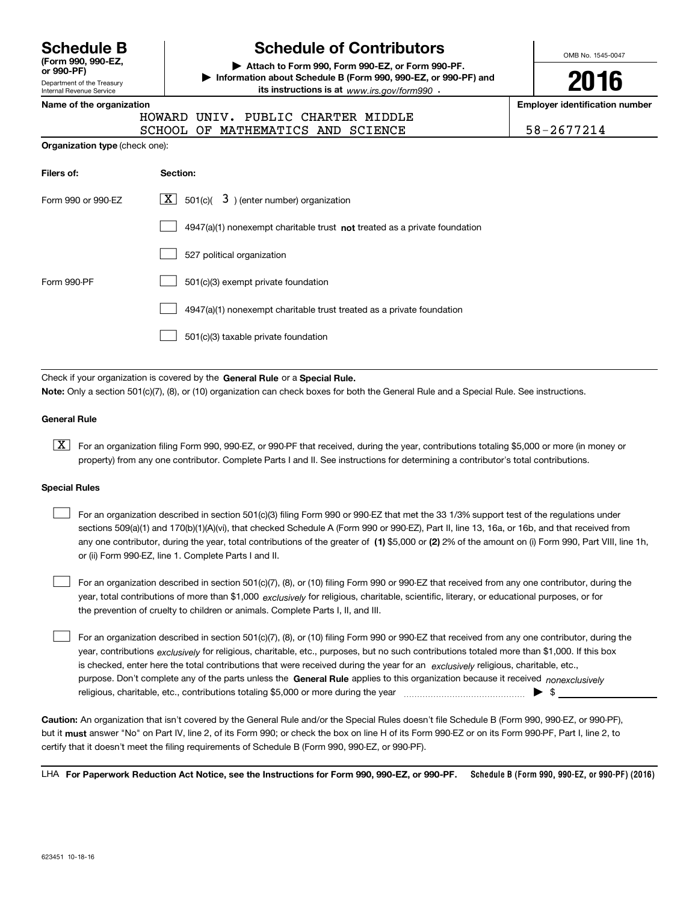| <b>Schedule B</b>  |  |
|--------------------|--|
| (Form 990, 990-EZ, |  |

Department of the Treasury Internal Revenue Service **or 990-PF)**

# **Schedule of Contributors**

**| Attach to Form 990, Form 990-EZ, or Form 990-PF. | Information about Schedule B (Form 990, 990-EZ, or 990-PF) and its instructions is at** www.irs.gov/form990  $\cdot$ 

OMB No. 1545-0047

**2016**

**Name of the organization Employer identification number**

|  | HOWARD UNIV. PUBLIC CHARTER MIDDLE |  |  |  |
|--|------------------------------------|--|--|--|
|  | COUOOL OF MATHEMATICS AND COTENCE  |  |  |  |

58-2677214

| <b>Organization type (check one):</b> |  |  |  |
|---------------------------------------|--|--|--|
|---------------------------------------|--|--|--|

| Filers of:         | Section:                                                                           |
|--------------------|------------------------------------------------------------------------------------|
| Form 990 or 990-EZ | $\lfloor x \rfloor$ 501(c)( 3) (enter number) organization                         |
|                    | $4947(a)(1)$ nonexempt charitable trust <b>not</b> treated as a private foundation |
|                    | 527 political organization                                                         |
| Form 990-PF        | 501(c)(3) exempt private foundation                                                |
|                    | 4947(a)(1) nonexempt charitable trust treated as a private foundation              |
|                    | 501(c)(3) taxable private foundation                                               |

Check if your organization is covered by the **General Rule** or a **Special Rule. Note:**  Only a section 501(c)(7), (8), or (10) organization can check boxes for both the General Rule and a Special Rule. See instructions.

#### **General Rule**

 $\boxed{\textbf{X}}$  For an organization filing Form 990, 990-EZ, or 990-PF that received, during the year, contributions totaling \$5,000 or more (in money or property) from any one contributor. Complete Parts I and II. See instructions for determining a contributor's total contributions.

#### **Special Rules**

 $\mathcal{L}^{\text{max}}$ 

any one contributor, during the year, total contributions of the greater of  $\,$  (1) \$5,000 or (2) 2% of the amount on (i) Form 990, Part VIII, line 1h, For an organization described in section 501(c)(3) filing Form 990 or 990-EZ that met the 33 1/3% support test of the regulations under sections 509(a)(1) and 170(b)(1)(A)(vi), that checked Schedule A (Form 990 or 990-EZ), Part II, line 13, 16a, or 16b, and that received from or (ii) Form 990-EZ, line 1. Complete Parts I and II.  $\mathcal{L}^{\text{max}}$ 

year, total contributions of more than \$1,000 *exclusively* for religious, charitable, scientific, literary, or educational purposes, or for For an organization described in section 501(c)(7), (8), or (10) filing Form 990 or 990-EZ that received from any one contributor, during the the prevention of cruelty to children or animals. Complete Parts I, II, and III.  $\mathcal{L}^{\text{max}}$ 

purpose. Don't complete any of the parts unless the **General Rule** applies to this organization because it received *nonexclusively* year, contributions <sub>exclusively</sub> for religious, charitable, etc., purposes, but no such contributions totaled more than \$1,000. If this box is checked, enter here the total contributions that were received during the year for an  $\;$ exclusively religious, charitable, etc., For an organization described in section 501(c)(7), (8), or (10) filing Form 990 or 990-EZ that received from any one contributor, during the religious, charitable, etc., contributions totaling \$5,000 or more during the year  $\Box$ — $\Box$   $\Box$ 

**Caution:**  An organization that isn't covered by the General Rule and/or the Special Rules doesn't file Schedule B (Form 990, 990-EZ, or 990-PF),  **must** but it answer "No" on Part IV, line 2, of its Form 990; or check the box on line H of its Form 990-EZ or on its Form 990-PF, Part I, line 2, to certify that it doesn't meet the filing requirements of Schedule B (Form 990, 990-EZ, or 990-PF).

**Schedule B (Form 990, 990-EZ, or 990-PF) (2016) For Paperwork Reduction Act Notice, see the Instructions for Form 990, 990-EZ, or 990-PF.** LHA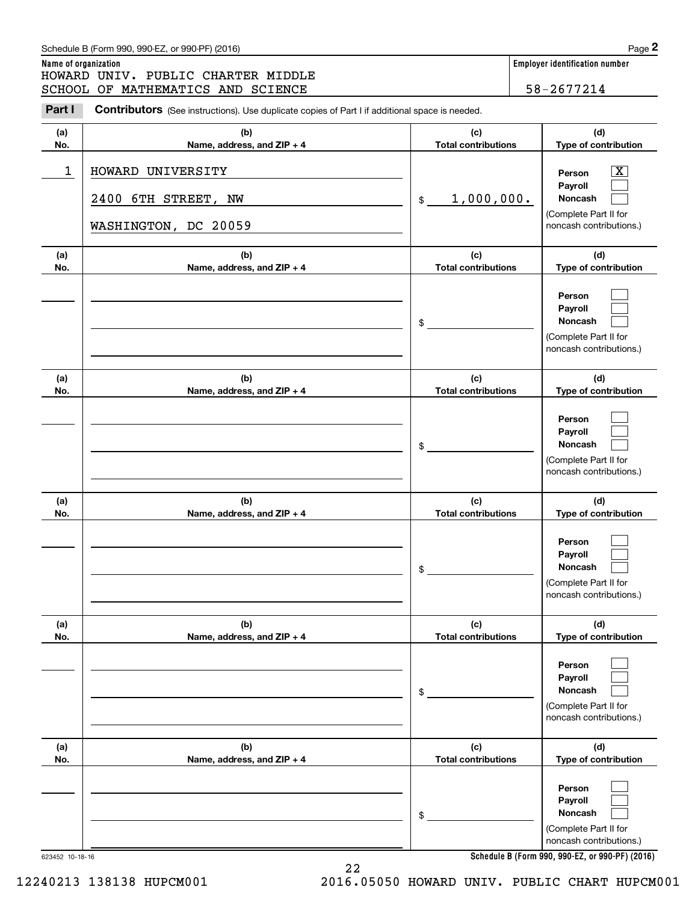|                      | Schedule B (Form 990, 990-EZ, or 990-PF) (2016)                                                |                                   | Page 2                                                                                  |
|----------------------|------------------------------------------------------------------------------------------------|-----------------------------------|-----------------------------------------------------------------------------------------|
| Name of organization | HOWARD UNIV. PUBLIC CHARTER MIDDLE                                                             |                                   | <b>Employer identification number</b>                                                   |
|                      | SCHOOL OF MATHEMATICS AND SCIENCE                                                              |                                   | 58-2677214                                                                              |
| Part I               | Contributors (See instructions). Use duplicate copies of Part I if additional space is needed. |                                   |                                                                                         |
| (a)<br>No.           | (b)<br>Name, address, and ZIP + 4                                                              | (c)<br><b>Total contributions</b> | (d)<br>Type of contribution                                                             |
| 1                    | HOWARD UNIVERSITY<br>2400 6TH STREET, NW                                                       | 1,000,000.<br>\$                  | $\overline{\mathbf{X}}$<br>Person<br>Payroll<br>Noncash<br>(Complete Part II for        |
|                      | WASHINGTON, DC 20059                                                                           |                                   | noncash contributions.)                                                                 |
| (a)<br>No.           | (b)<br>Name, address, and ZIP + 4                                                              | (c)<br><b>Total contributions</b> | (d)<br>Type of contribution                                                             |
|                      |                                                                                                | \$                                | Person<br>Payroll<br>Noncash<br>(Complete Part II for<br>noncash contributions.)        |
| (a)<br>No.           | (b)<br>Name, address, and ZIP + 4                                                              | (c)<br><b>Total contributions</b> | (d)<br>Type of contribution                                                             |
|                      |                                                                                                | \$                                | Person<br>Payroll<br>Noncash<br>(Complete Part II for<br>noncash contributions.)        |
| (a)<br>No.           | (b)<br>Name, address, and ZIP + 4                                                              | (c)<br><b>Total contributions</b> | (d)<br>Type of contribution                                                             |
|                      |                                                                                                | \$                                | Person<br>Payroll<br>Noncash<br>(Complete Part II for<br>noncash contributions.)        |
| (a)<br>No.           | (b)<br>Name, address, and ZIP + 4                                                              | (c)<br><b>Total contributions</b> | (d)<br>Type of contribution                                                             |
|                      |                                                                                                | \$                                | Person<br>Payroll<br>Noncash<br>(Complete Part II for<br>noncash contributions.)        |
| (a)<br>No.           | (b)<br>Name, address, and ZIP + 4                                                              | (c)<br><b>Total contributions</b> | (d)<br>Type of contribution                                                             |
|                      |                                                                                                | \$                                | Person<br>Payroll<br><b>Noncash</b><br>(Complete Part II for<br>noncash contributions.) |

Schedule B (Form 990, 990-EZ, or 990-PF) (2016) Page 2

**Schedule B (Form 990, 990-EZ, or 990-PF) (2016)**

623452 10-18-16

22 12240213 138138 HUPCM001 2016.05050 HOWARD UNIV. PUBLIC CHART HUPCM001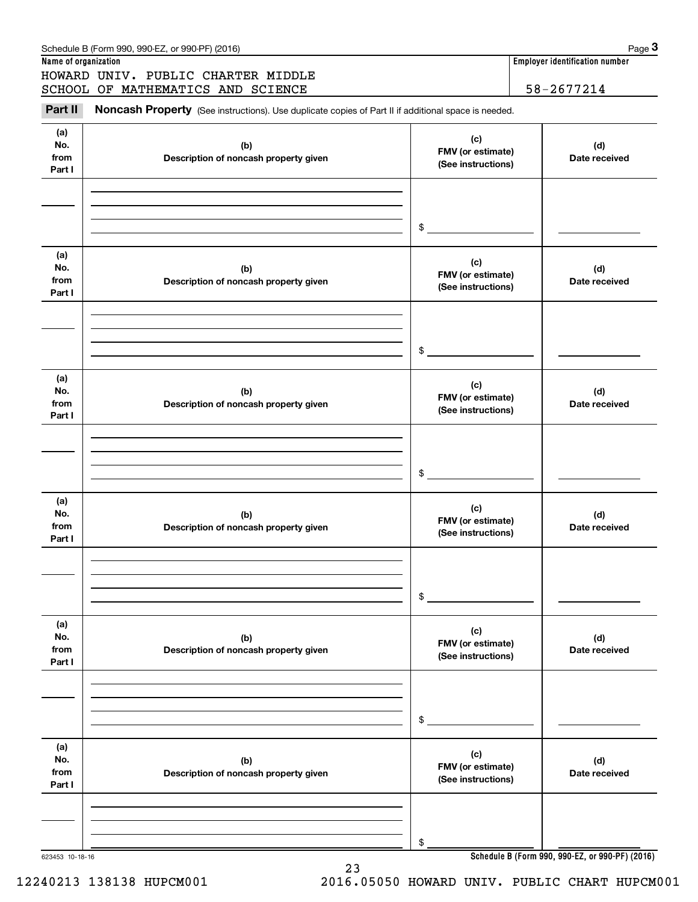| Name of organization<br>HOWARD UNIV. PUBLIC CHARTER MIDDLE                                          |                                                | Employer identification number                  |
|-----------------------------------------------------------------------------------------------------|------------------------------------------------|-------------------------------------------------|
|                                                                                                     |                                                |                                                 |
| SCHOOL OF MATHEMATICS AND SCIENCE                                                                   |                                                | 58-2677214                                      |
| Noncash Property (See instructions). Use duplicate copies of Part II if additional space is needed. |                                                |                                                 |
| (b)<br>Description of noncash property given                                                        | (c)<br>FMV (or estimate)<br>(See instructions) | (d)<br>Date received                            |
|                                                                                                     | \$                                             |                                                 |
| (b)<br>Description of noncash property given                                                        | (c)<br>FMV (or estimate)<br>(See instructions) | (d)<br>Date received                            |
|                                                                                                     | \$                                             |                                                 |
| (b)<br>Description of noncash property given                                                        | (c)<br>FMV (or estimate)<br>(See instructions) | (d)<br>Date received                            |
|                                                                                                     | \$                                             |                                                 |
| (b)<br>Description of noncash property given                                                        | (c)<br>FMV (or estimate)<br>(See instructions) | (d)<br>Date received                            |
|                                                                                                     | \$                                             |                                                 |
| (b)<br>Description of noncash property given                                                        | (c)<br>FMV (or estimate)<br>(See instructions) | (d)<br>Date received                            |
|                                                                                                     | \$                                             |                                                 |
| (b)<br>Description of noncash property given                                                        | (c)<br>FMV (or estimate)<br>(See instructions) | (d)<br>Date received                            |
|                                                                                                     | \$                                             |                                                 |
|                                                                                                     | 623453 10-18-16                                | Schedule B (Form 990, 990-EZ, or 990-PF) (2016) |

12240213 138138 HUPCM001 2016.05050 HOWARD UNIV. PUBLIC CHART HUPCM001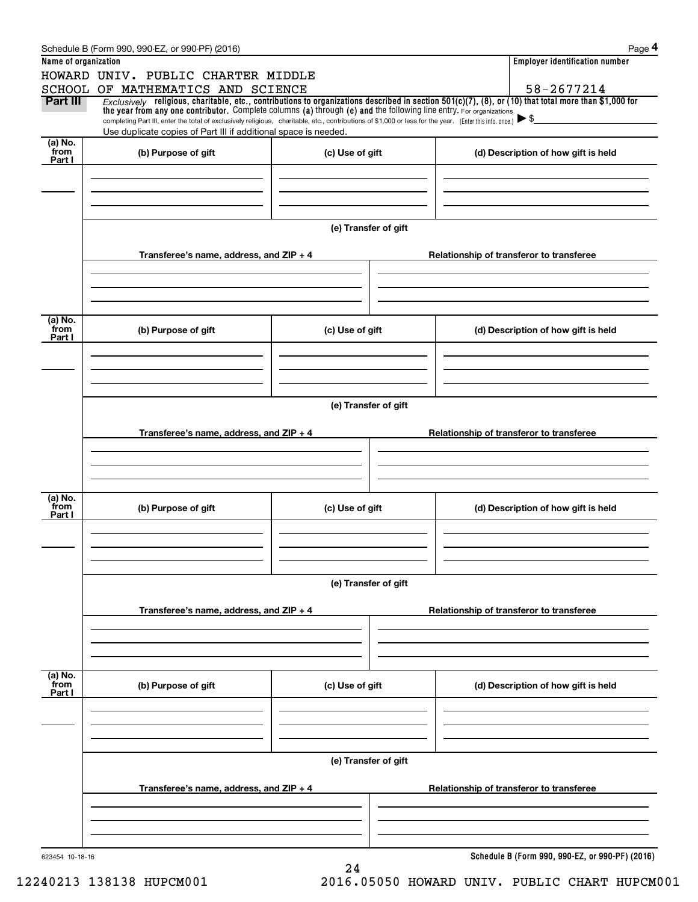|                      | Schedule B (Form 990, 990-EZ, or 990-PF) (2016)                                                                                                                                                                                                                                 |                      |                                          | Page 4                                          |  |  |  |
|----------------------|---------------------------------------------------------------------------------------------------------------------------------------------------------------------------------------------------------------------------------------------------------------------------------|----------------------|------------------------------------------|-------------------------------------------------|--|--|--|
| Name of organization |                                                                                                                                                                                                                                                                                 |                      |                                          | <b>Employer identification number</b>           |  |  |  |
|                      | HOWARD UNIV. PUBLIC CHARTER MIDDLE                                                                                                                                                                                                                                              |                      |                                          |                                                 |  |  |  |
|                      | SCHOOL OF MATHEMATICS AND SCIENCE                                                                                                                                                                                                                                               |                      |                                          | 58-2677214                                      |  |  |  |
| Part III             | Exclusively religious, charitable, etc., contributions to organizations described in section $501(c)(7)$ , (8), or (10) that total more than \$1,000 for<br>the year from any one contributor. Complete columns (a) through (e) and the following line entry. For organizations |                      |                                          |                                                 |  |  |  |
|                      | completing Part III, enter the total of exclusively religious, charitable, etc., contributions of \$1,000 or less for the year. (Enter this info. once.) $\triangleright$ \$                                                                                                    |                      |                                          |                                                 |  |  |  |
|                      | Use duplicate copies of Part III if additional space is needed.                                                                                                                                                                                                                 |                      |                                          |                                                 |  |  |  |
| (a) No.<br>from      | (b) Purpose of gift                                                                                                                                                                                                                                                             | (c) Use of gift      |                                          | (d) Description of how gift is held             |  |  |  |
| Part I               |                                                                                                                                                                                                                                                                                 |                      |                                          |                                                 |  |  |  |
|                      |                                                                                                                                                                                                                                                                                 |                      |                                          |                                                 |  |  |  |
|                      |                                                                                                                                                                                                                                                                                 |                      |                                          |                                                 |  |  |  |
|                      |                                                                                                                                                                                                                                                                                 |                      |                                          |                                                 |  |  |  |
|                      |                                                                                                                                                                                                                                                                                 | (e) Transfer of gift |                                          |                                                 |  |  |  |
|                      |                                                                                                                                                                                                                                                                                 |                      |                                          |                                                 |  |  |  |
|                      | Transferee's name, address, and $ZIP + 4$                                                                                                                                                                                                                                       |                      |                                          |                                                 |  |  |  |
|                      |                                                                                                                                                                                                                                                                                 |                      | Relationship of transferor to transferee |                                                 |  |  |  |
|                      |                                                                                                                                                                                                                                                                                 |                      |                                          |                                                 |  |  |  |
|                      |                                                                                                                                                                                                                                                                                 |                      |                                          |                                                 |  |  |  |
|                      |                                                                                                                                                                                                                                                                                 |                      |                                          |                                                 |  |  |  |
| (a) No.<br>from      | (b) Purpose of gift                                                                                                                                                                                                                                                             | (c) Use of gift      |                                          | (d) Description of how gift is held             |  |  |  |
| Part I               |                                                                                                                                                                                                                                                                                 |                      |                                          |                                                 |  |  |  |
|                      |                                                                                                                                                                                                                                                                                 |                      |                                          |                                                 |  |  |  |
|                      |                                                                                                                                                                                                                                                                                 |                      |                                          |                                                 |  |  |  |
|                      |                                                                                                                                                                                                                                                                                 |                      |                                          |                                                 |  |  |  |
|                      |                                                                                                                                                                                                                                                                                 |                      |                                          |                                                 |  |  |  |
|                      |                                                                                                                                                                                                                                                                                 | (e) Transfer of gift |                                          |                                                 |  |  |  |
|                      | Transferee's name, address, and $ZIP + 4$                                                                                                                                                                                                                                       |                      |                                          | Relationship of transferor to transferee        |  |  |  |
|                      |                                                                                                                                                                                                                                                                                 |                      |                                          |                                                 |  |  |  |
|                      |                                                                                                                                                                                                                                                                                 |                      |                                          |                                                 |  |  |  |
|                      |                                                                                                                                                                                                                                                                                 |                      |                                          |                                                 |  |  |  |
|                      |                                                                                                                                                                                                                                                                                 |                      |                                          |                                                 |  |  |  |
| (a) No.<br>from      | (b) Purpose of gift                                                                                                                                                                                                                                                             | (c) Use of gift      |                                          |                                                 |  |  |  |
| Part I               |                                                                                                                                                                                                                                                                                 |                      |                                          | (d) Description of how gift is held             |  |  |  |
|                      |                                                                                                                                                                                                                                                                                 |                      |                                          |                                                 |  |  |  |
|                      |                                                                                                                                                                                                                                                                                 |                      |                                          |                                                 |  |  |  |
|                      |                                                                                                                                                                                                                                                                                 |                      |                                          |                                                 |  |  |  |
|                      |                                                                                                                                                                                                                                                                                 |                      |                                          |                                                 |  |  |  |
|                      | (e) Transfer of gift                                                                                                                                                                                                                                                            |                      |                                          |                                                 |  |  |  |
|                      | Transferee's name, address, and $ZIP + 4$                                                                                                                                                                                                                                       |                      |                                          | Relationship of transferor to transferee        |  |  |  |
|                      |                                                                                                                                                                                                                                                                                 |                      |                                          |                                                 |  |  |  |
|                      |                                                                                                                                                                                                                                                                                 |                      |                                          |                                                 |  |  |  |
|                      |                                                                                                                                                                                                                                                                                 |                      |                                          |                                                 |  |  |  |
|                      |                                                                                                                                                                                                                                                                                 |                      |                                          |                                                 |  |  |  |
| (a) No.<br>from      | (b) Purpose of gift                                                                                                                                                                                                                                                             | (c) Use of gift      |                                          | (d) Description of how gift is held             |  |  |  |
| Part I               |                                                                                                                                                                                                                                                                                 |                      |                                          |                                                 |  |  |  |
|                      |                                                                                                                                                                                                                                                                                 |                      |                                          |                                                 |  |  |  |
|                      |                                                                                                                                                                                                                                                                                 |                      |                                          |                                                 |  |  |  |
|                      |                                                                                                                                                                                                                                                                                 |                      |                                          |                                                 |  |  |  |
|                      |                                                                                                                                                                                                                                                                                 |                      |                                          |                                                 |  |  |  |
|                      |                                                                                                                                                                                                                                                                                 | (e) Transfer of gift |                                          |                                                 |  |  |  |
|                      | Transferee's name, address, and $ZIP + 4$                                                                                                                                                                                                                                       |                      |                                          | Relationship of transferor to transferee        |  |  |  |
|                      |                                                                                                                                                                                                                                                                                 |                      |                                          |                                                 |  |  |  |
|                      |                                                                                                                                                                                                                                                                                 |                      |                                          |                                                 |  |  |  |
|                      |                                                                                                                                                                                                                                                                                 |                      |                                          |                                                 |  |  |  |
|                      |                                                                                                                                                                                                                                                                                 |                      |                                          |                                                 |  |  |  |
| 623454 10-18-16      |                                                                                                                                                                                                                                                                                 |                      |                                          | Schedule B (Form 990, 990-EZ, or 990-PF) (2016) |  |  |  |
|                      |                                                                                                                                                                                                                                                                                 | 24                   |                                          |                                                 |  |  |  |

12240213 138138 HUPCM001 2016.05050 HOWARD UNIV. PUBLIC CHART HUPCM001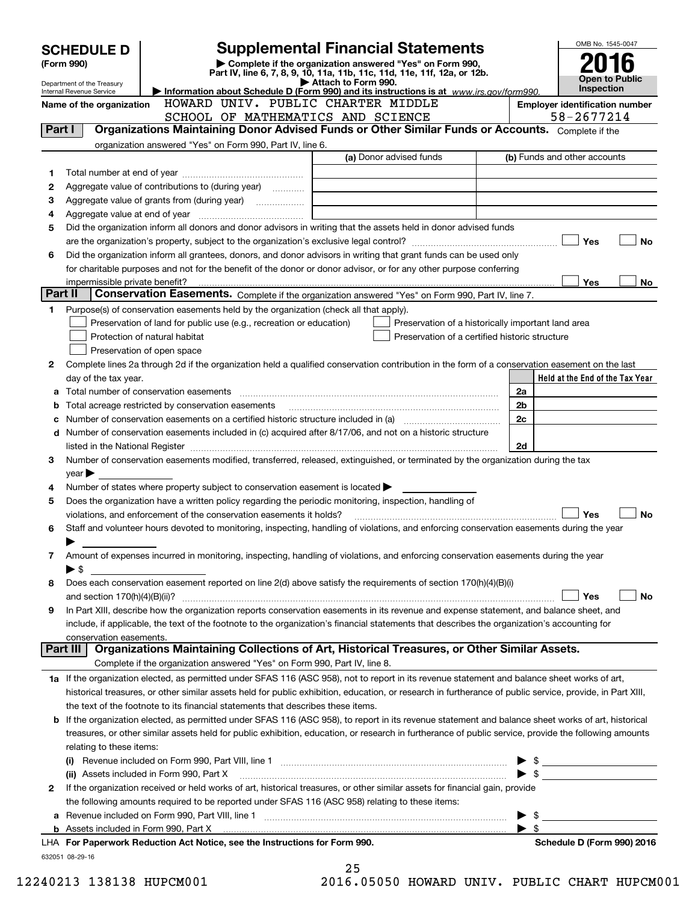|         | <b>SCHEDULE D</b>                                    |                                                                                                                                                                                                                                       | <b>Supplemental Financial Statements</b>                                                                                             |                          | OMB No. 1545-0047                          |
|---------|------------------------------------------------------|---------------------------------------------------------------------------------------------------------------------------------------------------------------------------------------------------------------------------------------|--------------------------------------------------------------------------------------------------------------------------------------|--------------------------|--------------------------------------------|
|         | (Form 990)                                           |                                                                                                                                                                                                                                       | Complete if the organization answered "Yes" on Form 990,<br>Part IV, line 6, 7, 8, 9, 10, 11a, 11b, 11c, 11d, 11e, 11f, 12a, or 12b. |                          |                                            |
|         | Department of the Treasury                           |                                                                                                                                                                                                                                       | Attach to Form 990.                                                                                                                  |                          | <b>Open to Public</b><br><b>Inspection</b> |
|         | Internal Revenue Service<br>Name of the organization | HOWARD UNIV. PUBLIC CHARTER MIDDLE                                                                                                                                                                                                    | Information about Schedule D (Form 990) and its instructions is at www.irs.gov/form990.                                              |                          | <b>Employer identification number</b>      |
|         |                                                      | SCHOOL OF MATHEMATICS AND SCIENCE                                                                                                                                                                                                     |                                                                                                                                      |                          | 58-2677214                                 |
| Part I  |                                                      | Organizations Maintaining Donor Advised Funds or Other Similar Funds or Accounts. Complete if the                                                                                                                                     |                                                                                                                                      |                          |                                            |
|         |                                                      | organization answered "Yes" on Form 990, Part IV, line 6.                                                                                                                                                                             |                                                                                                                                      |                          |                                            |
|         |                                                      |                                                                                                                                                                                                                                       | (a) Donor advised funds                                                                                                              |                          | (b) Funds and other accounts               |
| 1       |                                                      |                                                                                                                                                                                                                                       |                                                                                                                                      |                          |                                            |
| 2       |                                                      | Aggregate value of contributions to (during year)                                                                                                                                                                                     |                                                                                                                                      |                          |                                            |
| з       |                                                      |                                                                                                                                                                                                                                       |                                                                                                                                      |                          |                                            |
| 4       |                                                      |                                                                                                                                                                                                                                       |                                                                                                                                      |                          |                                            |
| 5       |                                                      | Did the organization inform all donors and donor advisors in writing that the assets held in donor advised funds                                                                                                                      |                                                                                                                                      |                          |                                            |
| 6       |                                                      | Did the organization inform all grantees, donors, and donor advisors in writing that grant funds can be used only                                                                                                                     |                                                                                                                                      |                          | Yes<br><b>No</b>                           |
|         |                                                      | for charitable purposes and not for the benefit of the donor or donor advisor, or for any other purpose conferring                                                                                                                    |                                                                                                                                      |                          |                                            |
|         |                                                      |                                                                                                                                                                                                                                       |                                                                                                                                      |                          | <b>Yes</b><br>No                           |
| Part II |                                                      | Conservation Easements. Complete if the organization answered "Yes" on Form 990, Part IV, line 7.                                                                                                                                     |                                                                                                                                      |                          |                                            |
| 1       |                                                      | Purpose(s) of conservation easements held by the organization (check all that apply).                                                                                                                                                 |                                                                                                                                      |                          |                                            |
|         |                                                      | Preservation of land for public use (e.g., recreation or education)                                                                                                                                                                   | Preservation of a historically important land area                                                                                   |                          |                                            |
|         |                                                      | Protection of natural habitat                                                                                                                                                                                                         | Preservation of a certified historic structure                                                                                       |                          |                                            |
|         |                                                      | Preservation of open space                                                                                                                                                                                                            |                                                                                                                                      |                          |                                            |
| 2       |                                                      | Complete lines 2a through 2d if the organization held a qualified conservation contribution in the form of a conservation easement on the last                                                                                        |                                                                                                                                      |                          |                                            |
|         | day of the tax year.                                 |                                                                                                                                                                                                                                       |                                                                                                                                      |                          | Held at the End of the Tax Year            |
|         |                                                      |                                                                                                                                                                                                                                       |                                                                                                                                      | 2a                       |                                            |
| b       |                                                      | Total acreage restricted by conservation easements                                                                                                                                                                                    |                                                                                                                                      | 2b<br>2c                 |                                            |
| с<br>d  |                                                      | Number of conservation easements on a certified historic structure included in (a) manufacture included in (a)<br>Number of conservation easements included in (c) acquired after 8/17/06, and not on a historic structure            |                                                                                                                                      |                          |                                            |
|         |                                                      |                                                                                                                                                                                                                                       |                                                                                                                                      | 2d                       |                                            |
| 3       |                                                      | Number of conservation easements modified, transferred, released, extinguished, or terminated by the organization during the tax                                                                                                      |                                                                                                                                      |                          |                                            |
|         | year                                                 |                                                                                                                                                                                                                                       |                                                                                                                                      |                          |                                            |
| 4       |                                                      | Number of states where property subject to conservation easement is located $\blacktriangleright$                                                                                                                                     |                                                                                                                                      |                          |                                            |
| 5       |                                                      | Does the organization have a written policy regarding the periodic monitoring, inspection, handling of                                                                                                                                |                                                                                                                                      |                          |                                            |
|         |                                                      | violations, and enforcement of the conservation easements it holds?                                                                                                                                                                   |                                                                                                                                      |                          | Yes<br><b>No</b>                           |
| 6       |                                                      | Staff and volunteer hours devoted to monitoring, inspecting, handling of violations, and enforcing conservation easements during the year                                                                                             |                                                                                                                                      |                          |                                            |
|         |                                                      |                                                                                                                                                                                                                                       |                                                                                                                                      |                          |                                            |
| 7       |                                                      | Amount of expenses incurred in monitoring, inspecting, handling of violations, and enforcing conservation easements during the year                                                                                                   |                                                                                                                                      |                          |                                            |
| 8       | $\blacktriangleright$ \$                             | Does each conservation easement reported on line 2(d) above satisfy the requirements of section 170(h)(4)(B)(i)                                                                                                                       |                                                                                                                                      |                          |                                            |
|         |                                                      |                                                                                                                                                                                                                                       |                                                                                                                                      |                          | Yes<br>No                                  |
| 9       |                                                      | In Part XIII, describe how the organization reports conservation easements in its revenue and expense statement, and balance sheet, and                                                                                               |                                                                                                                                      |                          |                                            |
|         |                                                      | include, if applicable, the text of the footnote to the organization's financial statements that describes the organization's accounting for                                                                                          |                                                                                                                                      |                          |                                            |
|         | conservation easements.                              |                                                                                                                                                                                                                                       |                                                                                                                                      |                          |                                            |
|         | Part III                                             | Organizations Maintaining Collections of Art, Historical Treasures, or Other Similar Assets.                                                                                                                                          |                                                                                                                                      |                          |                                            |
|         |                                                      | Complete if the organization answered "Yes" on Form 990, Part IV, line 8.                                                                                                                                                             |                                                                                                                                      |                          |                                            |
|         |                                                      | 1a If the organization elected, as permitted under SFAS 116 (ASC 958), not to report in its revenue statement and balance sheet works of art,                                                                                         |                                                                                                                                      |                          |                                            |
|         |                                                      | historical treasures, or other similar assets held for public exhibition, education, or research in furtherance of public service, provide, in Part XIII,                                                                             |                                                                                                                                      |                          |                                            |
|         |                                                      | the text of the footnote to its financial statements that describes these items.<br>If the organization elected, as permitted under SFAS 116 (ASC 958), to report in its revenue statement and balance sheet works of art, historical |                                                                                                                                      |                          |                                            |
| b       |                                                      | treasures, or other similar assets held for public exhibition, education, or research in furtherance of public service, provide the following amounts                                                                                 |                                                                                                                                      |                          |                                            |
|         | relating to these items:                             |                                                                                                                                                                                                                                       |                                                                                                                                      |                          |                                            |
|         |                                                      |                                                                                                                                                                                                                                       |                                                                                                                                      | $\blacktriangleright$ \$ |                                            |
|         |                                                      |                                                                                                                                                                                                                                       |                                                                                                                                      | $\blacktriangleright$ \$ | <u> 1990 - Jan Alexandria (</u>            |
| 2       |                                                      | If the organization received or held works of art, historical treasures, or other similar assets for financial gain, provide                                                                                                          |                                                                                                                                      |                          |                                            |
|         |                                                      | the following amounts required to be reported under SFAS 116 (ASC 958) relating to these items:                                                                                                                                       |                                                                                                                                      |                          |                                            |
| а       |                                                      |                                                                                                                                                                                                                                       |                                                                                                                                      | $\blacktriangleright$ s  |                                            |
|         |                                                      |                                                                                                                                                                                                                                       |                                                                                                                                      | $\blacktriangleright$ \$ |                                            |
|         |                                                      | LHA For Paperwork Reduction Act Notice, see the Instructions for Form 990.                                                                                                                                                            |                                                                                                                                      |                          | Schedule D (Form 990) 2016                 |
|         | 632051 08-29-16                                      |                                                                                                                                                                                                                                       | つに                                                                                                                                   |                          |                                            |

25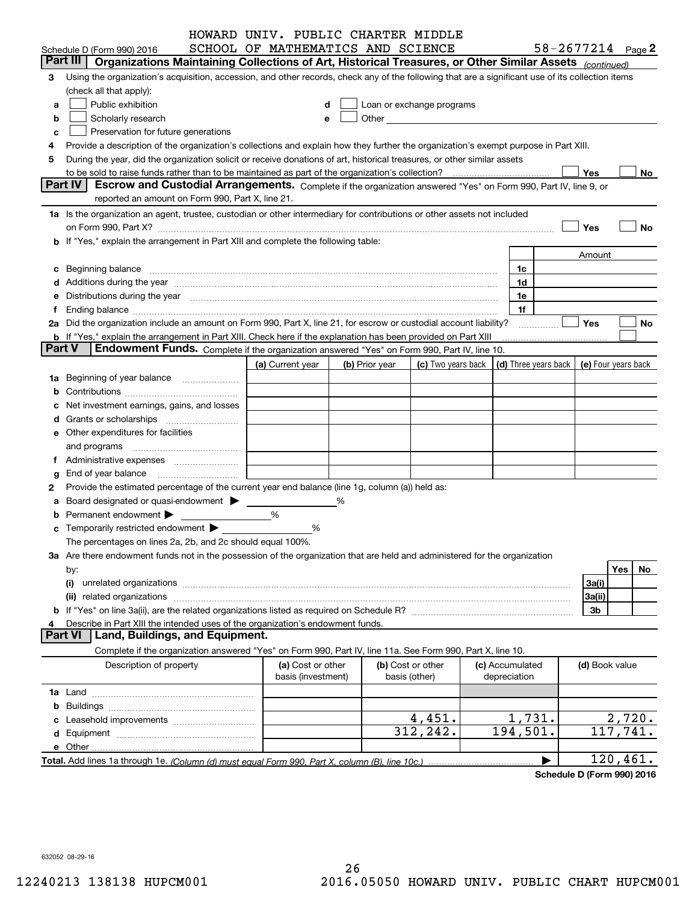|               |                                                                                                                                                                                                                                | HOWARD UNIV. PUBLIC CHARTER MIDDLE |   |                |                                                                                                                                                                                                                               |  |                 |                                            |           |
|---------------|--------------------------------------------------------------------------------------------------------------------------------------------------------------------------------------------------------------------------------|------------------------------------|---|----------------|-------------------------------------------------------------------------------------------------------------------------------------------------------------------------------------------------------------------------------|--|-----------------|--------------------------------------------|-----------|
|               | SCHOOL OF MATHEMATICS AND SCIENCE<br>$58 - 2677214$ Page 2<br>Schedule D (Form 990) 2016                                                                                                                                       |                                    |   |                |                                                                                                                                                                                                                               |  |                 |                                            |           |
|               | Part III   Organizations Maintaining Collections of Art, Historical Treasures, or Other Similar Assets (continued)                                                                                                             |                                    |   |                |                                                                                                                                                                                                                               |  |                 |                                            |           |
| 3             | Using the organization's acquisition, accession, and other records, check any of the following that are a significant use of its collection items                                                                              |                                    |   |                |                                                                                                                                                                                                                               |  |                 |                                            |           |
|               | (check all that apply):                                                                                                                                                                                                        |                                    |   |                |                                                                                                                                                                                                                               |  |                 |                                            |           |
| a             | Public exhibition                                                                                                                                                                                                              |                                    |   |                | Loan or exchange programs                                                                                                                                                                                                     |  |                 |                                            |           |
| b             | Scholarly research                                                                                                                                                                                                             |                                    |   |                | Other and the contract of the contract of the contract of the contract of the contract of the contract of the contract of the contract of the contract of the contract of the contract of the contract of the contract of the |  |                 |                                            |           |
| с             | Preservation for future generations                                                                                                                                                                                            |                                    |   |                |                                                                                                                                                                                                                               |  |                 |                                            |           |
| 4             | Provide a description of the organization's collections and explain how they further the organization's exempt purpose in Part XIII.                                                                                           |                                    |   |                |                                                                                                                                                                                                                               |  |                 |                                            |           |
| 5             | During the year, did the organization solicit or receive donations of art, historical treasures, or other similar assets                                                                                                       |                                    |   |                |                                                                                                                                                                                                                               |  |                 |                                            |           |
|               |                                                                                                                                                                                                                                |                                    |   |                |                                                                                                                                                                                                                               |  |                 | Yes                                        | No        |
|               | <b>Part IV</b><br>Escrow and Custodial Arrangements. Complete if the organization answered "Yes" on Form 990, Part IV, line 9, or                                                                                              |                                    |   |                |                                                                                                                                                                                                                               |  |                 |                                            |           |
|               | reported an amount on Form 990, Part X, line 21.                                                                                                                                                                               |                                    |   |                |                                                                                                                                                                                                                               |  |                 |                                            |           |
|               | 1a Is the organization an agent, trustee, custodian or other intermediary for contributions or other assets not included                                                                                                       |                                    |   |                |                                                                                                                                                                                                                               |  |                 |                                            |           |
|               | on Form 990, Part X? [11] matter contracts and contracts and contracts are contracted as a form 990, Part X?                                                                                                                   |                                    |   |                |                                                                                                                                                                                                                               |  |                 | Yes                                        | No        |
|               | b If "Yes," explain the arrangement in Part XIII and complete the following table:                                                                                                                                             |                                    |   |                |                                                                                                                                                                                                                               |  |                 |                                            |           |
|               |                                                                                                                                                                                                                                |                                    |   |                |                                                                                                                                                                                                                               |  |                 | Amount                                     |           |
|               | c Beginning balance measurements and the state of the state of the state of the state of the state of the state of the state of the state of the state of the state of the state of the state of the state of the state of the |                                    |   |                |                                                                                                                                                                                                                               |  | 1c              |                                            |           |
|               | d Additions during the year measurements are all an according to the year measurement of the year measurement of the state of the state of the state of the state of the state of the state of the state of the state of the s |                                    |   |                |                                                                                                                                                                                                                               |  | 1d              |                                            |           |
|               | e Distributions during the year manufactured and contain an account of the state of the state of the state of the state of the state of the state of the state of the state of the state of the state of the state of the stat |                                    |   |                |                                                                                                                                                                                                                               |  | 1e              |                                            |           |
| f.            |                                                                                                                                                                                                                                |                                    |   |                |                                                                                                                                                                                                                               |  | 1f              |                                            |           |
|               | 2a Did the organization include an amount on Form 990, Part X, line 21, for escrow or custodial account liability?                                                                                                             |                                    |   |                |                                                                                                                                                                                                                               |  |                 | <b>Yes</b>                                 | No        |
|               | <b>b</b> If "Yes," explain the arrangement in Part XIII. Check here if the explanation has been provided on Part XIII                                                                                                          |                                    |   |                |                                                                                                                                                                                                                               |  |                 |                                            |           |
| <b>Part V</b> | Endowment Funds. Complete if the organization answered "Yes" on Form 990, Part IV, line 10.                                                                                                                                    |                                    |   |                |                                                                                                                                                                                                                               |  |                 |                                            |           |
|               |                                                                                                                                                                                                                                | (a) Current year                   |   | (b) Prior year | (c) Two years back                                                                                                                                                                                                            |  |                 | (d) Three years back   (e) Four years back |           |
|               |                                                                                                                                                                                                                                |                                    |   |                |                                                                                                                                                                                                                               |  |                 |                                            |           |
|               | 1a Beginning of year balance                                                                                                                                                                                                   |                                    |   |                |                                                                                                                                                                                                                               |  |                 |                                            |           |
|               |                                                                                                                                                                                                                                |                                    |   |                |                                                                                                                                                                                                                               |  |                 |                                            |           |
|               | Net investment earnings, gains, and losses                                                                                                                                                                                     |                                    |   |                |                                                                                                                                                                                                                               |  |                 |                                            |           |
|               | d Grants or scholarships <i>manually contained</i>                                                                                                                                                                             |                                    |   |                |                                                                                                                                                                                                                               |  |                 |                                            |           |
|               | e Other expenditures for facilities                                                                                                                                                                                            |                                    |   |                |                                                                                                                                                                                                                               |  |                 |                                            |           |
|               |                                                                                                                                                                                                                                |                                    |   |                |                                                                                                                                                                                                                               |  |                 |                                            |           |
|               | f Administrative expenses <i></i>                                                                                                                                                                                              |                                    |   |                |                                                                                                                                                                                                                               |  |                 |                                            |           |
|               | <b>g</b> End of year balance $\ldots$                                                                                                                                                                                          |                                    |   |                |                                                                                                                                                                                                                               |  |                 |                                            |           |
| 2             | Provide the estimated percentage of the current year end balance (line 1g, column (a)) held as:                                                                                                                                |                                    |   |                |                                                                                                                                                                                                                               |  |                 |                                            |           |
|               | a Board designated or quasi-endowment >                                                                                                                                                                                        |                                    | % |                |                                                                                                                                                                                                                               |  |                 |                                            |           |
|               | Permanent endowment $\blacktriangleright$                                                                                                                                                                                      | %                                  |   |                |                                                                                                                                                                                                                               |  |                 |                                            |           |
|               | c Temporarily restricted endowment $\blacktriangleright$                                                                                                                                                                       | %                                  |   |                |                                                                                                                                                                                                                               |  |                 |                                            |           |
|               | The percentages on lines 2a, 2b, and 2c should equal 100%.                                                                                                                                                                     |                                    |   |                |                                                                                                                                                                                                                               |  |                 |                                            |           |
|               | 3a Are there endowment funds not in the possession of the organization that are held and administered for the organization                                                                                                     |                                    |   |                |                                                                                                                                                                                                                               |  |                 |                                            |           |
|               | by:                                                                                                                                                                                                                            |                                    |   |                |                                                                                                                                                                                                                               |  |                 |                                            | Yes<br>No |
|               | (i)                                                                                                                                                                                                                            |                                    |   |                |                                                                                                                                                                                                                               |  |                 | 3a(i)                                      |           |
|               | (ii)                                                                                                                                                                                                                           |                                    |   |                |                                                                                                                                                                                                                               |  |                 | 3a(ii)                                     |           |
|               |                                                                                                                                                                                                                                |                                    |   |                |                                                                                                                                                                                                                               |  |                 | 3b                                         |           |
|               | Describe in Part XIII the intended uses of the organization's endowment funds.                                                                                                                                                 |                                    |   |                |                                                                                                                                                                                                                               |  |                 |                                            |           |
|               | Land, Buildings, and Equipment.<br><b>Part VI</b>                                                                                                                                                                              |                                    |   |                |                                                                                                                                                                                                                               |  |                 |                                            |           |
|               | Complete if the organization answered "Yes" on Form 990, Part IV, line 11a. See Form 990, Part X, line 10.                                                                                                                     |                                    |   |                |                                                                                                                                                                                                                               |  |                 |                                            |           |
|               | Description of property                                                                                                                                                                                                        | (a) Cost or other                  |   |                | (b) Cost or other                                                                                                                                                                                                             |  | (c) Accumulated | (d) Book value                             |           |
|               |                                                                                                                                                                                                                                | basis (investment)                 |   |                | basis (other)                                                                                                                                                                                                                 |  | depreciation    |                                            |           |
|               |                                                                                                                                                                                                                                |                                    |   |                |                                                                                                                                                                                                                               |  |                 |                                            |           |
|               |                                                                                                                                                                                                                                |                                    |   |                |                                                                                                                                                                                                                               |  |                 |                                            |           |
|               |                                                                                                                                                                                                                                |                                    |   |                | 4,451.                                                                                                                                                                                                                        |  | 1,731.          |                                            | 2,720.    |
|               |                                                                                                                                                                                                                                |                                    |   |                | 312,242.                                                                                                                                                                                                                      |  | 194,501.        |                                            | 117,741.  |
|               |                                                                                                                                                                                                                                |                                    |   |                |                                                                                                                                                                                                                               |  |                 |                                            |           |
|               |                                                                                                                                                                                                                                |                                    |   |                |                                                                                                                                                                                                                               |  |                 |                                            | 120,461.  |
|               |                                                                                                                                                                                                                                |                                    |   |                |                                                                                                                                                                                                                               |  |                 |                                            |           |

**Schedule D (Form 990) 2016**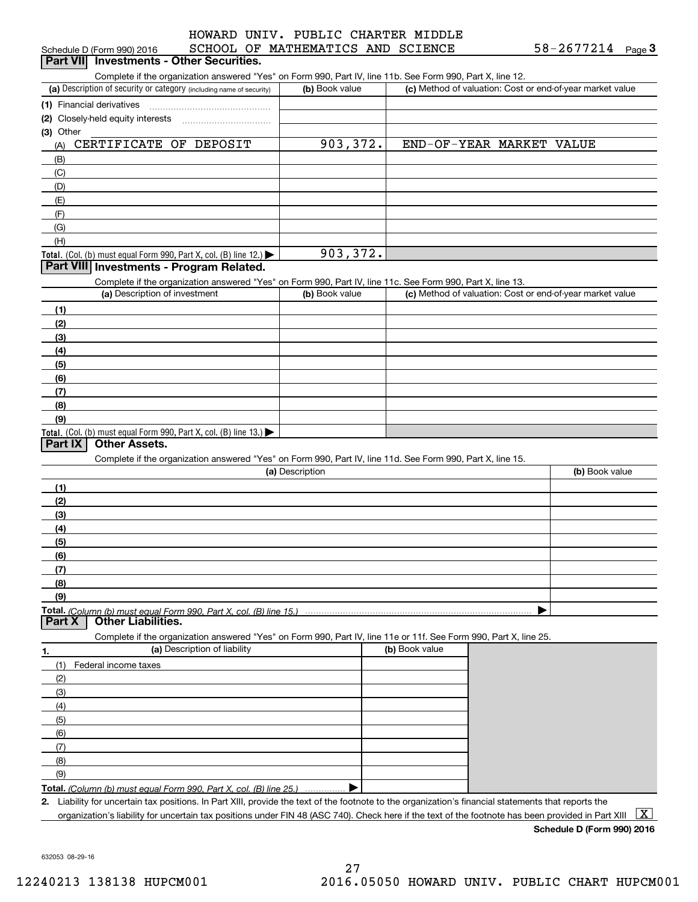#### CCHOOL OF MATHEMATIC HOWARD UNIV. PUBLIC CHARTER MIDDLE

| Schedule D (Form 990) 2016                                                                                                                           | SCHOOL OF MATHEMATICS AND SCIENCE |                          | 58-2677214<br>$Page$ <sup>3</sup>                         |
|------------------------------------------------------------------------------------------------------------------------------------------------------|-----------------------------------|--------------------------|-----------------------------------------------------------|
| Part VII Investments - Other Securities.                                                                                                             |                                   |                          |                                                           |
| Complete if the organization answered "Yes" on Form 990, Part IV, line 11b. See Form 990, Part X, line 12.                                           |                                   |                          |                                                           |
| (a) Description of security or category (including name of security)                                                                                 | (b) Book value                    |                          | (c) Method of valuation: Cost or end-of-year market value |
| (1) Financial derivatives                                                                                                                            |                                   |                          |                                                           |
| (2) Closely-held equity interests [11] [2] Closely-held equity interests                                                                             |                                   |                          |                                                           |
| (3) Other<br>CERTIFICATE OF DEPOSIT                                                                                                                  |                                   | END-OF-YEAR MARKET VALUE |                                                           |
| (A)                                                                                                                                                  | 903,372.                          |                          |                                                           |
| (B)                                                                                                                                                  |                                   |                          |                                                           |
| (C)                                                                                                                                                  |                                   |                          |                                                           |
| (D)<br>(E)                                                                                                                                           |                                   |                          |                                                           |
| (F)                                                                                                                                                  |                                   |                          |                                                           |
| (G)                                                                                                                                                  |                                   |                          |                                                           |
| (H)                                                                                                                                                  |                                   |                          |                                                           |
| Total. (Col. (b) must equal Form 990, Part X, col. (B) line 12.)                                                                                     | 903,372.                          |                          |                                                           |
| Part VIII Investments - Program Related.                                                                                                             |                                   |                          |                                                           |
| Complete if the organization answered "Yes" on Form 990, Part IV, line 11c. See Form 990, Part X, line 13.                                           |                                   |                          |                                                           |
| (a) Description of investment                                                                                                                        | (b) Book value                    |                          | (c) Method of valuation: Cost or end-of-year market value |
| (1)                                                                                                                                                  |                                   |                          |                                                           |
| (2)                                                                                                                                                  |                                   |                          |                                                           |
| (3)                                                                                                                                                  |                                   |                          |                                                           |
| (4)                                                                                                                                                  |                                   |                          |                                                           |
| (5)                                                                                                                                                  |                                   |                          |                                                           |
| (6)                                                                                                                                                  |                                   |                          |                                                           |
| (7)                                                                                                                                                  |                                   |                          |                                                           |
| (8)                                                                                                                                                  |                                   |                          |                                                           |
| (9)                                                                                                                                                  |                                   |                          |                                                           |
| Total. (Col. (b) must equal Form 990, Part X, col. (B) line 13.)                                                                                     |                                   |                          |                                                           |
| <b>Other Assets.</b><br>Part IX                                                                                                                      |                                   |                          |                                                           |
| Complete if the organization answered "Yes" on Form 990, Part IV, line 11d. See Form 990, Part X, line 15.                                           |                                   |                          |                                                           |
|                                                                                                                                                      | (a) Description                   |                          | (b) Book value                                            |
| (1)                                                                                                                                                  |                                   |                          |                                                           |
| (2)                                                                                                                                                  |                                   |                          |                                                           |
| (3)                                                                                                                                                  |                                   |                          |                                                           |
| (4)                                                                                                                                                  |                                   |                          |                                                           |
| (5)                                                                                                                                                  |                                   |                          |                                                           |
| (6)                                                                                                                                                  |                                   |                          |                                                           |
| (7)                                                                                                                                                  |                                   |                          |                                                           |
| (8)                                                                                                                                                  |                                   |                          |                                                           |
| (9)                                                                                                                                                  |                                   |                          |                                                           |
| <b>Other Liabilities.</b><br>Part X                                                                                                                  |                                   |                          |                                                           |
| Complete if the organization answered "Yes" on Form 990, Part IV, line 11e or 11f. See Form 990, Part X, line 25.                                    |                                   |                          |                                                           |
| (a) Description of liability<br>1.                                                                                                                   |                                   | (b) Book value           |                                                           |
| (1)<br>Federal income taxes                                                                                                                          |                                   |                          |                                                           |
| (2)                                                                                                                                                  |                                   |                          |                                                           |
| (3)                                                                                                                                                  |                                   |                          |                                                           |
| (4)                                                                                                                                                  |                                   |                          |                                                           |
| (5)                                                                                                                                                  |                                   |                          |                                                           |
| (6)                                                                                                                                                  |                                   |                          |                                                           |
| (7)                                                                                                                                                  |                                   |                          |                                                           |
| (8)                                                                                                                                                  |                                   |                          |                                                           |
| (9)                                                                                                                                                  |                                   |                          |                                                           |
| <b>Total.</b> (Column (b) must equal Form 990. Part X, col. (B) line 25.)                                                                            |                                   |                          |                                                           |
| 2. Liability for uncertain tax positions. In Part XIII, provide the text of the footnote to the organization's financial statements that reports the |                                   |                          |                                                           |
| organization's liability for uncertain tax positions under FIN 48 (ASC 740). Check here if the text of the footnote has been provided in Part XIII   |                                   |                          | $\vert$ X $\vert$                                         |

**Schedule D (Form 990) 2016**

632053 08-29-16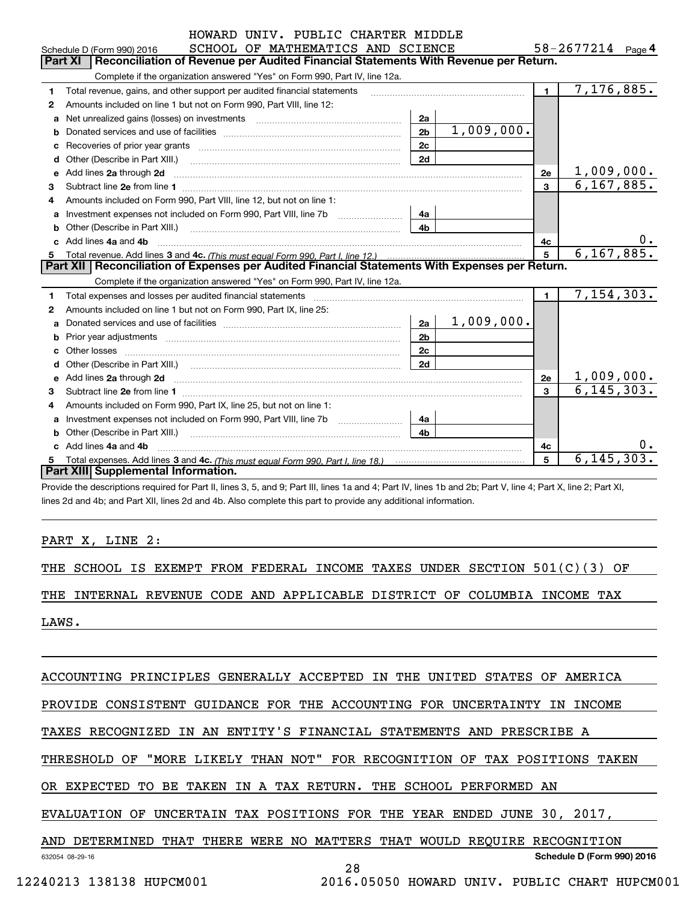|   | HOWARD UNIV. PUBLIC CHARTER MIDDLE                                                                                                                                                                                                   |                |                   |                |              |
|---|--------------------------------------------------------------------------------------------------------------------------------------------------------------------------------------------------------------------------------------|----------------|-------------------|----------------|--------------|
|   | SCHOOL OF MATHEMATICS AND SCIENCE<br>Schedule D (Form 990) 2016                                                                                                                                                                      |                | 58-2677214 Page 4 |                |              |
|   | Reconciliation of Revenue per Audited Financial Statements With Revenue per Return.<br><b>Part XI</b>                                                                                                                                |                |                   |                |              |
|   | Complete if the organization answered "Yes" on Form 990, Part IV, line 12a.                                                                                                                                                          |                |                   |                |              |
| 1 | Total revenue, gains, and other support per audited financial statements                                                                                                                                                             |                |                   | $\blacksquare$ | 7,176,885.   |
| 2 | Amounts included on line 1 but not on Form 990, Part VIII, line 12:                                                                                                                                                                  |                |                   |                |              |
| a | Net unrealized gains (losses) on investments [11] matter contracts and the unrealized gains (losses) on investments                                                                                                                  | 2a             |                   |                |              |
| b |                                                                                                                                                                                                                                      | 2 <sub>b</sub> | 1,009,000.        |                |              |
|   |                                                                                                                                                                                                                                      | 2c             |                   |                |              |
|   |                                                                                                                                                                                                                                      | 2d             |                   |                |              |
| e | Add lines 2a through 2d <b>contract and the contract of the contract of the contract of the contract of the contract of the contract of the contract of the contract of the contract of the contract of the contract of the cont</b> |                |                   | 2e             | 1,009,000.   |
| 3 |                                                                                                                                                                                                                                      |                |                   | 3              | 6, 167, 885. |
| 4 | Amounts included on Form 990, Part VIII, line 12, but not on line 1:                                                                                                                                                                 |                |                   |                |              |
| a | Investment expenses not included on Form 990, Part VIII, line 7b [1000000000000000000000000000000000                                                                                                                                 | 4a             |                   |                |              |
| b | Other (Describe in Part XIII.) <b>Construction</b> and the construction of the construction of the construction of the construction of the construction of the construction of the construction of the construction of the construc  | 4b             |                   |                |              |
|   | Add lines 4a and 4b                                                                                                                                                                                                                  |                |                   | 4с             | υ.           |
|   |                                                                                                                                                                                                                                      | 5              | 6, 167, 885.      |                |              |
|   | Part XII   Reconciliation of Expenses per Audited Financial Statements With Expenses per Return.                                                                                                                                     |                |                   |                |              |
|   | Complete if the organization answered "Yes" on Form 990, Part IV, line 12a.                                                                                                                                                          |                |                   |                |              |
| 1 | Total expenses and losses per audited financial statements                                                                                                                                                                           |                |                   | $\blacksquare$ | 7, 154, 303. |
| 2 | Amounts included on line 1 but not on Form 990, Part IX, line 25:                                                                                                                                                                    |                |                   |                |              |
| a |                                                                                                                                                                                                                                      | 2a             | 1,009,000.        |                |              |
| b |                                                                                                                                                                                                                                      | 2 <sub>b</sub> |                   |                |              |
|   |                                                                                                                                                                                                                                      | 2 <sub>c</sub> |                   |                |              |
|   |                                                                                                                                                                                                                                      | 2d             |                   |                |              |
|   |                                                                                                                                                                                                                                      |                |                   | 2e             | 1,009,000.   |
| 3 |                                                                                                                                                                                                                                      |                |                   | $\mathbf{R}$   | 6, 145, 303. |
| 4 | Amounts included on Form 990, Part IX, line 25, but not on line 1:                                                                                                                                                                   |                |                   |                |              |
| a |                                                                                                                                                                                                                                      | 4a             |                   |                |              |
| b |                                                                                                                                                                                                                                      | 4 <sub>h</sub> |                   |                |              |
|   | c Add lines 4a and 4b                                                                                                                                                                                                                |                |                   | 4c             |              |
|   |                                                                                                                                                                                                                                      |                |                   | 5              | 6, 145, 303. |
|   | Part XIII Supplemental Information.                                                                                                                                                                                                  |                |                   |                |              |

Provide the descriptions required for Part II, lines 3, 5, and 9; Part III, lines 1a and 4; Part IV, lines 1b and 2b; Part V, line 4; Part X, line 2; Part XI, lines 2d and 4b; and Part XII, lines 2d and 4b. Also complete this part to provide any additional information.

PART X, LINE 2:

THE SCHOOL IS EXEMPT FROM FEDERAL INCOME TAXES UNDER SECTION 501(C)(3) OF

THE INTERNAL REVENUE CODE AND APPLICABLE DISTRICT OF COLUMBIA INCOME TAX

LAWS.

ACCOUNTING PRINCIPLES GENERALLY ACCEPTED IN THE UNITED STATES OF AMERICA

PROVIDE CONSISTENT GUIDANCE FOR THE ACCOUNTING FOR UNCERTAINTY IN INCOME

TAXES RECOGNIZED IN AN ENTITY'S FINANCIAL STATEMENTS AND PRESCRIBE A

THRESHOLD OF "MORE LIKELY THAN NOT" FOR RECOGNITION OF TAX POSITIONS TAKEN

OR EXPECTED TO BE TAKEN IN A TAX RETURN. THE SCHOOL PERFORMED AN

EVALUATION OF UNCERTAIN TAX POSITIONS FOR THE YEAR ENDED JUNE 30, 2017,

632054 08-29-16 **Schedule D (Form 990) 2016** AND DETERMINED THAT THERE WERE NO MATTERS THAT WOULD REQUIRE RECOGNITION

28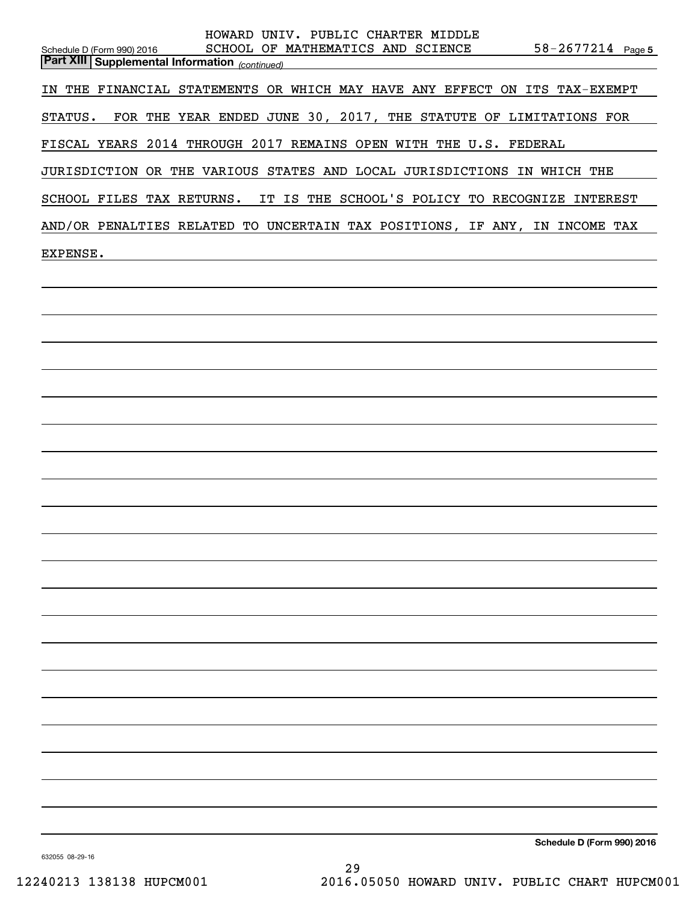| HOWARD UNIV. PUBLIC CHARTER MIDDLE<br>SCHOOL OF MATHEMATICS AND SCIENCE<br>$58 - 2677214$ Page 5<br>Schedule D (Form 990) 2016<br><b>Part XIII   Supplemental Information</b> (continued) |
|-------------------------------------------------------------------------------------------------------------------------------------------------------------------------------------------|
| IN THE FINANCIAL STATEMENTS OR WHICH MAY HAVE ANY EFFECT ON ITS TAX-EXEMPT                                                                                                                |
| STATUS. FOR THE YEAR ENDED JUNE 30, 2017, THE STATUTE OF LIMITATIONS FOR                                                                                                                  |
| FISCAL YEARS 2014 THROUGH 2017 REMAINS OPEN WITH THE U.S. FEDERAL                                                                                                                         |
| JURISDICTION OR THE VARIOUS STATES AND LOCAL JURISDICTIONS IN WHICH THE                                                                                                                   |
| SCHOOL FILES TAX RETURNS. IT IS THE SCHOOL'S POLICY TO RECOGNIZE INTEREST                                                                                                                 |
| AND/OR PENALTIES RELATED TO UNCERTAIN TAX POSITIONS, IF ANY, IN INCOME TAX                                                                                                                |
| EXPENSE.                                                                                                                                                                                  |
|                                                                                                                                                                                           |
|                                                                                                                                                                                           |
|                                                                                                                                                                                           |
|                                                                                                                                                                                           |
|                                                                                                                                                                                           |
|                                                                                                                                                                                           |
|                                                                                                                                                                                           |
|                                                                                                                                                                                           |
|                                                                                                                                                                                           |
|                                                                                                                                                                                           |
|                                                                                                                                                                                           |
|                                                                                                                                                                                           |
|                                                                                                                                                                                           |
|                                                                                                                                                                                           |
|                                                                                                                                                                                           |
|                                                                                                                                                                                           |
|                                                                                                                                                                                           |
|                                                                                                                                                                                           |
|                                                                                                                                                                                           |
|                                                                                                                                                                                           |
| Schedule D (Form 990) 2016                                                                                                                                                                |
|                                                                                                                                                                                           |

632055 08-29-16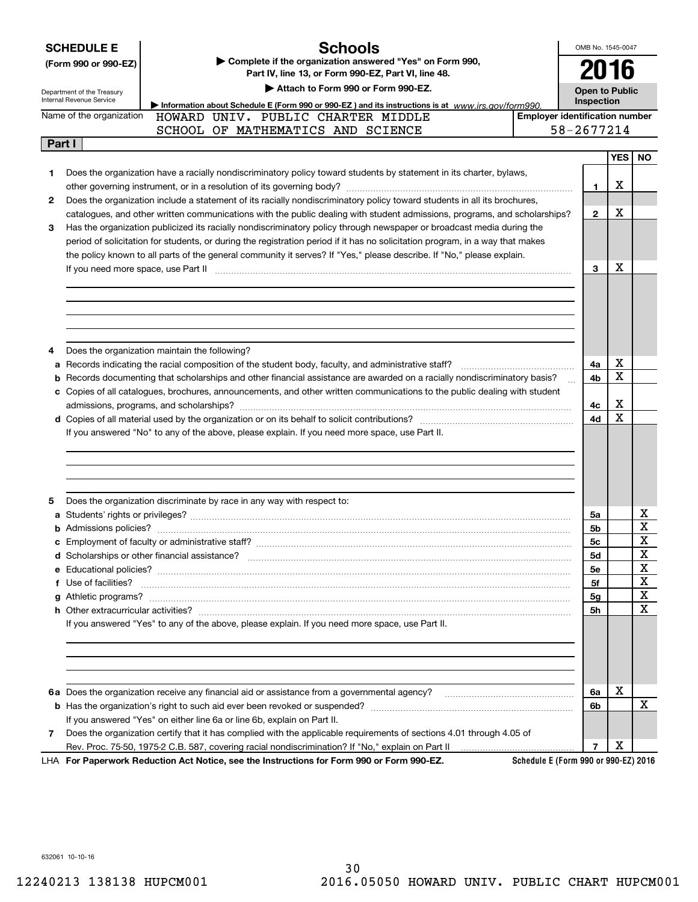|        | <b>Schools</b><br><b>SCHEDULE E</b><br>Complete if the organization answered "Yes" on Form 990,<br>(Form 990 or 990-EZ)<br>Part IV, line 13, or Form 990-EZ, Part VI, line 48.<br>Attach to Form 990 or Form 990-EZ.<br>Department of the Treasury |                                       | OMB No. 1545-0047<br>2016<br><b>Open to Public</b> |                         |  |
|--------|----------------------------------------------------------------------------------------------------------------------------------------------------------------------------------------------------------------------------------------------------|---------------------------------------|----------------------------------------------------|-------------------------|--|
|        | Internal Revenue Service<br>Information about Schedule E (Form 990 or 990-EZ) and its instructions is at www.irs.gov/form990.                                                                                                                      | Inspection                            |                                                    |                         |  |
|        | Name of the organization<br>HOWARD UNIV. PUBLIC CHARTER MIDDLE                                                                                                                                                                                     | <b>Employer identification number</b> |                                                    |                         |  |
|        | SCHOOL OF MATHEMATICS AND SCIENCE                                                                                                                                                                                                                  | 58-2677214                            |                                                    |                         |  |
| Part I |                                                                                                                                                                                                                                                    |                                       |                                                    |                         |  |
|        |                                                                                                                                                                                                                                                    |                                       | <b>YES</b>                                         | NO.                     |  |
| 1      | Does the organization have a racially nondiscriminatory policy toward students by statement in its charter, bylaws,                                                                                                                                |                                       |                                                    |                         |  |
|        |                                                                                                                                                                                                                                                    | 1                                     | х                                                  |                         |  |
| 2      | Does the organization include a statement of its racially nondiscriminatory policy toward students in all its brochures,                                                                                                                           |                                       |                                                    |                         |  |
|        | catalogues, and other written communications with the public dealing with student admissions, programs, and scholarships?                                                                                                                          | $\mathbf{2}$                          | х                                                  |                         |  |
| 3      | Has the organization publicized its racially nondiscriminatory policy through newspaper or broadcast media during the                                                                                                                              |                                       |                                                    |                         |  |
|        | period of solicitation for students, or during the registration period if it has no solicitation program, in a way that makes                                                                                                                      |                                       |                                                    |                         |  |
|        | the policy known to all parts of the general community it serves? If "Yes," please describe. If "No," please explain.                                                                                                                              |                                       |                                                    |                         |  |
|        | If you need more space, use Part II <b>manufacture and continuum and continuum and continuum and continuum and continuum</b>                                                                                                                       | 3                                     | х                                                  |                         |  |
|        |                                                                                                                                                                                                                                                    |                                       |                                                    |                         |  |
|        |                                                                                                                                                                                                                                                    |                                       |                                                    |                         |  |
|        |                                                                                                                                                                                                                                                    |                                       |                                                    |                         |  |
|        |                                                                                                                                                                                                                                                    |                                       |                                                    |                         |  |
|        |                                                                                                                                                                                                                                                    |                                       |                                                    |                         |  |
| 4      | Does the organization maintain the following?                                                                                                                                                                                                      |                                       |                                                    |                         |  |
| а      | Records indicating the racial composition of the student body, faculty, and administrative staff?                                                                                                                                                  | 4a                                    | х                                                  |                         |  |
| b      | Records documenting that scholarships and other financial assistance are awarded on a racially nondiscriminatory basis?                                                                                                                            | 4b                                    | X                                                  |                         |  |
|        | c Copies of all catalogues, brochures, announcements, and other written communications to the public dealing with student                                                                                                                          |                                       |                                                    |                         |  |
|        |                                                                                                                                                                                                                                                    | 4с                                    | х                                                  |                         |  |
|        |                                                                                                                                                                                                                                                    | 4d                                    | X                                                  |                         |  |
|        | If you answered "No" to any of the above, please explain. If you need more space, use Part II.                                                                                                                                                     |                                       |                                                    |                         |  |
|        |                                                                                                                                                                                                                                                    |                                       |                                                    |                         |  |
|        |                                                                                                                                                                                                                                                    |                                       |                                                    |                         |  |
|        |                                                                                                                                                                                                                                                    |                                       |                                                    |                         |  |
|        |                                                                                                                                                                                                                                                    |                                       |                                                    |                         |  |
| 5      | Does the organization discriminate by race in any way with respect to:                                                                                                                                                                             |                                       |                                                    |                         |  |
|        |                                                                                                                                                                                                                                                    | 5a                                    |                                                    | х                       |  |
|        |                                                                                                                                                                                                                                                    | 5b                                    |                                                    | $\overline{\mathtt{x}}$ |  |
|        |                                                                                                                                                                                                                                                    | 5 <sub>c</sub>                        |                                                    | Y                       |  |
|        |                                                                                                                                                                                                                                                    | 5d                                    |                                                    | 47<br>X                 |  |
|        |                                                                                                                                                                                                                                                    |                                       |                                                    | x                       |  |
|        |                                                                                                                                                                                                                                                    | 5е                                    |                                                    | X                       |  |
|        | f Use of facilities? <b>www.communities.</b> We can be a series of the contract of the contract of the contract of the contract of the contract of the contract of the contract of the contract of the contract of the contract of                 | 5f                                    |                                                    | X                       |  |
|        |                                                                                                                                                                                                                                                    | 5g                                    |                                                    | $\mathbf X$             |  |
|        | If you answered "Yes" to any of the above, please explain. If you need more space, use Part II.                                                                                                                                                    | 5h                                    |                                                    |                         |  |
|        |                                                                                                                                                                                                                                                    |                                       |                                                    |                         |  |
|        |                                                                                                                                                                                                                                                    |                                       |                                                    |                         |  |
|        |                                                                                                                                                                                                                                                    |                                       |                                                    |                         |  |
|        |                                                                                                                                                                                                                                                    |                                       |                                                    |                         |  |
|        |                                                                                                                                                                                                                                                    |                                       |                                                    |                         |  |
|        |                                                                                                                                                                                                                                                    | 6a                                    | х                                                  |                         |  |
|        |                                                                                                                                                                                                                                                    |                                       |                                                    |                         |  |
|        |                                                                                                                                                                                                                                                    | 6b                                    |                                                    | X                       |  |
|        | If you answered "Yes" on either line 6a or line 6b, explain on Part II.                                                                                                                                                                            |                                       |                                                    |                         |  |
| 7      | Does the organization certify that it has complied with the applicable requirements of sections 4.01 through 4.05 of                                                                                                                               |                                       | х                                                  |                         |  |

632061 10-10-16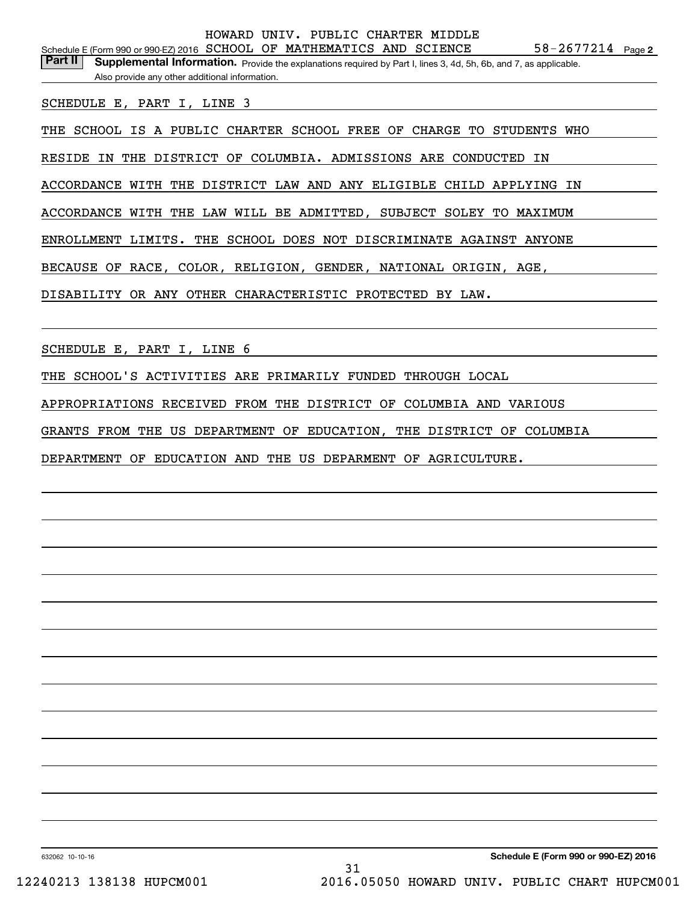Part II | Supplemental Information. Provide the explanations required by Part I, lines 3, 4d, 5h, 6b, and 7, as applicable. Also provide any other additional information.

SCHEDULE E, PART I, LINE 3

THE SCHOOL IS A PUBLIC CHARTER SCHOOL FREE OF CHARGE TO STUDENTS WHO

RESIDE IN THE DISTRICT OF COLUMBIA. ADMISSIONS ARE CONDUCTED IN

ACCORDANCE WITH THE DISTRICT LAW AND ANY ELIGIBLE CHILD APPLYING IN

ACCORDANCE WITH THE LAW WILL BE ADMITTED, SUBJECT SOLEY TO MAXIMUM

ENROLLMENT LIMITS. THE SCHOOL DOES NOT DISCRIMINATE AGAINST ANYONE

BECAUSE OF RACE, COLOR, RELIGION, GENDER, NATIONAL ORIGIN, AGE,

DISABILITY OR ANY OTHER CHARACTERISTIC PROTECTED BY LAW.

SCHEDULE E, PART I, LINE 6

THE SCHOOL'S ACTIVITIES ARE PRIMARILY FUNDED THROUGH LOCAL

APPROPRIATIONS RECEIVED FROM THE DISTRICT OF COLUMBIA AND VARIOUS

GRANTS FROM THE US DEPARTMENT OF EDUCATION, THE DISTRICT OF COLUMBIA

DEPARTMENT OF EDUCATION AND THE US DEPARMENT OF AGRICULTURE.

632062 10-10-16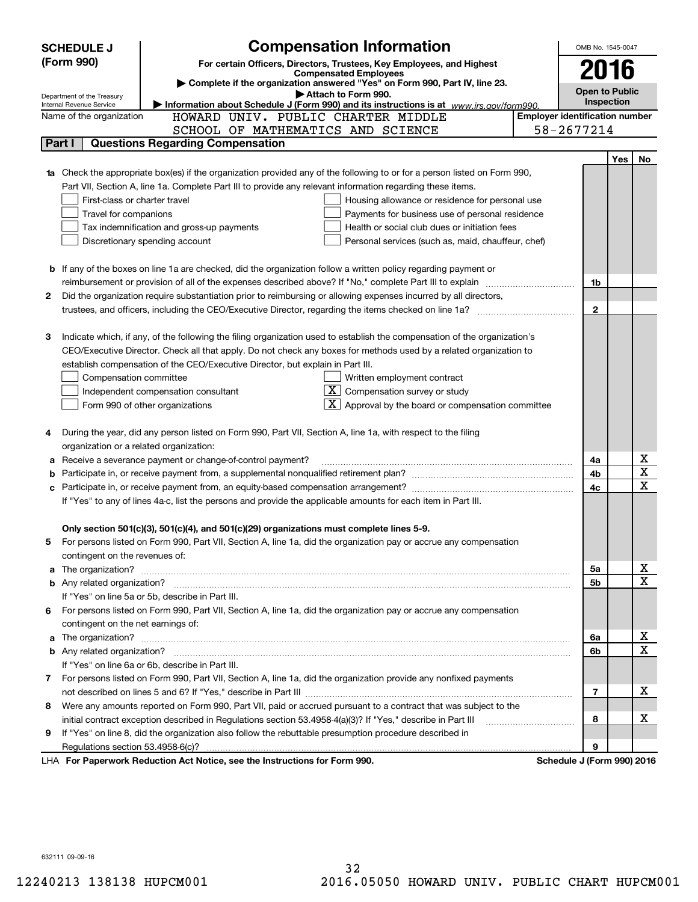|        | <b>SCHEDULE J</b>                                                                                                                                                                                   | <b>Compensation Information</b>                                                                                           |                                                                      |  | OMB No. 1545-0047                     |     |             |
|--------|-----------------------------------------------------------------------------------------------------------------------------------------------------------------------------------------------------|---------------------------------------------------------------------------------------------------------------------------|----------------------------------------------------------------------|--|---------------------------------------|-----|-------------|
|        | (Form 990)                                                                                                                                                                                          | For certain Officers, Directors, Trustees, Key Employees, and Highest                                                     |                                                                      |  | 2016                                  |     |             |
|        |                                                                                                                                                                                                     | <b>Compensated Employees</b>                                                                                              |                                                                      |  |                                       |     |             |
|        |                                                                                                                                                                                                     | Complete if the organization answered "Yes" on Form 990, Part IV, line 23.<br>Attach to Form 990.                         |                                                                      |  | <b>Open to Public</b>                 |     |             |
|        | Department of the Treasury<br>Internal Revenue Service                                                                                                                                              | Information about Schedule J (Form 990) and its instructions is at www.irs.gov/form990.                                   |                                                                      |  | Inspection                            |     |             |
|        | Name of the organization                                                                                                                                                                            | HOWARD UNIV. PUBLIC CHARTER MIDDLE                                                                                        |                                                                      |  | <b>Employer identification number</b> |     |             |
|        |                                                                                                                                                                                                     | SCHOOL OF MATHEMATICS AND SCIENCE                                                                                         |                                                                      |  | 58-2677214                            |     |             |
|        | Part I                                                                                                                                                                                              | <b>Questions Regarding Compensation</b>                                                                                   |                                                                      |  |                                       |     |             |
|        |                                                                                                                                                                                                     |                                                                                                                           |                                                                      |  |                                       | Yes | No          |
|        |                                                                                                                                                                                                     | Check the appropriate box(es) if the organization provided any of the following to or for a person listed on Form 990,    |                                                                      |  |                                       |     |             |
|        |                                                                                                                                                                                                     | Part VII, Section A, line 1a. Complete Part III to provide any relevant information regarding these items.                |                                                                      |  |                                       |     |             |
|        | First-class or charter travel                                                                                                                                                                       |                                                                                                                           | Housing allowance or residence for personal use                      |  |                                       |     |             |
|        | Travel for companions                                                                                                                                                                               |                                                                                                                           | Payments for business use of personal residence                      |  |                                       |     |             |
|        |                                                                                                                                                                                                     | Tax indemnification and gross-up payments                                                                                 | Health or social club dues or initiation fees                        |  |                                       |     |             |
|        |                                                                                                                                                                                                     | Discretionary spending account                                                                                            | Personal services (such as, maid, chauffeur, chef)                   |  |                                       |     |             |
|        |                                                                                                                                                                                                     |                                                                                                                           |                                                                      |  |                                       |     |             |
|        |                                                                                                                                                                                                     | <b>b</b> If any of the boxes on line 1a are checked, did the organization follow a written policy regarding payment or    |                                                                      |  |                                       |     |             |
|        |                                                                                                                                                                                                     | reimbursement or provision of all of the expenses described above? If "No," complete Part III to explain                  |                                                                      |  | 1b                                    |     |             |
| 2      |                                                                                                                                                                                                     | Did the organization require substantiation prior to reimbursing or allowing expenses incurred by all directors,          |                                                                      |  |                                       |     |             |
|        |                                                                                                                                                                                                     |                                                                                                                           |                                                                      |  | $\mathbf{2}$                          |     |             |
|        |                                                                                                                                                                                                     |                                                                                                                           |                                                                      |  |                                       |     |             |
| З      |                                                                                                                                                                                                     | Indicate which, if any, of the following the filing organization used to establish the compensation of the organization's |                                                                      |  |                                       |     |             |
|        |                                                                                                                                                                                                     | CEO/Executive Director. Check all that apply. Do not check any boxes for methods used by a related organization to        |                                                                      |  |                                       |     |             |
|        |                                                                                                                                                                                                     | establish compensation of the CEO/Executive Director, but explain in Part III.                                            |                                                                      |  |                                       |     |             |
|        | Compensation committee                                                                                                                                                                              |                                                                                                                           | Written employment contract                                          |  |                                       |     |             |
|        |                                                                                                                                                                                                     | Independent compensation consultant                                                                                       | $X$ Compensation survey or study                                     |  |                                       |     |             |
|        |                                                                                                                                                                                                     | Form 990 of other organizations                                                                                           | $\boxed{\textbf{X}}$ Approval by the board or compensation committee |  |                                       |     |             |
|        |                                                                                                                                                                                                     |                                                                                                                           |                                                                      |  |                                       |     |             |
| 4      | organization or a related organization:                                                                                                                                                             | During the year, did any person listed on Form 990, Part VII, Section A, line 1a, with respect to the filing              |                                                                      |  |                                       |     |             |
|        |                                                                                                                                                                                                     | Receive a severance payment or change-of-control payment?                                                                 |                                                                      |  | 4a                                    |     | х           |
| а<br>b |                                                                                                                                                                                                     |                                                                                                                           |                                                                      |  | 4b                                    |     | X           |
| c      |                                                                                                                                                                                                     |                                                                                                                           |                                                                      |  | 4c                                    |     | X           |
|        | Participate in, or receive payment from, an equity-based compensation arrangement?<br>If "Yes" to any of lines 4a-c, list the persons and provide the applicable amounts for each item in Part III. |                                                                                                                           |                                                                      |  |                                       |     |             |
|        |                                                                                                                                                                                                     |                                                                                                                           |                                                                      |  |                                       |     |             |
|        |                                                                                                                                                                                                     | Only section 501(c)(3), 501(c)(4), and 501(c)(29) organizations must complete lines 5-9.                                  |                                                                      |  |                                       |     |             |
|        |                                                                                                                                                                                                     | For persons listed on Form 990, Part VII, Section A, line 1a, did the organization pay or accrue any compensation         |                                                                      |  |                                       |     |             |
|        | contingent on the revenues of:                                                                                                                                                                      |                                                                                                                           |                                                                      |  |                                       |     |             |
| a      |                                                                                                                                                                                                     |                                                                                                                           |                                                                      |  | 5a                                    |     | x           |
|        |                                                                                                                                                                                                     |                                                                                                                           |                                                                      |  | 5b                                    |     | X           |
|        |                                                                                                                                                                                                     | If "Yes" on line 5a or 5b, describe in Part III.                                                                          |                                                                      |  |                                       |     |             |
| 6.     |                                                                                                                                                                                                     | For persons listed on Form 990, Part VII, Section A, line 1a, did the organization pay or accrue any compensation         |                                                                      |  |                                       |     |             |
|        | contingent on the net earnings of:                                                                                                                                                                  |                                                                                                                           |                                                                      |  |                                       |     |             |
| a      |                                                                                                                                                                                                     |                                                                                                                           |                                                                      |  |                                       |     | x           |
|        |                                                                                                                                                                                                     |                                                                                                                           |                                                                      |  | 6b                                    |     | $\mathbf X$ |
|        |                                                                                                                                                                                                     | If "Yes" on line 6a or 6b, describe in Part III.                                                                          |                                                                      |  |                                       |     |             |
|        |                                                                                                                                                                                                     | 7 For persons listed on Form 990, Part VII, Section A, line 1a, did the organization provide any nonfixed payments        |                                                                      |  |                                       |     |             |
|        |                                                                                                                                                                                                     |                                                                                                                           |                                                                      |  | 7                                     |     | х           |
| 8      |                                                                                                                                                                                                     | Were any amounts reported on Form 990, Part VII, paid or accrued pursuant to a contract that was subject to the           |                                                                      |  |                                       |     |             |
|        |                                                                                                                                                                                                     | initial contract exception described in Regulations section 53.4958-4(a)(3)? If "Yes," describe in Part III               |                                                                      |  | 8                                     |     | х           |
| 9      |                                                                                                                                                                                                     | If "Yes" on line 8, did the organization also follow the rebuttable presumption procedure described in                    |                                                                      |  |                                       |     |             |
|        | Regulations section 53.4958-6(c)?                                                                                                                                                                   |                                                                                                                           |                                                                      |  | 9                                     |     |             |
|        |                                                                                                                                                                                                     | LHA For Paperwork Reduction Act Notice, see the Instructions for Form 990.                                                |                                                                      |  | Schedule J (Form 990) 2016            |     |             |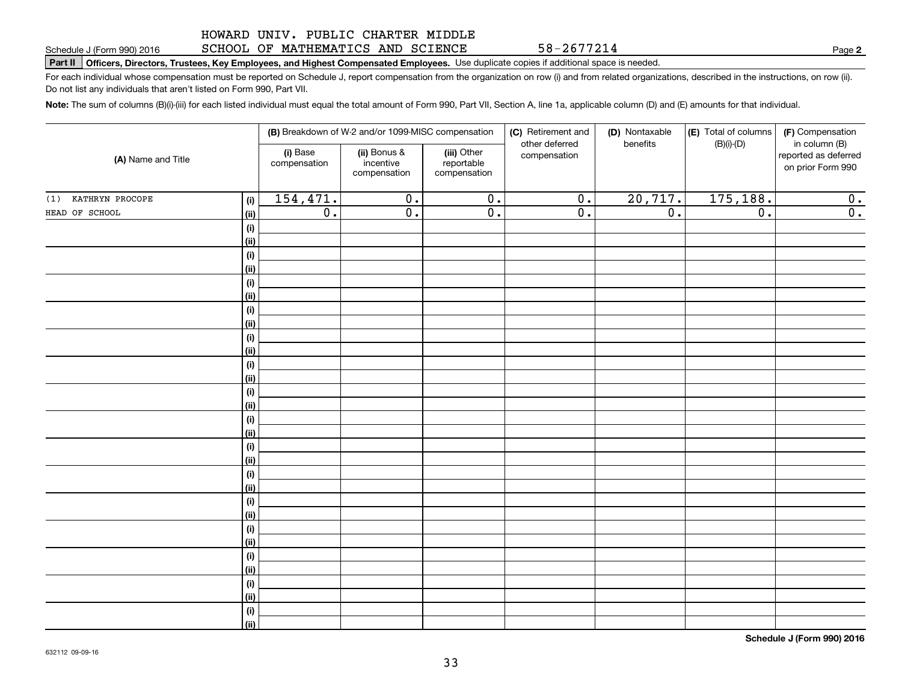#### **Part II Officers, Directors, Trustees, Key Employees, and Highest Compensated Employees.**  Schedule J (Form 990) 2016 Page Use duplicate copies if additional space is needed. SCHOOL OF MATHEMATICS AND SCIENCE

For each individual whose compensation must be reported on Schedule J, report compensation from the organization on row (i) and from related organizations, described in the instructions, on row (ii). Do not list any individuals that aren't listed on Form 990, Part VII.

**Note:**  The sum of columns (B)(i)-(iii) for each listed individual must equal the total amount of Form 990, Part VII, Section A, line 1a, applicable column (D) and (E) amounts for that individual.

| (A) Name and Title     |             |                          | (B) Breakdown of W-2 and/or 1099-MISC compensation |                                           | (C) Retirement and             | (D) Nontaxable   | (E) Total of columns | (F) Compensation                                           |
|------------------------|-------------|--------------------------|----------------------------------------------------|-------------------------------------------|--------------------------------|------------------|----------------------|------------------------------------------------------------|
|                        |             | (i) Base<br>compensation | (ii) Bonus &<br>incentive<br>compensation          | (iii) Other<br>reportable<br>compensation | other deferred<br>compensation | benefits         | $(B)(i)-(D)$         | in column (B)<br>reported as deferred<br>on prior Form 990 |
| KATHRYN PROCOPE<br>(1) | (i)         | 154,471.                 | $\overline{0}$ .                                   | $\overline{0}$ .                          | $\overline{0}$ .               | 20,717.          | 175,188.             | 0.                                                         |
| HEAD OF SCHOOL         | (ii)        | $\overline{0}$ .         | $\overline{0}$ .                                   | $\overline{0}$ .                          | $\overline{0}$ .               | $\overline{0}$ . | $\overline{0}$ .     | $\overline{0}$ .                                           |
|                        | (i)         |                          |                                                    |                                           |                                |                  |                      |                                                            |
|                        | (ii)        |                          |                                                    |                                           |                                |                  |                      |                                                            |
|                        | (i)         |                          |                                                    |                                           |                                |                  |                      |                                                            |
|                        | (ii)        |                          |                                                    |                                           |                                |                  |                      |                                                            |
|                        | (i)         |                          |                                                    |                                           |                                |                  |                      |                                                            |
|                        | (ii)        |                          |                                                    |                                           |                                |                  |                      |                                                            |
|                        | (i)         |                          |                                                    |                                           |                                |                  |                      |                                                            |
|                        | (ii)        |                          |                                                    |                                           |                                |                  |                      |                                                            |
|                        | (i)         |                          |                                                    |                                           |                                |                  |                      |                                                            |
|                        | (ii)        |                          |                                                    |                                           |                                |                  |                      |                                                            |
|                        | (i)         |                          |                                                    |                                           |                                |                  |                      |                                                            |
|                        | (ii)        |                          |                                                    |                                           |                                |                  |                      |                                                            |
|                        | (i)         |                          |                                                    |                                           |                                |                  |                      |                                                            |
|                        | (ii)        |                          |                                                    |                                           |                                |                  |                      |                                                            |
|                        | (i)<br>(ii) |                          |                                                    |                                           |                                |                  |                      |                                                            |
|                        | (i)         |                          |                                                    |                                           |                                |                  |                      |                                                            |
|                        | (ii)        |                          |                                                    |                                           |                                |                  |                      |                                                            |
|                        | (i)         |                          |                                                    |                                           |                                |                  |                      |                                                            |
|                        | (ii)        |                          |                                                    |                                           |                                |                  |                      |                                                            |
|                        | $(\sf{i})$  |                          |                                                    |                                           |                                |                  |                      |                                                            |
|                        | (ii)        |                          |                                                    |                                           |                                |                  |                      |                                                            |
|                        | (i)         |                          |                                                    |                                           |                                |                  |                      |                                                            |
|                        | (ii)        |                          |                                                    |                                           |                                |                  |                      |                                                            |
|                        | (i)         |                          |                                                    |                                           |                                |                  |                      |                                                            |
|                        | (ii)        |                          |                                                    |                                           |                                |                  |                      |                                                            |
|                        | (i)         |                          |                                                    |                                           |                                |                  |                      |                                                            |
|                        | (ii)        |                          |                                                    |                                           |                                |                  |                      |                                                            |
|                        | (i)         |                          |                                                    |                                           |                                |                  |                      |                                                            |
|                        | (ii)        |                          |                                                    |                                           |                                |                  |                      |                                                            |

**Schedule J (Form 990) 2016**

**2**

58-2677214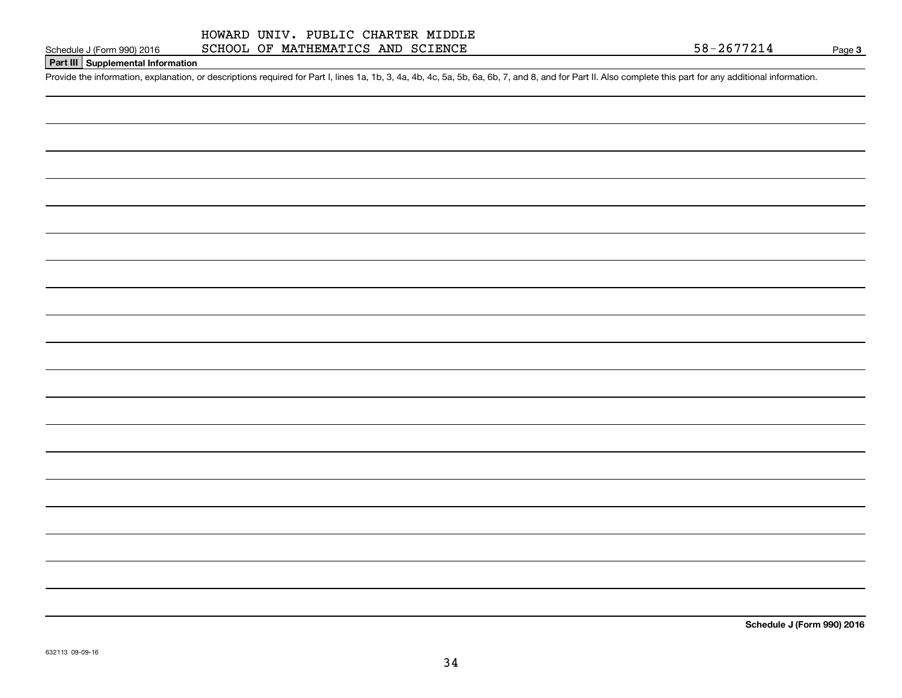#### HOWARD UNIV. PUBLIC CHARTER MIDDLE SCHOOL OF MATHEMATICS AND SCIENCE

Page 3

## **Part III Supplemental Information**

Schedule J (Form 990) 2016 SCHOOL OF MATHEMATICS AND SCIENCE<br>Part III Supplemental Information<br>Provide the information, explanation, or descriptions required for Part I, lines 1a, 1b, 3, 4a, 4b, 4c, 5a, 5b, 6a, 6b, 7, and

**Schedule J (Form 990) 2016**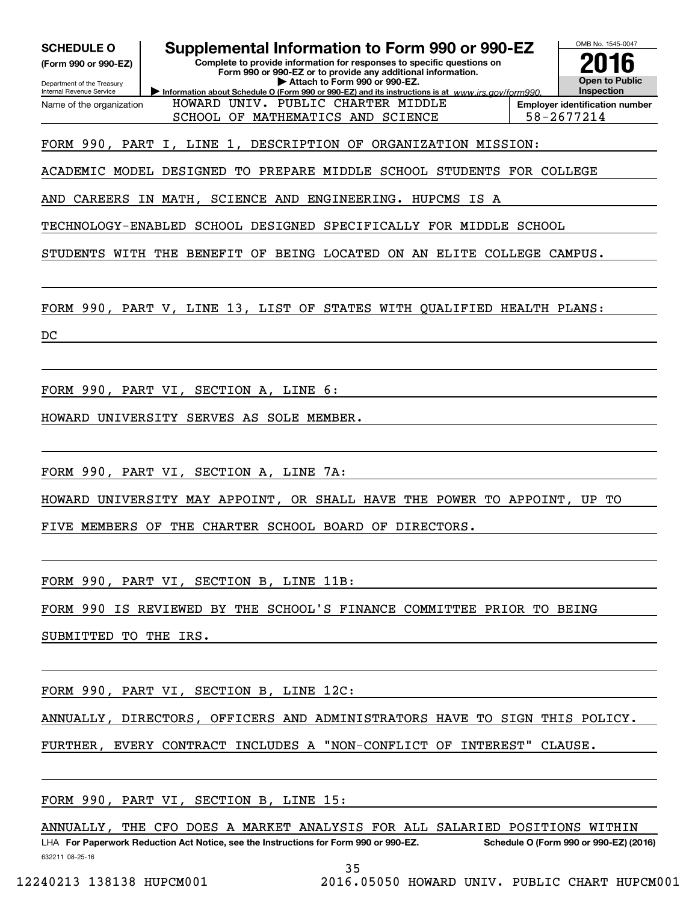| <b>SCHEDULE O</b><br>(Form 990 or 990-EZ)<br>Department of the Treasury<br>Internal Revenue Service | Supplemental Information to Form 990 or 990-EZ<br>Complete to provide information for responses to specific questions on<br>Form 990 or 990-EZ or to provide any additional information.<br>Attach to Form 990 or 990-EZ.<br>Information about Schedule O (Form 990 or 990-EZ) and its instructions is at www.irs.gov/form990. | OMB No. 1545-0047<br><b>Open to Public</b><br><b>Inspection</b> |
|-----------------------------------------------------------------------------------------------------|--------------------------------------------------------------------------------------------------------------------------------------------------------------------------------------------------------------------------------------------------------------------------------------------------------------------------------|-----------------------------------------------------------------|
| Name of the organization                                                                            | HOWARD UNIV. PUBLIC CHARTER MIDDLE<br>SCHOOL OF MATHEMATICS AND SCIENCE                                                                                                                                                                                                                                                        | <b>Employer identification number</b><br>58-2677214             |
|                                                                                                     | FORM 990, PART I, LINE 1, DESCRIPTION OF ORGANIZATION MISSION:                                                                                                                                                                                                                                                                 |                                                                 |
| ACADEMIC MODEL DESIGNED                                                                             | TO<br>PREPARE MIDDLE SCHOOL STUDENTS FOR COLLEGE                                                                                                                                                                                                                                                                               |                                                                 |
| AND<br>CAREERS                                                                                      | IN MATH,<br>SCIENCE AND<br>ENGINEERING. HUPCMS IS<br>A                                                                                                                                                                                                                                                                         |                                                                 |
| TECHNOLOGY-ENABLED                                                                                  | SCHOOL DESIGNED<br>SPECIFICALLY FOR MIDDLE SCHOOL                                                                                                                                                                                                                                                                              |                                                                 |
| STUDENTS WITH                                                                                       | <b>THE</b><br>BENEFIT<br>OF BEING LOCATED<br>ON AN ELITE COLLEGE CAMPUS.                                                                                                                                                                                                                                                       |                                                                 |
|                                                                                                     | FORM 990, PART V, LINE 13, LIST OF<br>STATES WITH QUALIFIED HEALTH PLANS:                                                                                                                                                                                                                                                      |                                                                 |
| DC                                                                                                  |                                                                                                                                                                                                                                                                                                                                |                                                                 |
|                                                                                                     |                                                                                                                                                                                                                                                                                                                                |                                                                 |
|                                                                                                     | FORM 990, PART VI, SECTION A, LINE 6:                                                                                                                                                                                                                                                                                          |                                                                 |
| HOWARD                                                                                              | UNIVERSITY SERVES AS SOLE MEMBER.                                                                                                                                                                                                                                                                                              |                                                                 |
|                                                                                                     |                                                                                                                                                                                                                                                                                                                                |                                                                 |
|                                                                                                     | FORM 990, PART VI, SECTION A, LINE 7A:                                                                                                                                                                                                                                                                                         |                                                                 |
| HOWARD                                                                                              | UNIVERSITY MAY APPOINT, OR SHALL HAVE THE POWER TO APPOINT, UP                                                                                                                                                                                                                                                                 | TО                                                              |
|                                                                                                     | THE CHARTER SCHOOL BOARD OF DIRECTORS.                                                                                                                                                                                                                                                                                         |                                                                 |
| FIVE<br>MEMBERS                                                                                     | OF                                                                                                                                                                                                                                                                                                                             |                                                                 |
|                                                                                                     |                                                                                                                                                                                                                                                                                                                                |                                                                 |
|                                                                                                     | FORM 990, PART VI, SECTION B, LINE 11B:                                                                                                                                                                                                                                                                                        |                                                                 |
|                                                                                                     | FORM 990 IS REVIEWED BY THE SCHOOL'S FINANCE COMMITTEE PRIOR TO BEING                                                                                                                                                                                                                                                          |                                                                 |
| SUBMITTED TO THE IRS.                                                                               |                                                                                                                                                                                                                                                                                                                                |                                                                 |
|                                                                                                     |                                                                                                                                                                                                                                                                                                                                |                                                                 |
|                                                                                                     |                                                                                                                                                                                                                                                                                                                                |                                                                 |
|                                                                                                     | FORM 990, PART VI, SECTION B, LINE 12C:                                                                                                                                                                                                                                                                                        |                                                                 |
|                                                                                                     | ANNUALLY, DIRECTORS, OFFICERS AND ADMINISTRATORS HAVE TO SIGN THIS POLICY.                                                                                                                                                                                                                                                     |                                                                 |
|                                                                                                     | FURTHER, EVERY CONTRACT INCLUDES A "NON-CONFLICT OF INTEREST" CLAUSE.                                                                                                                                                                                                                                                          |                                                                 |
|                                                                                                     |                                                                                                                                                                                                                                                                                                                                |                                                                 |
|                                                                                                     |                                                                                                                                                                                                                                                                                                                                |                                                                 |
|                                                                                                     | FORM 990, PART VI, SECTION B, LINE 15:                                                                                                                                                                                                                                                                                         |                                                                 |
|                                                                                                     | ANNUALLY, THE CFO DOES A MARKET ANALYSIS FOR ALL SALARIED POSITIONS WITHIN                                                                                                                                                                                                                                                     |                                                                 |
|                                                                                                     | LHA For Paperwork Reduction Act Notice, see the Instructions for Form 990 or 990-EZ.                                                                                                                                                                                                                                           | Schedule O (Form 990 or 990-EZ) (2016)                          |

632211 08-25-16

35

12240213 138138 HUPCM001 2016.05050 HOWARD UNIV. PUBLIC CHART HUPCM001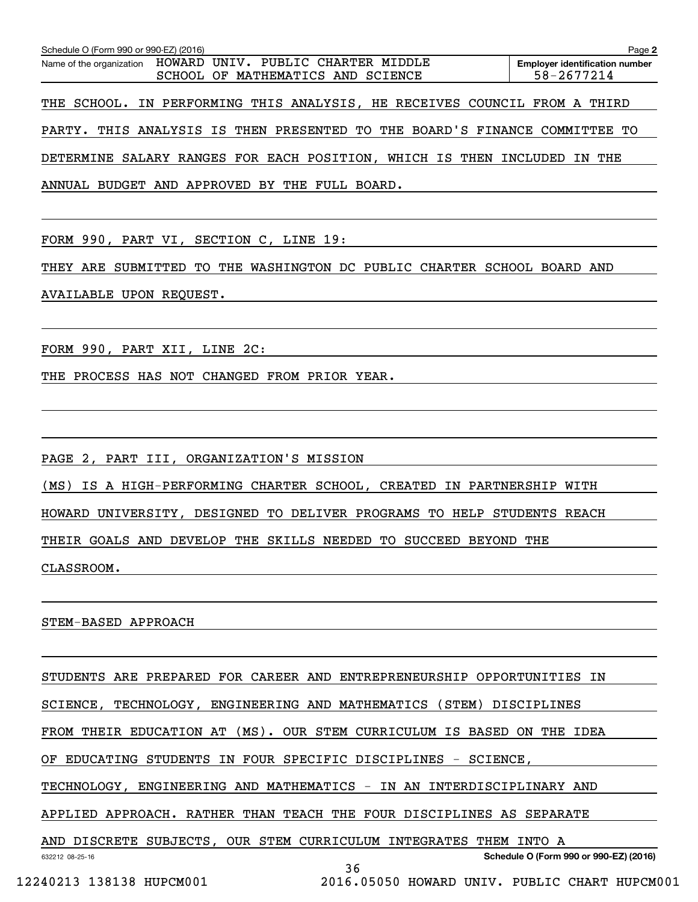| Schedule O (Form 990 or 990-EZ) (2016)                                                           | Page 2                                              |
|--------------------------------------------------------------------------------------------------|-----------------------------------------------------|
| Name of the organization HOWARD UNIV. PUBLIC CHARTER MIDDLE<br>SCHOOL OF MATHEMATICS AND SCIENCE | <b>Employer identification number</b><br>58-2677214 |
| THE SCHOOL. IN PERFORMING THIS ANALYSIS, HE RECEIVES COUNCIL FROM A THIRD                        |                                                     |
| PARTY. THIS ANALYSIS IS THEN PRESENTED TO THE BOARD'S FINANCE COMMITTEE TO                       |                                                     |
| DETERMINE SALARY RANGES FOR EACH POSITION, WHICH IS THEN INCLUDED IN THE                         |                                                     |
| ANNUAL BUDGET AND APPROVED BY THE FULL BOARD.                                                    |                                                     |

FORM 990, PART VI, SECTION C, LINE 19:

THEY ARE SUBMITTED TO THE WASHINGTON DC PUBLIC CHARTER SCHOOL BOARD AND AVAILABLE UPON REQUEST.

FORM 990, PART XII, LINE 2C:

THE PROCESS HAS NOT CHANGED FROM PRIOR YEAR.

PAGE 2, PART III, ORGANIZATION'S MISSION

(MS) IS A HIGH-PERFORMING CHARTER SCHOOL, CREATED IN PARTNERSHIP WITH

HOWARD UNIVERSITY, DESIGNED TO DELIVER PROGRAMS TO HELP STUDENTS REACH

THEIR GOALS AND DEVELOP THE SKILLS NEEDED TO SUCCEED BEYOND THE

CLASSROOM.

STEM-BASED APPROACH

632212 08-25-16 **Schedule O (Form 990 or 990-EZ) (2016)** STUDENTS ARE PREPARED FOR CAREER AND ENTREPRENEURSHIP OPPORTUNITIES IN SCIENCE, TECHNOLOGY, ENGINEERING AND MATHEMATICS (STEM) DISCIPLINES FROM THEIR EDUCATION AT (MS). OUR STEM CURRICULUM IS BASED ON THE IDEA OF EDUCATING STUDENTS IN FOUR SPECIFIC DISCIPLINES - SCIENCE, TECHNOLOGY, ENGINEERING AND MATHEMATICS - IN AN INTERDISCIPLINARY AND APPLIED APPROACH. RATHER THAN TEACH THE FOUR DISCIPLINES AS SEPARATE AND DISCRETE SUBJECTS, OUR STEM CURRICULUM INTEGRATES THEM INTO A 36

12240213 138138 HUPCM001 2016.05050 HOWARD UNIV. PUBLIC CHART HUPCM001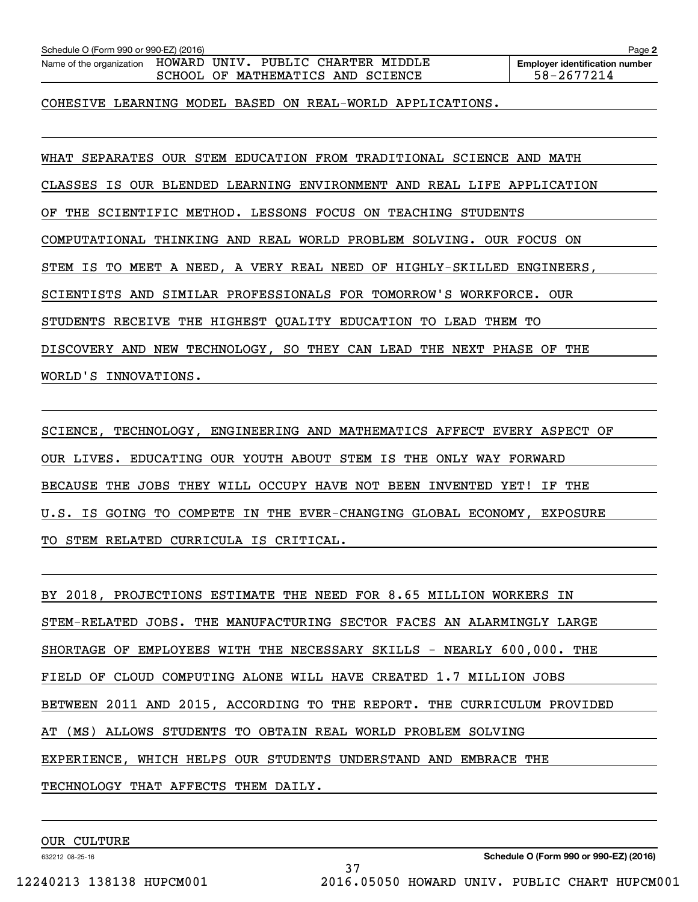| Schedule O (Form 990 or 990-EZ) (2016)                                                 |                                                                                   | Page 2                                              |  |  |  |
|----------------------------------------------------------------------------------------|-----------------------------------------------------------------------------------|-----------------------------------------------------|--|--|--|
| Name of the organization                                                               | UNIV. PUBLIC CHARTER MIDDLE<br>HOWARD<br>MATHEMATICS AND SCIENCE<br>SCHOOL<br>OF. | <b>Employer identification number</b><br>58-2677214 |  |  |  |
|                                                                                        |                                                                                   |                                                     |  |  |  |
| COHESIVE<br>LEARNING                                                                   | MODEL<br>BASED ON REAL-WORLD APPLICATIONS.                                        |                                                     |  |  |  |
|                                                                                        |                                                                                   |                                                     |  |  |  |
| SEPARATES OUR<br>WHAT                                                                  | STEM<br>EDUCATION FROM TRADITIONAL                                                | SCIENCE<br><b>MATH</b><br>AND                       |  |  |  |
| IS.<br>CLASSES                                                                         | OUR BLENDED LEARNING ENVIRONMENT AND                                              | REAL LIFE APPLICATION                               |  |  |  |
| ΟF<br>THE                                                                              | LESSONS FOCUS ON<br>SCIENTIFIC METHOD.<br><b>TEACHING</b><br>STUDENTS             |                                                     |  |  |  |
| AND REAL<br>WORLD PROBLEM SOLVING.<br>COMPUTATIONAL<br>THINKING<br>OUR.<br>FOCUS<br>ON |                                                                                   |                                                     |  |  |  |
| IS<br>STEM                                                                             | TO MEET A NEED, A VERY REAL NEED OF HIGHLY-SKILLED                                | ENGINEERS,                                          |  |  |  |
| SCIENTISTS AND                                                                         | SIMILAR PROFESSIONALS FOR TOMORROW'S                                              | WORKFORCE.<br>0UR.                                  |  |  |  |

STUDENTS RECEIVE THE HIGHEST QUALITY EDUCATION TO LEAD THEM TO

DISCOVERY AND NEW TECHNOLOGY, SO THEY CAN LEAD THE NEXT PHASE OF THE

WORLD'S INNOVATIONS.

SCIENCE, TECHNOLOGY, ENGINEERING AND MATHEMATICS AFFECT EVERY ASPECT OF OUR LIVES. EDUCATING OUR YOUTH ABOUT STEM IS THE ONLY WAY FORWARD BECAUSE THE JOBS THEY WILL OCCUPY HAVE NOT BEEN INVENTED YET! IF THE U.S. IS GOING TO COMPETE IN THE EVER-CHANGING GLOBAL ECONOMY, EXPOSURE TO STEM RELATED CURRICULA IS CRITICAL.

BY 2018, PROJECTIONS ESTIMATE THE NEED FOR 8.65 MILLION WORKERS IN STEM-RELATED JOBS. THE MANUFACTURING SECTOR FACES AN ALARMINGLY LARGE SHORTAGE OF EMPLOYEES WITH THE NECESSARY SKILLS - NEARLY 600,000. THE FIELD OF CLOUD COMPUTING ALONE WILL HAVE CREATED 1.7 MILLION JOBS BETWEEN 2011 AND 2015, ACCORDING TO THE REPORT. THE CURRICULUM PROVIDED AT (MS) ALLOWS STUDENTS TO OBTAIN REAL WORLD PROBLEM SOLVING EXPERIENCE, WHICH HELPS OUR STUDENTS UNDERSTAND AND EMBRACE THE TECHNOLOGY THAT AFFECTS THEM DAILY.

37

OUR CULTURE

632212 08-25-16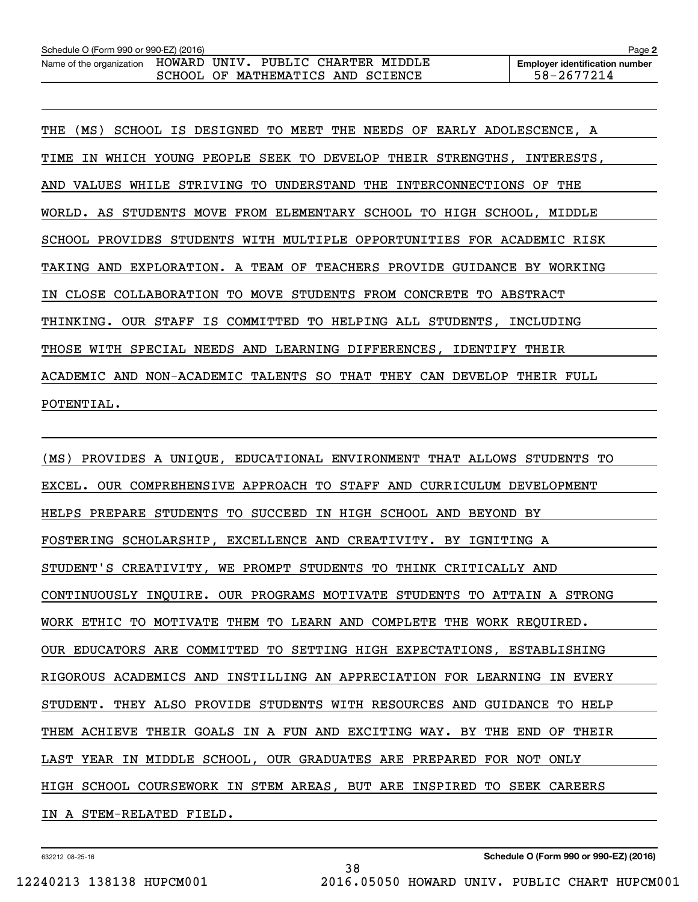| Schedule O (Form 990 or 990-EZ) (2016)                      |  |                                   |  | Page 2                                |
|-------------------------------------------------------------|--|-----------------------------------|--|---------------------------------------|
| Name of the organization HOWARD UNIV. PUBLIC CHARTER MIDDLE |  |                                   |  | <b>Employer identification number</b> |
|                                                             |  | SCHOOL OF MATHEMATICS AND SCIENCE |  | 58-2677214                            |

THE (MS) SCHOOL IS DESIGNED TO MEET THE NEEDS OF EARLY ADOLESCENCE, A TIME IN WHICH YOUNG PEOPLE SEEK TO DEVELOP THEIR STRENGTHS, INTERESTS, AND VALUES WHILE STRIVING TO UNDERSTAND THE INTERCONNECTIONS OF THE WORLD. AS STUDENTS MOVE FROM ELEMENTARY SCHOOL TO HIGH SCHOOL, MIDDLE SCHOOL PROVIDES STUDENTS WITH MULTIPLE OPPORTUNITIES FOR ACADEMIC RISK TAKING AND EXPLORATION. A TEAM OF TEACHERS PROVIDE GUIDANCE BY WORKING IN CLOSE COLLABORATION TO MOVE STUDENTS FROM CONCRETE TO ABSTRACT THINKING. OUR STAFF IS COMMITTED TO HELPING ALL STUDENTS, INCLUDING THOSE WITH SPECIAL NEEDS AND LEARNING DIFFERENCES, IDENTIFY THEIR ACADEMIC AND NON-ACADEMIC TALENTS SO THAT THEY CAN DEVELOP THEIR FULL POTENTIAL.

(MS) PROVIDES A UNIQUE, EDUCATIONAL ENVIRONMENT THAT ALLOWS STUDENTS TO EXCEL. OUR COMPREHENSIVE APPROACH TO STAFF AND CURRICULUM DEVELOPMENT HELPS PREPARE STUDENTS TO SUCCEED IN HIGH SCHOOL AND BEYOND BY FOSTERING SCHOLARSHIP, EXCELLENCE AND CREATIVITY. BY IGNITING A STUDENT'S CREATIVITY, WE PROMPT STUDENTS TO THINK CRITICALLY AND CONTINUOUSLY INQUIRE. OUR PROGRAMS MOTIVATE STUDENTS TO ATTAIN A STRONG WORK ETHIC TO MOTIVATE THEM TO LEARN AND COMPLETE THE WORK REQUIRED. OUR EDUCATORS ARE COMMITTED TO SETTING HIGH EXPECTATIONS, ESTABLISHING RIGOROUS ACADEMICS AND INSTILLING AN APPRECIATION FOR LEARNING IN EVERY STUDENT. THEY ALSO PROVIDE STUDENTS WITH RESOURCES AND GUIDANCE TO HELP THEM ACHIEVE THEIR GOALS IN A FUN AND EXCITING WAY. BY THE END OF THEIR LAST YEAR IN MIDDLE SCHOOL, OUR GRADUATES ARE PREPARED FOR NOT ONLY HIGH SCHOOL COURSEWORK IN STEM AREAS, BUT ARE INSPIRED TO SEEK CAREERS IN A STEM-RELATED FIELD.

38

632212 08-25-16